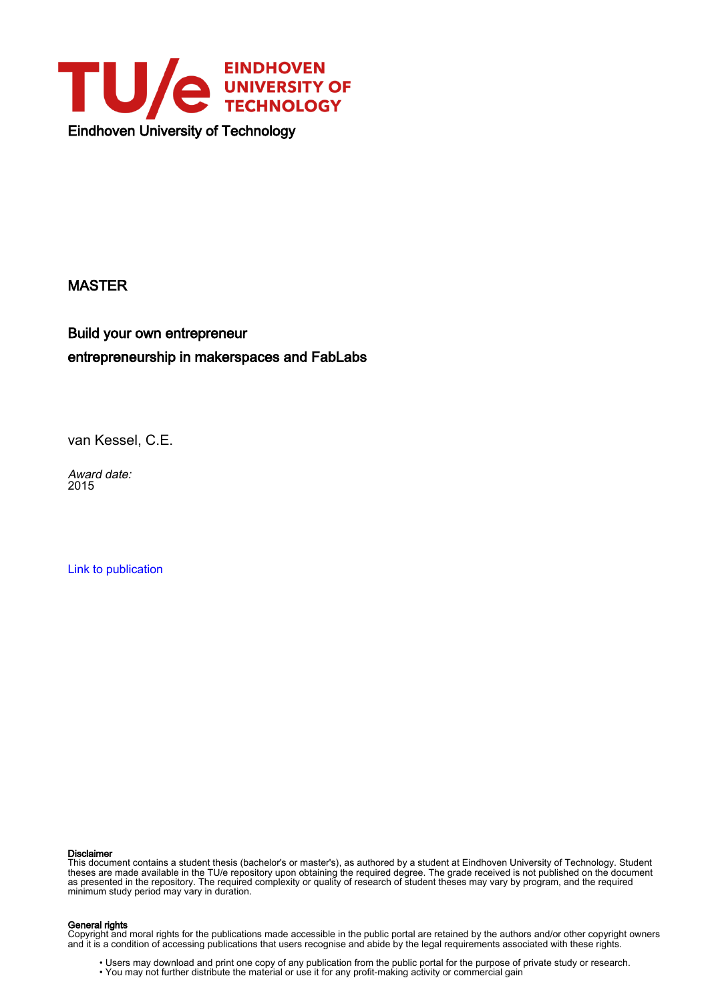

# MASTER

Build your own entrepreneur entrepreneurship in makerspaces and FabLabs

van Kessel, C.E.

Award date: 2015

[Link to publication](https://research.tue.nl/en/studentTheses/f6f399c2-d303-456f-9ca5-d0a7d80abb59)

#### Disclaimer

This document contains a student thesis (bachelor's or master's), as authored by a student at Eindhoven University of Technology. Student theses are made available in the TU/e repository upon obtaining the required degree. The grade received is not published on the document as presented in the repository. The required complexity or quality of research of student theses may vary by program, and the required minimum study period may vary in duration.

#### General rights

Copyright and moral rights for the publications made accessible in the public portal are retained by the authors and/or other copyright owners and it is a condition of accessing publications that users recognise and abide by the legal requirements associated with these rights.

• Users may download and print one copy of any publication from the public portal for the purpose of private study or research.<br>• You may not further distribute the material or use it for any profit-making activity or comm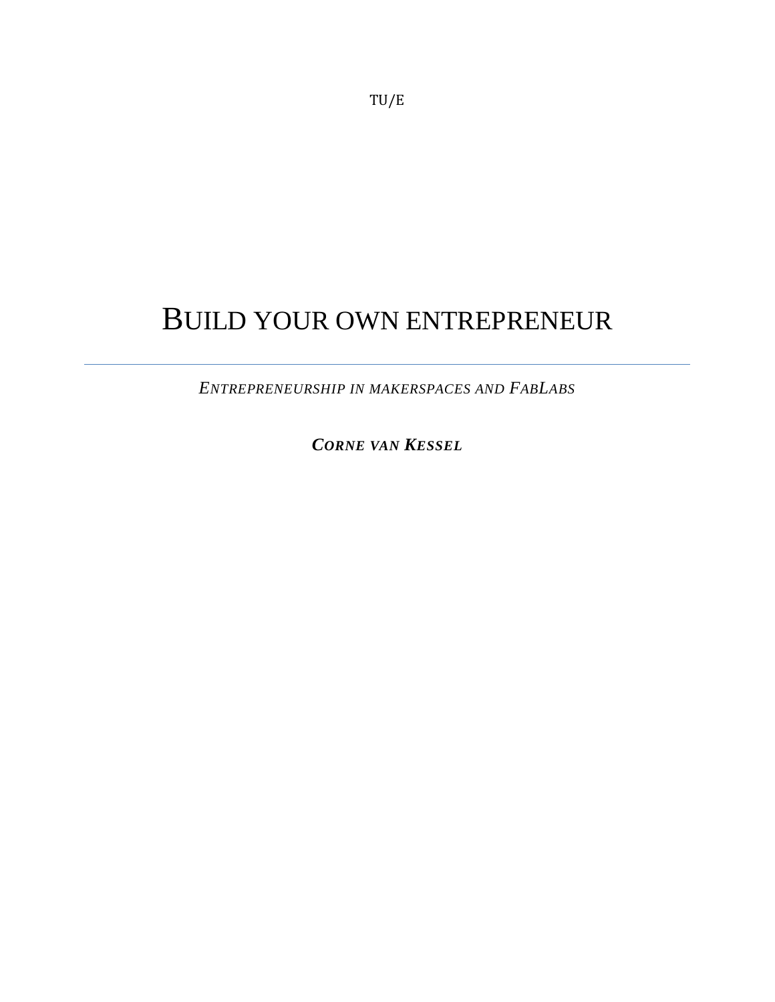# TU/E

# BUILD YOUR OWN ENTREPRENEUR

*ENTREPRENEURSHIP IN MAKERSPACES AND FABLABS*

*CORNE VAN KESSEL*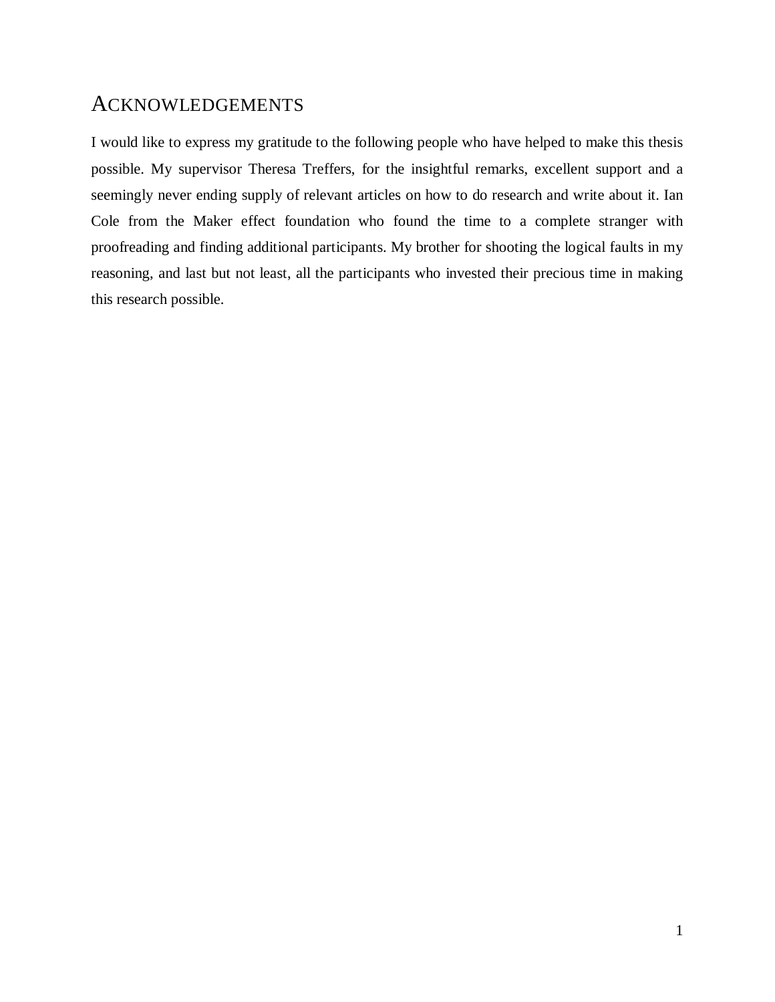# ACKNOWLEDGEMENTS

I would like to express my gratitude to the following people who have helped to make this thesis possible. My supervisor Theresa Treffers, for the insightful remarks, excellent support and a seemingly never ending supply of relevant articles on how to do research and write about it. Ian Cole from the Maker effect foundation who found the time to a complete stranger with proofreading and finding additional participants. My brother for shooting the logical faults in my reasoning, and last but not least, all the participants who invested their precious time in making this research possible.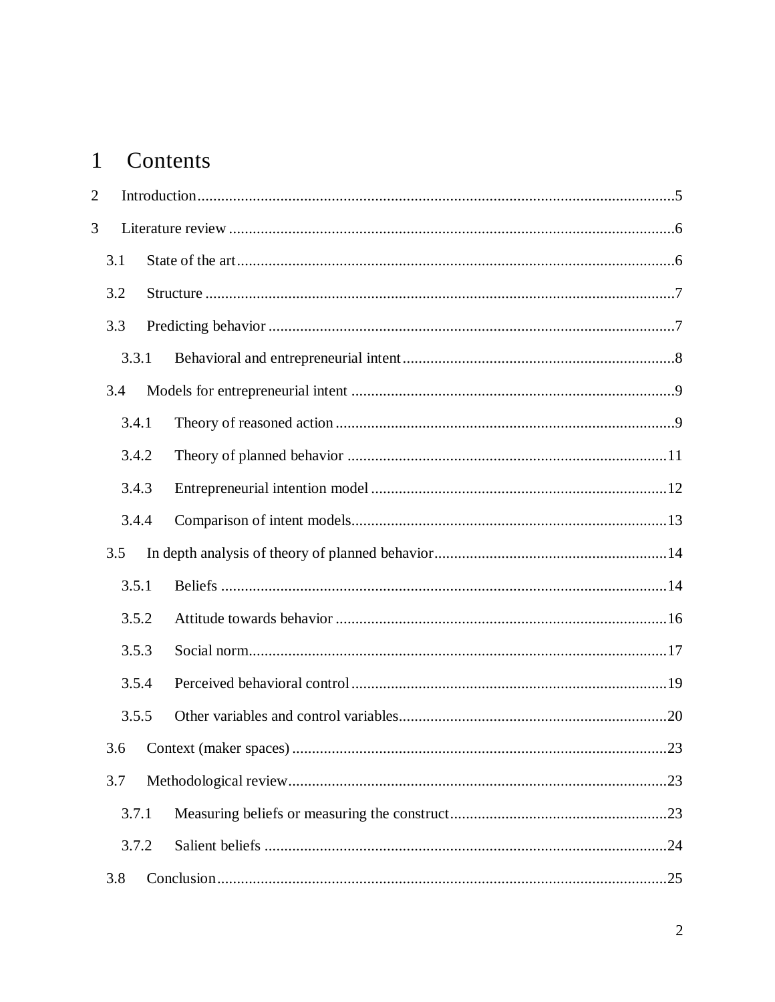# 1 Contents

| $\overline{2}$ |  |
|----------------|--|
| 3              |  |
| 3.1            |  |
| 3.2            |  |
| 3.3            |  |
| 3.3.1          |  |
| 3.4            |  |
| 3.4.1          |  |
| 3.4.2          |  |
| 3.4.3          |  |
| 3.4.4          |  |
| 3.5            |  |
| 3.5.1          |  |
| 3.5.2          |  |
| 3.5.3          |  |
| 3.5.4          |  |
| 3.5.5          |  |
|                |  |
| 3.7            |  |
| 3.7.1          |  |
| 3.7.2          |  |
| 3.8            |  |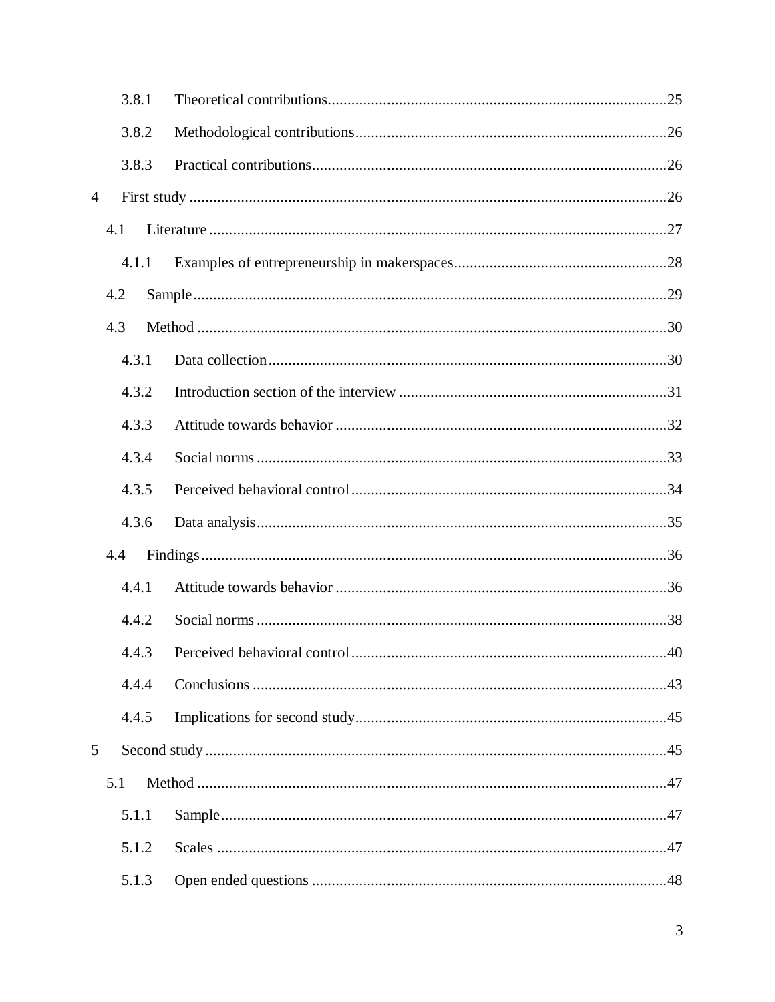|                | 3.8.1 |                              |     |
|----------------|-------|------------------------------|-----|
|                | 3.8.2 |                              |     |
|                | 3.8.3 |                              |     |
| $\overline{4}$ |       |                              |     |
|                | 4.1   |                              |     |
|                | 4.1.1 |                              |     |
|                | 4.2   |                              |     |
|                | 4.3   |                              |     |
|                | 4.3.1 |                              |     |
|                | 4.3.2 |                              |     |
|                | 4.3.3 |                              |     |
|                | 4.3.4 |                              |     |
|                | 4.3.5 |                              |     |
|                | 4.3.6 |                              |     |
|                | 4.4   |                              |     |
|                | 4.4.1 |                              |     |
|                | 4.4.2 |                              |     |
|                | 4.4.3 | Perceived behavioral control | .40 |
|                | 4.4.4 |                              |     |
|                | 4.4.5 |                              |     |
| $\mathfrak{S}$ |       |                              |     |
|                | 5.1   |                              |     |
|                | 5.1.1 |                              |     |
|                | 5.1.2 |                              |     |
|                | 5.1.3 |                              |     |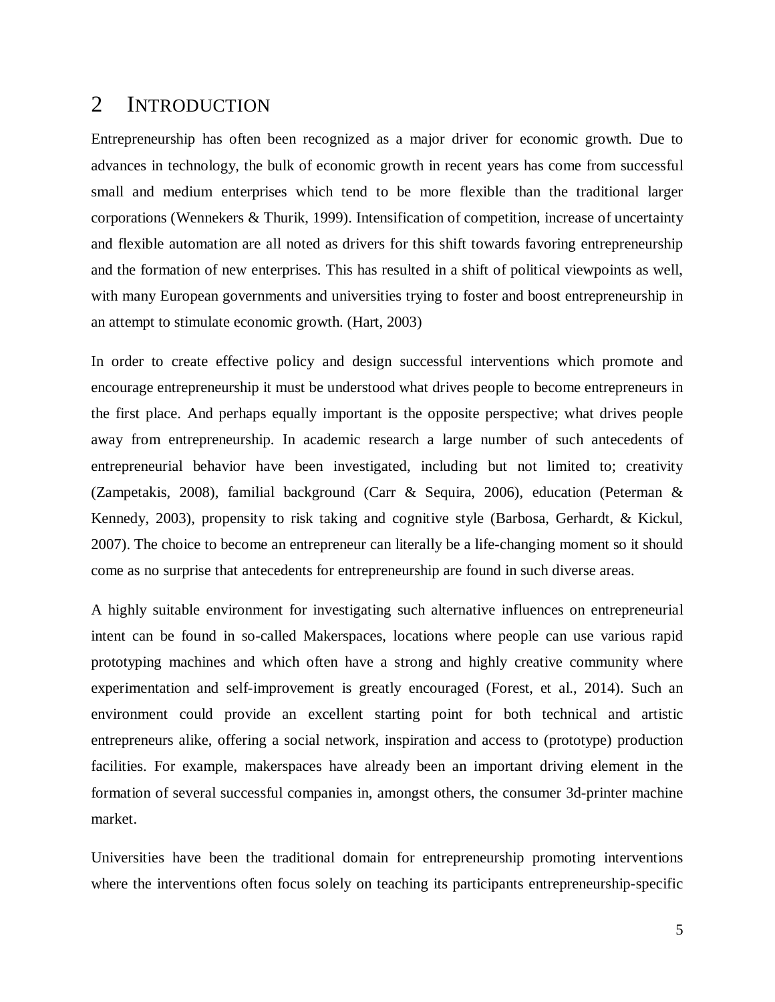# <span id="page-6-0"></span>2 INTRODUCTION

Entrepreneurship has often been recognized as a major driver for economic growth. Due to advances in technology, the bulk of economic growth in recent years has come from successful small and medium enterprises which tend to be more flexible than the traditional larger corporations (Wennekers & Thurik, 1999). Intensification of competition, increase of uncertainty and flexible automation are all noted as drivers for this shift towards favoring entrepreneurship and the formation of new enterprises. This has resulted in a shift of political viewpoints as well, with many European governments and universities trying to foster and boost entrepreneurship in an attempt to stimulate economic growth. (Hart, 2003)

In order to create effective policy and design successful interventions which promote and encourage entrepreneurship it must be understood what drives people to become entrepreneurs in the first place. And perhaps equally important is the opposite perspective; what drives people away from entrepreneurship. In academic research a large number of such antecedents of entrepreneurial behavior have been investigated, including but not limited to; creativity (Zampetakis, 2008), familial background (Carr & Sequira, 2006), education (Peterman & Kennedy, 2003), propensity to risk taking and cognitive style (Barbosa, Gerhardt, & Kickul, 2007). The choice to become an entrepreneur can literally be a life-changing moment so it should come as no surprise that antecedents for entrepreneurship are found in such diverse areas.

A highly suitable environment for investigating such alternative influences on entrepreneurial intent can be found in so-called Makerspaces, locations where people can use various rapid prototyping machines and which often have a strong and highly creative community where experimentation and self-improvement is greatly encouraged (Forest, et al., 2014). Such an environment could provide an excellent starting point for both technical and artistic entrepreneurs alike, offering a social network, inspiration and access to (prototype) production facilities. For example, makerspaces have already been an important driving element in the formation of several successful companies in, amongst others, the consumer 3d-printer machine market.

Universities have been the traditional domain for entrepreneurship promoting interventions where the interventions often focus solely on teaching its participants entrepreneurship-specific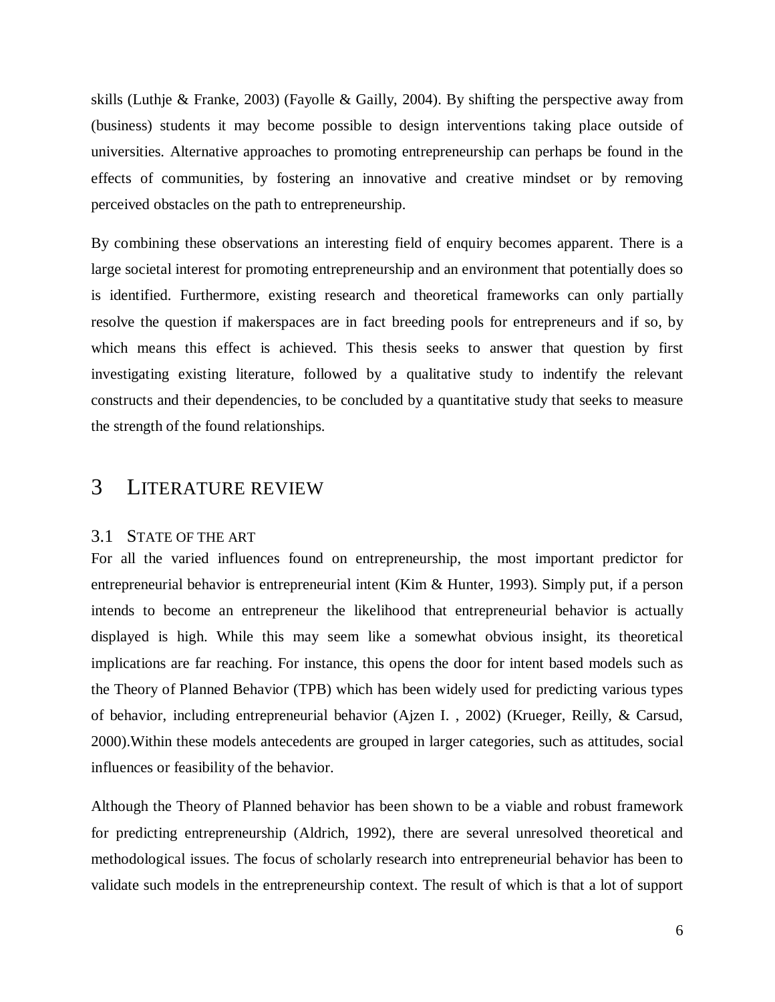skills (Luthje & Franke, 2003) (Fayolle & Gailly, 2004). By shifting the perspective away from (business) students it may become possible to design interventions taking place outside of universities. Alternative approaches to promoting entrepreneurship can perhaps be found in the effects of communities, by fostering an innovative and creative mindset or by removing perceived obstacles on the path to entrepreneurship.

By combining these observations an interesting field of enquiry becomes apparent. There is a large societal interest for promoting entrepreneurship and an environment that potentially does so is identified. Furthermore, existing research and theoretical frameworks can only partially resolve the question if makerspaces are in fact breeding pools for entrepreneurs and if so, by which means this effect is achieved. This thesis seeks to answer that question by first investigating existing literature, followed by a qualitative study to indentify the relevant constructs and their dependencies, to be concluded by a quantitative study that seeks to measure the strength of the found relationships.

# <span id="page-7-0"></span>3 LITERATURE REVIEW

#### <span id="page-7-1"></span>3.1 STATE OF THE ART

For all the varied influences found on entrepreneurship, the most important predictor for entrepreneurial behavior is entrepreneurial intent (Kim & Hunter, 1993). Simply put, if a person intends to become an entrepreneur the likelihood that entrepreneurial behavior is actually displayed is high. While this may seem like a somewhat obvious insight, its theoretical implications are far reaching. For instance, this opens the door for intent based models such as the Theory of Planned Behavior (TPB) which has been widely used for predicting various types of behavior, including entrepreneurial behavior (Ajzen I. , 2002) (Krueger, Reilly, & Carsud, 2000).Within these models antecedents are grouped in larger categories, such as attitudes, social influences or feasibility of the behavior.

Although the Theory of Planned behavior has been shown to be a viable and robust framework for predicting entrepreneurship (Aldrich, 1992), there are several unresolved theoretical and methodological issues. The focus of scholarly research into entrepreneurial behavior has been to validate such models in the entrepreneurship context. The result of which is that a lot of support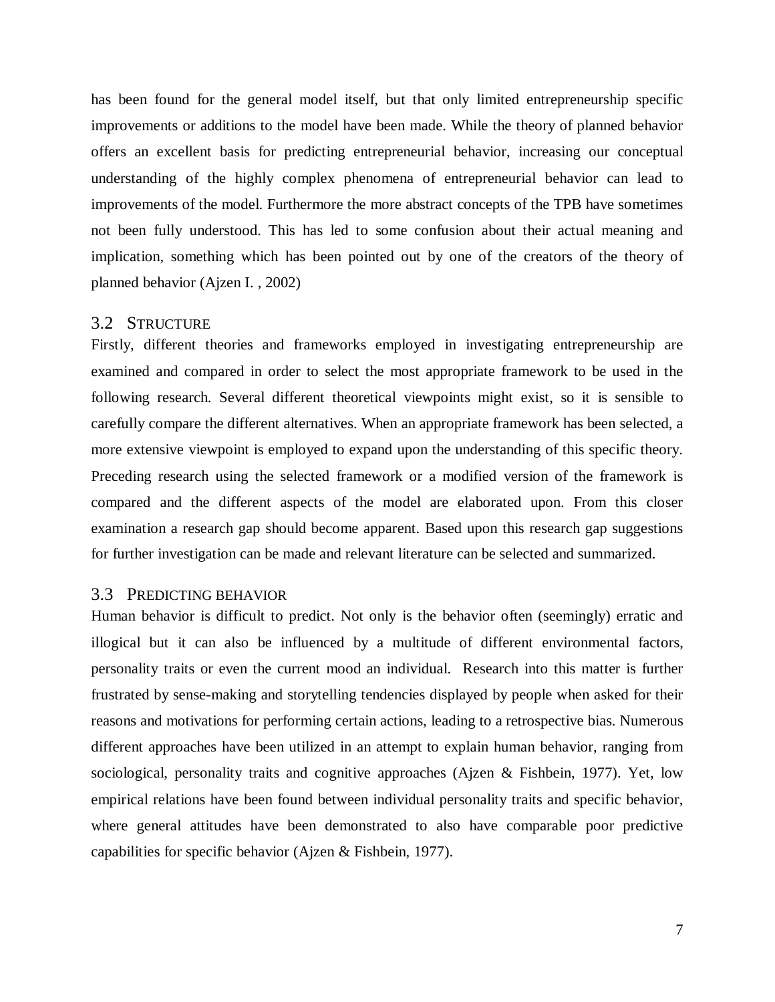has been found for the general model itself, but that only limited entrepreneurship specific improvements or additions to the model have been made. While the theory of planned behavior offers an excellent basis for predicting entrepreneurial behavior, increasing our conceptual understanding of the highly complex phenomena of entrepreneurial behavior can lead to improvements of the model. Furthermore the more abstract concepts of the TPB have sometimes not been fully understood. This has led to some confusion about their actual meaning and implication, something which has been pointed out by one of the creators of the theory of planned behavior (Ajzen I. , 2002)

#### <span id="page-8-0"></span>3.2 STRUCTURE

Firstly, different theories and frameworks employed in investigating entrepreneurship are examined and compared in order to select the most appropriate framework to be used in the following research. Several different theoretical viewpoints might exist, so it is sensible to carefully compare the different alternatives. When an appropriate framework has been selected, a more extensive viewpoint is employed to expand upon the understanding of this specific theory. Preceding research using the selected framework or a modified version of the framework is compared and the different aspects of the model are elaborated upon. From this closer examination a research gap should become apparent. Based upon this research gap suggestions for further investigation can be made and relevant literature can be selected and summarized.

#### <span id="page-8-1"></span>3.3 PREDICTING BEHAVIOR

Human behavior is difficult to predict. Not only is the behavior often (seemingly) erratic and illogical but it can also be influenced by a multitude of different environmental factors, personality traits or even the current mood an individual. Research into this matter is further frustrated by sense-making and storytelling tendencies displayed by people when asked for their reasons and motivations for performing certain actions, leading to a retrospective bias. Numerous different approaches have been utilized in an attempt to explain human behavior, ranging from sociological, personality traits and cognitive approaches (Ajzen & Fishbein, 1977). Yet, low empirical relations have been found between individual personality traits and specific behavior, where general attitudes have been demonstrated to also have comparable poor predictive capabilities for specific behavior (Ajzen & Fishbein, 1977).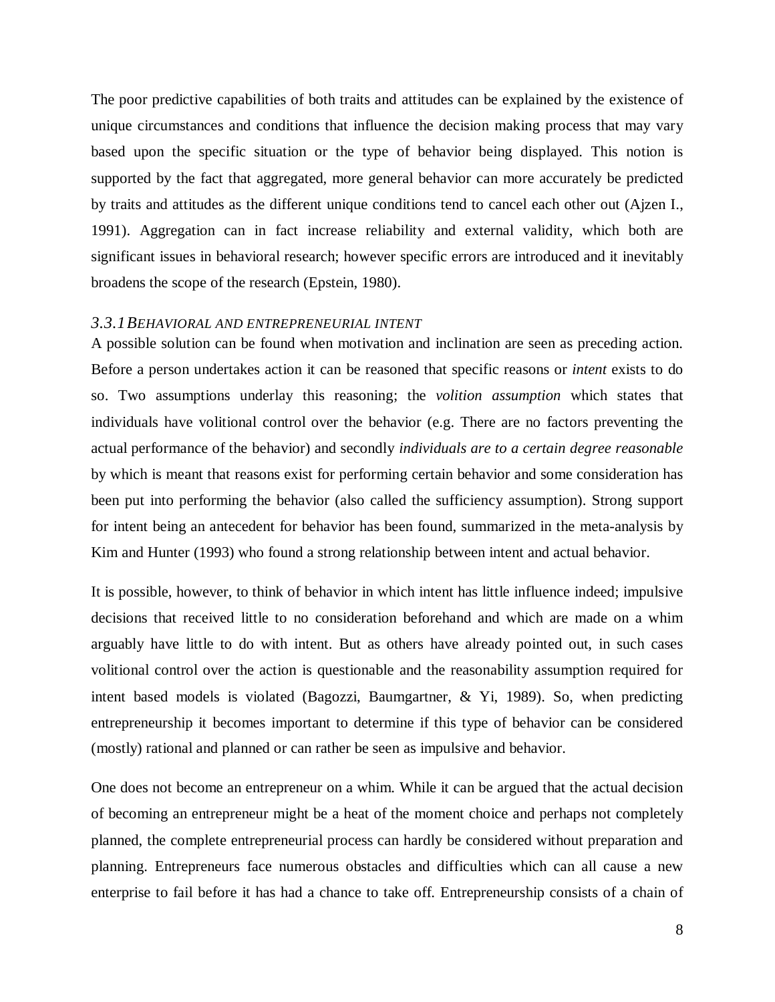The poor predictive capabilities of both traits and attitudes can be explained by the existence of unique circumstances and conditions that influence the decision making process that may vary based upon the specific situation or the type of behavior being displayed. This notion is supported by the fact that aggregated, more general behavior can more accurately be predicted by traits and attitudes as the different unique conditions tend to cancel each other out (Ajzen I., 1991). Aggregation can in fact increase reliability and external validity, which both are significant issues in behavioral research; however specific errors are introduced and it inevitably broadens the scope of the research (Epstein, 1980).

#### <span id="page-9-0"></span>*3.3.1BEHAVIORAL AND ENTREPRENEURIAL INTENT*

A possible solution can be found when motivation and inclination are seen as preceding action. Before a person undertakes action it can be reasoned that specific reasons or *intent* exists to do so. Two assumptions underlay this reasoning; the *volition assumption* which states that individuals have volitional control over the behavior (e.g. There are no factors preventing the actual performance of the behavior) and secondly *individuals are to a certain degree reasonable* by which is meant that reasons exist for performing certain behavior and some consideration has been put into performing the behavior (also called the sufficiency assumption). Strong support for intent being an antecedent for behavior has been found, summarized in the meta-analysis by Kim and Hunter (1993) who found a strong relationship between intent and actual behavior.

It is possible, however, to think of behavior in which intent has little influence indeed; impulsive decisions that received little to no consideration beforehand and which are made on a whim arguably have little to do with intent. But as others have already pointed out, in such cases volitional control over the action is questionable and the reasonability assumption required for intent based models is violated (Bagozzi, Baumgartner, & Yi, 1989). So, when predicting entrepreneurship it becomes important to determine if this type of behavior can be considered (mostly) rational and planned or can rather be seen as impulsive and behavior.

One does not become an entrepreneur on a whim. While it can be argued that the actual decision of becoming an entrepreneur might be a heat of the moment choice and perhaps not completely planned, the complete entrepreneurial process can hardly be considered without preparation and planning. Entrepreneurs face numerous obstacles and difficulties which can all cause a new enterprise to fail before it has had a chance to take off. Entrepreneurship consists of a chain of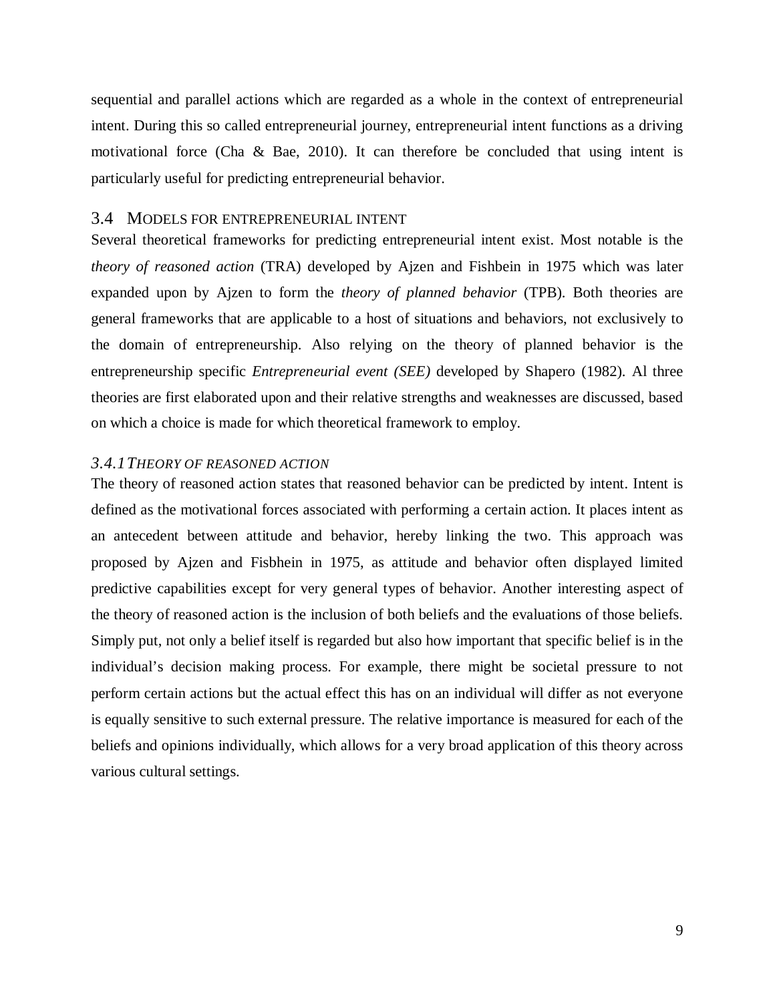sequential and parallel actions which are regarded as a whole in the context of entrepreneurial intent. During this so called entrepreneurial journey, entrepreneurial intent functions as a driving motivational force (Cha & Bae, 2010). It can therefore be concluded that using intent is particularly useful for predicting entrepreneurial behavior.

### <span id="page-10-0"></span>3.4 MODELS FOR ENTREPRENEURIAL INTENT

Several theoretical frameworks for predicting entrepreneurial intent exist. Most notable is the *theory of reasoned action* (TRA) developed by Ajzen and Fishbein in 1975 which was later expanded upon by Ajzen to form the *theory of planned behavior* (TPB). Both theories are general frameworks that are applicable to a host of situations and behaviors, not exclusively to the domain of entrepreneurship. Also relying on the theory of planned behavior is the entrepreneurship specific *Entrepreneurial event (SEE)* developed by Shapero (1982). Al three theories are first elaborated upon and their relative strengths and weaknesses are discussed, based on which a choice is made for which theoretical framework to employ.

#### <span id="page-10-1"></span>*3.4.1THEORY OF REASONED ACTION*

The theory of reasoned action states that reasoned behavior can be predicted by intent. Intent is defined as the motivational forces associated with performing a certain action. It places intent as an antecedent between attitude and behavior, hereby linking the two. This approach was proposed by Ajzen and Fisbhein in 1975, as attitude and behavior often displayed limited predictive capabilities except for very general types of behavior. Another interesting aspect of the theory of reasoned action is the inclusion of both beliefs and the evaluations of those beliefs. Simply put, not only a belief itself is regarded but also how important that specific belief is in the individual's decision making process. For example, there might be societal pressure to not perform certain actions but the actual effect this has on an individual will differ as not everyone is equally sensitive to such external pressure. The relative importance is measured for each of the beliefs and opinions individually, which allows for a very broad application of this theory across various cultural settings.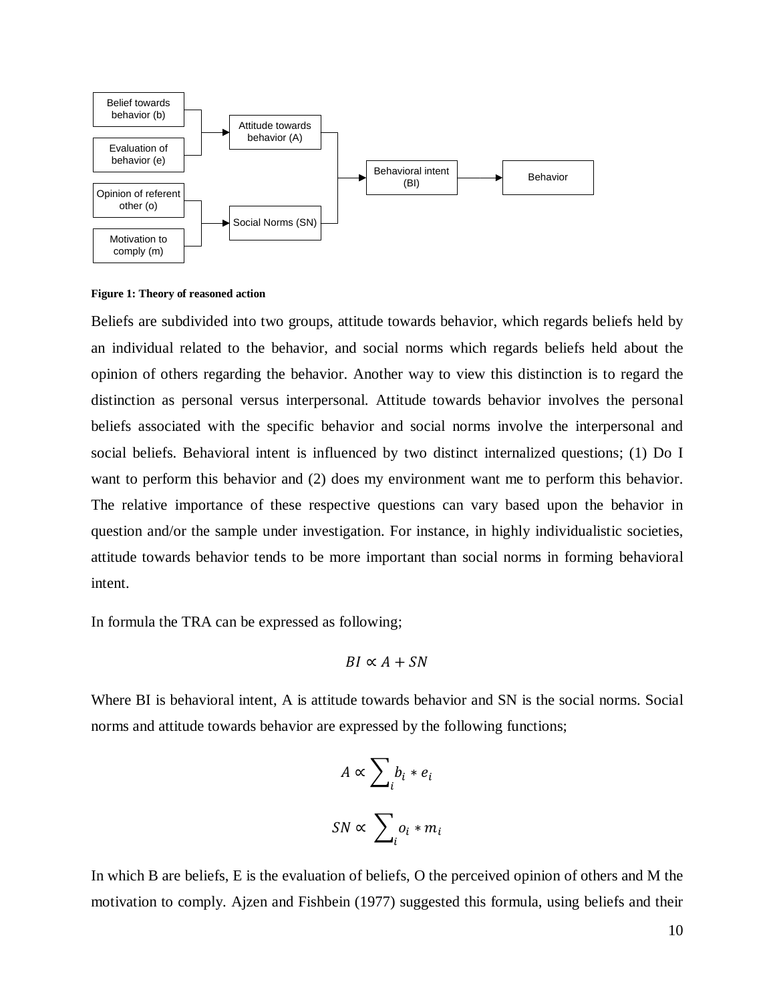

**Figure 1: Theory of reasoned action**

Beliefs are subdivided into two groups, attitude towards behavior, which regards beliefs held by an individual related to the behavior, and social norms which regards beliefs held about the opinion of others regarding the behavior. Another way to view this distinction is to regard the distinction as personal versus interpersonal. Attitude towards behavior involves the personal beliefs associated with the specific behavior and social norms involve the interpersonal and social beliefs. Behavioral intent is influenced by two distinct internalized questions; (1) Do I want to perform this behavior and (2) does my environment want me to perform this behavior. The relative importance of these respective questions can vary based upon the behavior in question and/or the sample under investigation. For instance, in highly individualistic societies, attitude towards behavior tends to be more important than social norms in forming behavioral intent.

In formula the TRA can be expressed as following;

$$
BI \propto A + SN
$$

Where BI is behavioral intent, A is attitude towards behavior and SN is the social norms. Social norms and attitude towards behavior are expressed by the following functions;

$$
A \propto \sum_{i} b_{i} * e_{i}
$$

$$
SN \propto \sum_{i} o_{i} * m_{i}
$$

In which B are beliefs, E is the evaluation of beliefs, O the perceived opinion of others and M the motivation to comply. Ajzen and Fishbein (1977) suggested this formula, using beliefs and their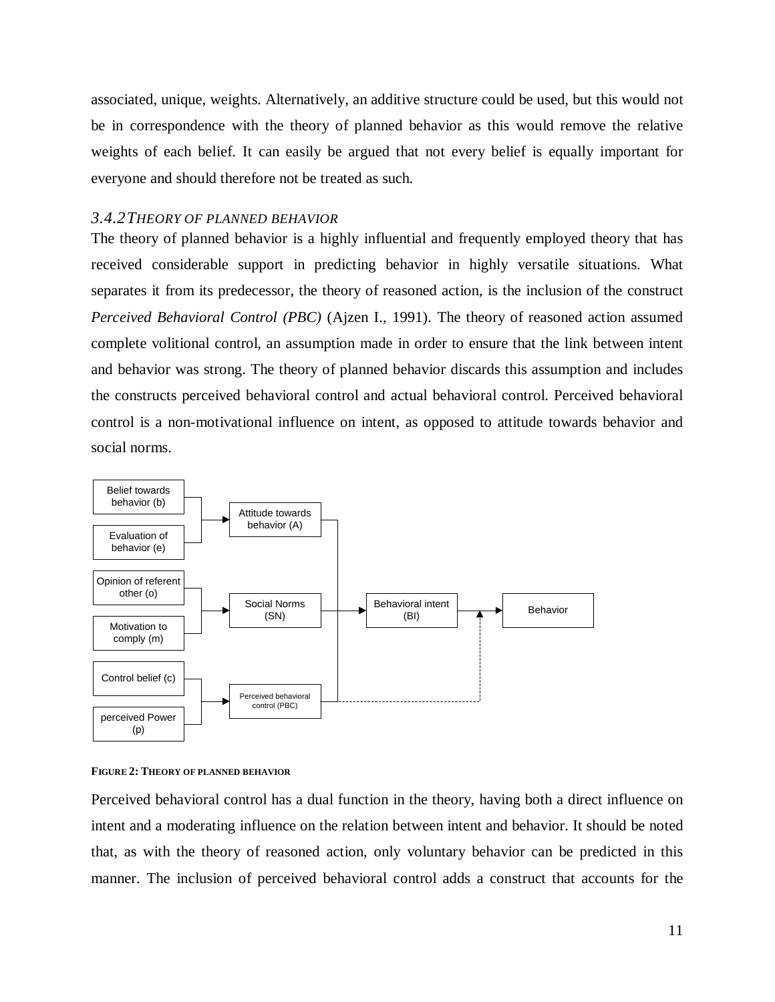associated, unique, weights. Alternatively, an additive structure could be used, but this would not be in correspondence with the theory of planned behavior as this would remove the relative weights of each belief. It can easily be argued that not every belief is equally important for everyone and should therefore not be treated as such.

# <span id="page-12-0"></span>*3.4.2THEORY OF PLANNED BEHAVIOR*

The theory of planned behavior is a highly influential and frequently employed theory that has received considerable support in predicting behavior in highly versatile situations. What separates it from its predecessor, the theory of reasoned action, is the inclusion of the construct *Perceived Behavioral Control (PBC)* (Ajzen I., 1991). The theory of reasoned action assumed complete volitional control, an assumption made in order to ensure that the link between intent and behavior was strong. The theory of planned behavior discards this assumption and includes the constructs perceived behavioral control and actual behavioral control. Perceived behavioral control is a non-motivational influence on intent, as opposed to attitude towards behavior and social norms.





Perceived behavioral control has a dual function in the theory, having both a direct influence on intent and a moderating influence on the relation between intent and behavior. It should be noted that, as with the theory of reasoned action, only voluntary behavior can be predicted in this manner. The inclusion of perceived behavioral control adds a construct that accounts for the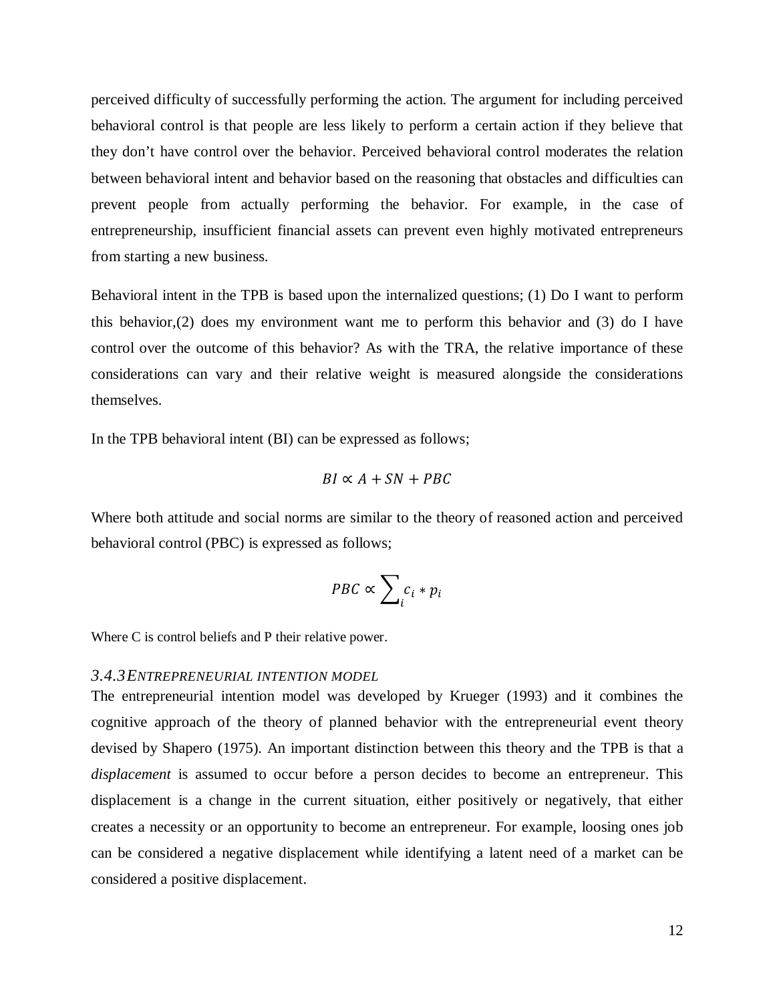perceived difficulty of successfully performing the action. The argument for including perceived behavioral control is that people are less likely to perform a certain action if they believe that they don't have control over the behavior. Perceived behavioral control moderates the relation between behavioral intent and behavior based on the reasoning that obstacles and difficulties can prevent people from actually performing the behavior. For example, in the case of entrepreneurship, insufficient financial assets can prevent even highly motivated entrepreneurs from starting a new business.

Behavioral intent in the TPB is based upon the internalized questions; (1) Do I want to perform this behavior,(2) does my environment want me to perform this behavior and (3) do I have control over the outcome of this behavior? As with the TRA, the relative importance of these considerations can vary and their relative weight is measured alongside the considerations themselves.

In the TPB behavioral intent (BI) can be expressed as follows;

$$
BI \propto A + SN + PBC
$$

Where both attitude and social norms are similar to the theory of reasoned action and perceived behavioral control (PBC) is expressed as follows;

$$
PBC \propto \sum_i c_i * p_i
$$

Where C is control beliefs and P their relative power.

#### <span id="page-13-0"></span>*3.4.3ENTREPRENEURIAL INTENTION MODEL*

The entrepreneurial intention model was developed by Krueger (1993) and it combines the cognitive approach of the theory of planned behavior with the entrepreneurial event theory devised by Shapero (1975). An important distinction between this theory and the TPB is that a *displacement* is assumed to occur before a person decides to become an entrepreneur. This displacement is a change in the current situation, either positively or negatively, that either creates a necessity or an opportunity to become an entrepreneur. For example, loosing ones job can be considered a negative displacement while identifying a latent need of a market can be considered a positive displacement.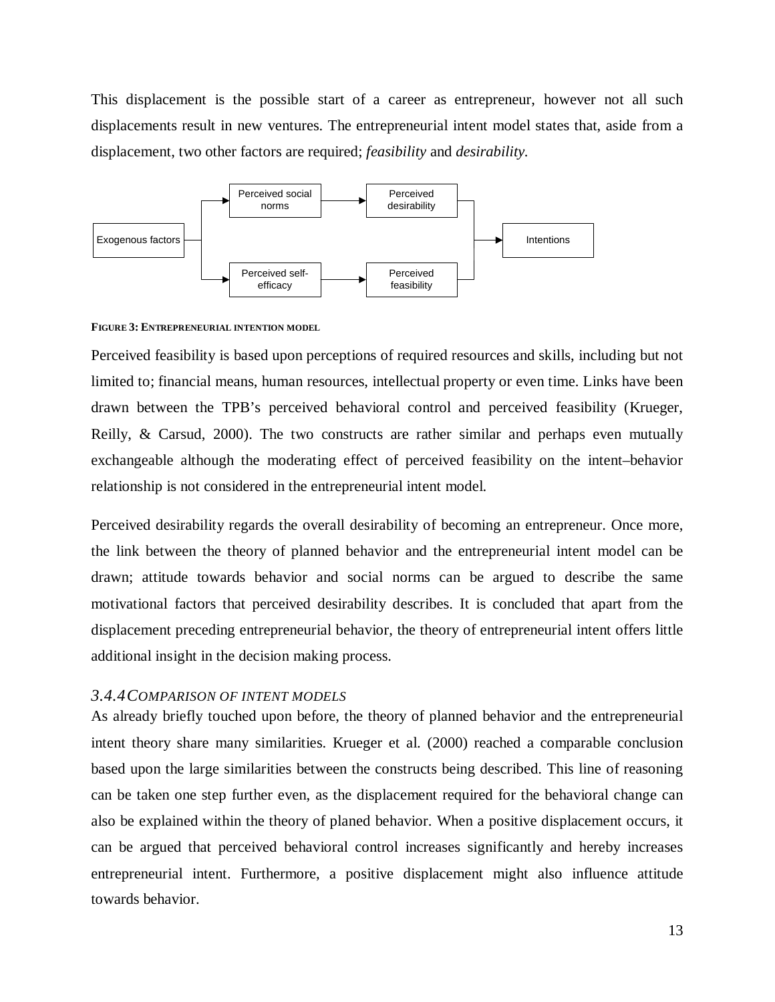This displacement is the possible start of a career as entrepreneur, however not all such displacements result in new ventures. The entrepreneurial intent model states that, aside from a displacement, two other factors are required; *feasibility* and *desirability.*



**FIGURE 3: ENTREPRENEURIAL INTENTION MODEL**

Perceived feasibility is based upon perceptions of required resources and skills, including but not limited to; financial means, human resources, intellectual property or even time. Links have been drawn between the TPB's perceived behavioral control and perceived feasibility (Krueger, Reilly,  $\&$  Carsud, 2000). The two constructs are rather similar and perhaps even mutually exchangeable although the moderating effect of perceived feasibility on the intent–behavior relationship is not considered in the entrepreneurial intent model.

Perceived desirability regards the overall desirability of becoming an entrepreneur. Once more, the link between the theory of planned behavior and the entrepreneurial intent model can be drawn; attitude towards behavior and social norms can be argued to describe the same motivational factors that perceived desirability describes. It is concluded that apart from the displacement preceding entrepreneurial behavior, the theory of entrepreneurial intent offers little additional insight in the decision making process.

# <span id="page-14-0"></span>*3.4.4COMPARISON OF INTENT MODELS*

As already briefly touched upon before, the theory of planned behavior and the entrepreneurial intent theory share many similarities. Krueger et al. (2000) reached a comparable conclusion based upon the large similarities between the constructs being described. This line of reasoning can be taken one step further even, as the displacement required for the behavioral change can also be explained within the theory of planed behavior. When a positive displacement occurs, it can be argued that perceived behavioral control increases significantly and hereby increases entrepreneurial intent. Furthermore, a positive displacement might also influence attitude towards behavior.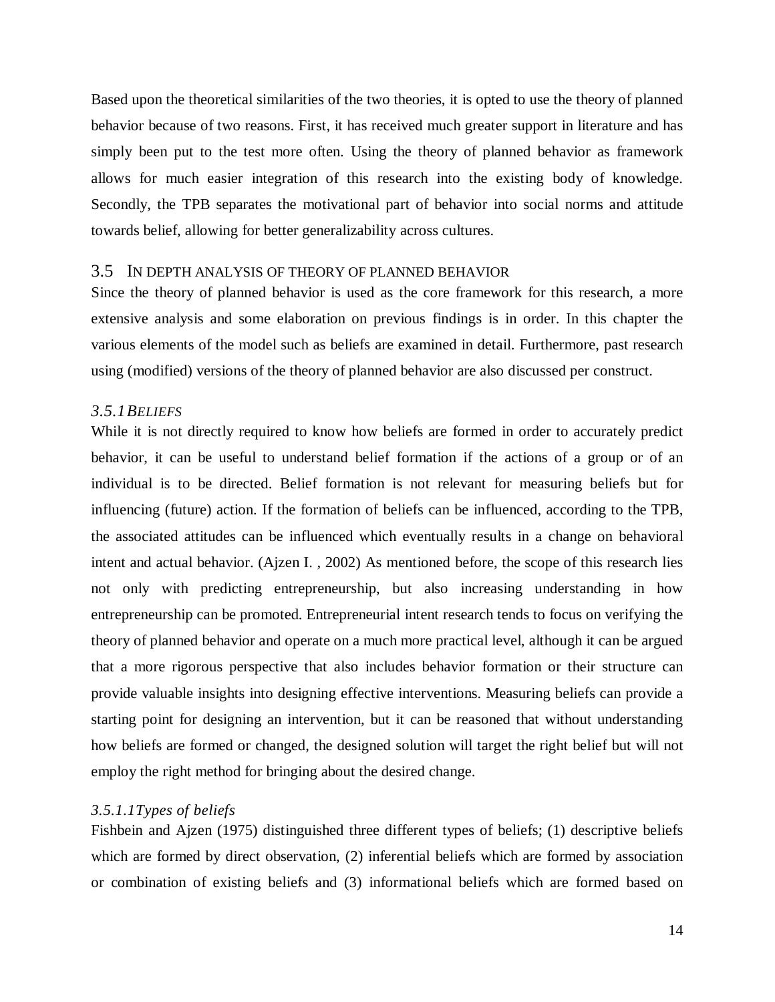Based upon the theoretical similarities of the two theories, it is opted to use the theory of planned behavior because of two reasons. First, it has received much greater support in literature and has simply been put to the test more often. Using the theory of planned behavior as framework allows for much easier integration of this research into the existing body of knowledge. Secondly, the TPB separates the motivational part of behavior into social norms and attitude towards belief, allowing for better generalizability across cultures.

#### <span id="page-15-0"></span>3.5 IN DEPTH ANALYSIS OF THEORY OF PLANNED BEHAVIOR

Since the theory of planned behavior is used as the core framework for this research, a more extensive analysis and some elaboration on previous findings is in order. In this chapter the various elements of the model such as beliefs are examined in detail. Furthermore, past research using (modified) versions of the theory of planned behavior are also discussed per construct.

#### <span id="page-15-1"></span>*3.5.1BELIEFS*

While it is not directly required to know how beliefs are formed in order to accurately predict behavior, it can be useful to understand belief formation if the actions of a group or of an individual is to be directed. Belief formation is not relevant for measuring beliefs but for influencing (future) action. If the formation of beliefs can be influenced, according to the TPB, the associated attitudes can be influenced which eventually results in a change on behavioral intent and actual behavior. (Ajzen I. , 2002) As mentioned before, the scope of this research lies not only with predicting entrepreneurship, but also increasing understanding in how entrepreneurship can be promoted. Entrepreneurial intent research tends to focus on verifying the theory of planned behavior and operate on a much more practical level, although it can be argued that a more rigorous perspective that also includes behavior formation or their structure can provide valuable insights into designing effective interventions. Measuring beliefs can provide a starting point for designing an intervention, but it can be reasoned that without understanding how beliefs are formed or changed, the designed solution will target the right belief but will not employ the right method for bringing about the desired change.

#### *3.5.1.1Types of beliefs*

Fishbein and Ajzen (1975) distinguished three different types of beliefs; (1) descriptive beliefs which are formed by direct observation, (2) inferential beliefs which are formed by association or combination of existing beliefs and (3) informational beliefs which are formed based on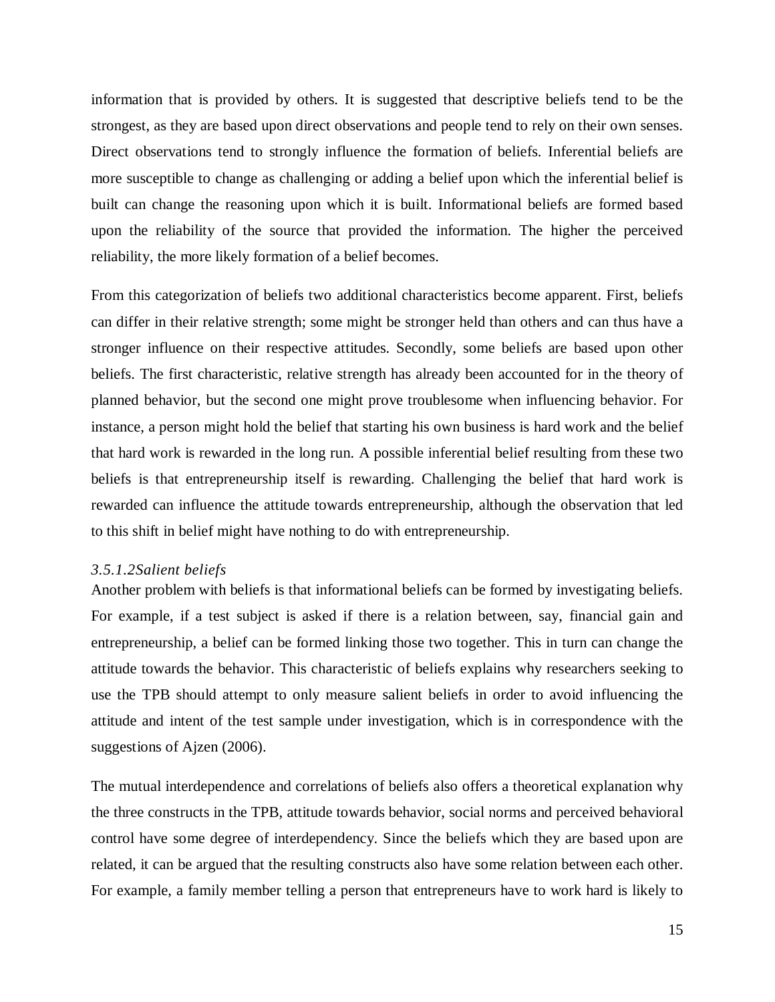information that is provided by others. It is suggested that descriptive beliefs tend to be the strongest, as they are based upon direct observations and people tend to rely on their own senses. Direct observations tend to strongly influence the formation of beliefs. Inferential beliefs are more susceptible to change as challenging or adding a belief upon which the inferential belief is built can change the reasoning upon which it is built. Informational beliefs are formed based upon the reliability of the source that provided the information. The higher the perceived reliability, the more likely formation of a belief becomes.

From this categorization of beliefs two additional characteristics become apparent. First, beliefs can differ in their relative strength; some might be stronger held than others and can thus have a stronger influence on their respective attitudes. Secondly, some beliefs are based upon other beliefs. The first characteristic, relative strength has already been accounted for in the theory of planned behavior, but the second one might prove troublesome when influencing behavior. For instance, a person might hold the belief that starting his own business is hard work and the belief that hard work is rewarded in the long run. A possible inferential belief resulting from these two beliefs is that entrepreneurship itself is rewarding. Challenging the belief that hard work is rewarded can influence the attitude towards entrepreneurship, although the observation that led to this shift in belief might have nothing to do with entrepreneurship.

#### *3.5.1.2Salient beliefs*

Another problem with beliefs is that informational beliefs can be formed by investigating beliefs. For example, if a test subject is asked if there is a relation between, say, financial gain and entrepreneurship, a belief can be formed linking those two together. This in turn can change the attitude towards the behavior. This characteristic of beliefs explains why researchers seeking to use the TPB should attempt to only measure salient beliefs in order to avoid influencing the attitude and intent of the test sample under investigation, which is in correspondence with the suggestions of Ajzen (2006).

The mutual interdependence and correlations of beliefs also offers a theoretical explanation why the three constructs in the TPB, attitude towards behavior, social norms and perceived behavioral control have some degree of interdependency. Since the beliefs which they are based upon are related, it can be argued that the resulting constructs also have some relation between each other. For example, a family member telling a person that entrepreneurs have to work hard is likely to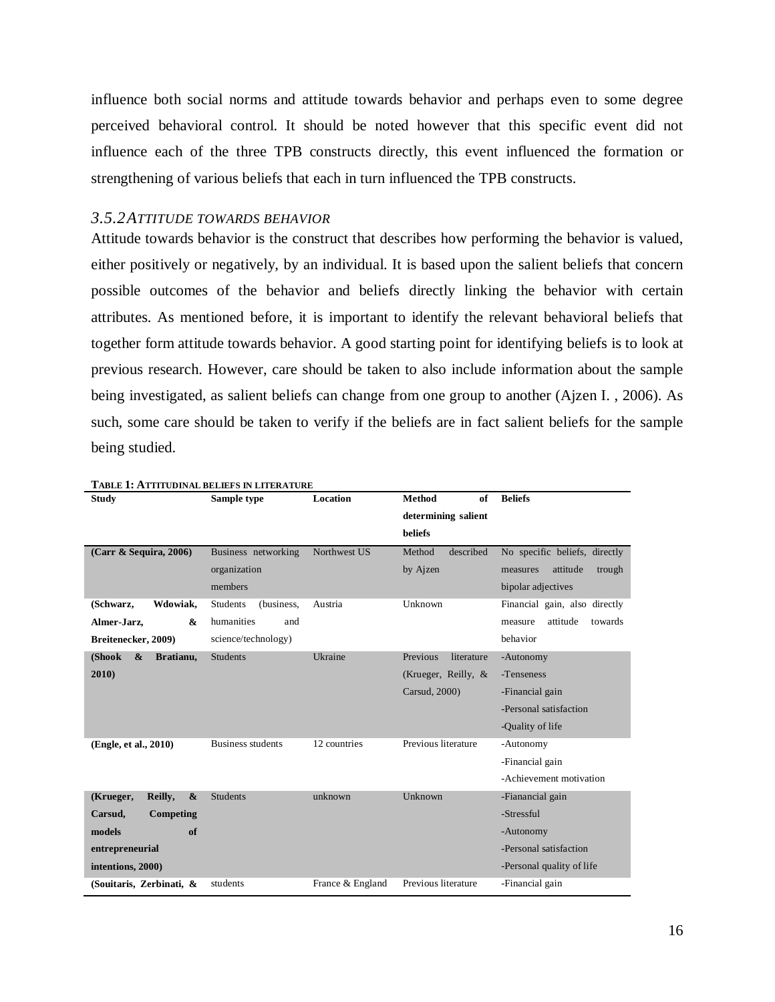influence both social norms and attitude towards behavior and perhaps even to some degree perceived behavioral control. It should be noted however that this specific event did not influence each of the three TPB constructs directly, this event influenced the formation or strengthening of various beliefs that each in turn influenced the TPB constructs.

# <span id="page-17-0"></span>*3.5.2ATTITUDE TOWARDS BEHAVIOR*

Attitude towards behavior is the construct that describes how performing the behavior is valued, either positively or negatively, by an individual. It is based upon the salient beliefs that concern possible outcomes of the behavior and beliefs directly linking the behavior with certain attributes. As mentioned before, it is important to identify the relevant behavioral beliefs that together form attitude towards behavior. A good starting point for identifying beliefs is to look at previous research. However, care should be taken to also include information about the sample being investigated, as salient beliefs can change from one group to another (Ajzen I. , 2006). As such, some care should be taken to verify if the beliefs are in fact salient beliefs for the sample being studied.

| <b>Study</b>                              | Sample type                   | <b>Location</b>  | <b>Method</b><br>of            | <b>Beliefs</b>                 |
|-------------------------------------------|-------------------------------|------------------|--------------------------------|--------------------------------|
|                                           |                               |                  | determining salient<br>beliefs |                                |
|                                           |                               |                  |                                |                                |
| (Carr & Sequira, 2006)                    | Business networking           | Northwest US     | Method<br>described            | No specific beliefs, directly  |
|                                           | organization                  |                  | by Ajzen                       | attitude<br>trough<br>measures |
|                                           | members                       |                  |                                | bipolar adjectives             |
| Wdowiak,<br>(Schwarz,                     | <b>Students</b><br>(business, | Austria          | Unknown                        | Financial gain, also directly  |
| Almer-Jarz,<br>&                          | humanities<br>and             |                  |                                | attitude<br>towards<br>measure |
| Breitenecker, 2009)                       | science/technology)           |                  |                                | behavior                       |
| $\boldsymbol{\&}$<br>(Shook<br>Bratianu,  | <b>Students</b>               | Ukraine          | Previous<br>literature         | -Autonomy                      |
| 2010)                                     |                               |                  | (Krueger, Reilly, $&$          | -Tenseness                     |
|                                           |                               |                  | Carsud, 2000)                  | -Financial gain                |
|                                           |                               |                  |                                | -Personal satisfaction         |
|                                           |                               |                  |                                | -Quality of life               |
| (Engle, et al., 2010)                     | <b>Business students</b>      | 12 countries     | Previous literature            | -Autonomy                      |
|                                           |                               |                  |                                | -Financial gain                |
|                                           |                               |                  |                                | -Achievement motivation        |
| Reilly,<br>$\boldsymbol{\&}$<br>(Krueger, | <b>Students</b>               | unknown          | Unknown                        | -Fianancial gain               |
| Competing<br>Carsud.                      |                               |                  |                                | -Stressful                     |
| models<br>of                              |                               |                  |                                | -Autonomy                      |
| entrepreneurial                           |                               |                  |                                | -Personal satisfaction         |
| intentions, 2000)                         |                               |                  |                                | -Personal quality of life      |
| (Souitaris, Zerbinati, &                  | students                      | France & England | Previous literature            | -Financial gain                |

#### **TABLE 1: ATTITUDINAL BELIEFS IN LITERATURE**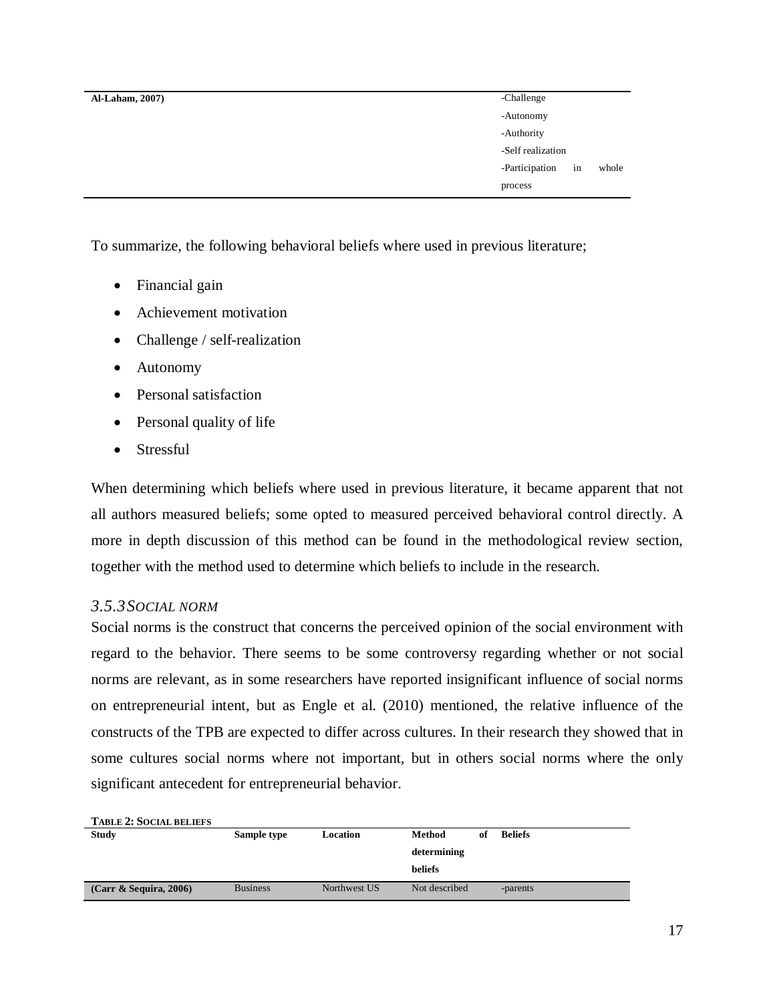| <b>Al-Laham, 2007)</b> | -Challenge                    |
|------------------------|-------------------------------|
|                        | -Autonomy                     |
|                        | -Authority                    |
|                        | -Self realization             |
|                        | -Participation<br>whole<br>in |
|                        | process                       |

To summarize, the following behavioral beliefs where used in previous literature;

- Financial gain
- Achievement motivation
- Challenge / self-realization
- Autonomy
- Personal satisfaction
- Personal quality of life
- Stressful

When determining which beliefs where used in previous literature, it became apparent that not all authors measured beliefs; some opted to measured perceived behavioral control directly. A more in depth discussion of this method can be found in the methodological review section, together with the method used to determine which beliefs to include in the research.

# <span id="page-18-0"></span>*3.5.3SOCIAL NORM*

Social norms is the construct that concerns the perceived opinion of the social environment with regard to the behavior. There seems to be some controversy regarding whether or not social norms are relevant, as in some researchers have reported insignificant influence of social norms on entrepreneurial intent, but as Engle et al. (2010) mentioned, the relative influence of the constructs of the TPB are expected to differ across cultures. In their research they showed that in some cultures social norms where not important, but in others social norms where the only significant antecedent for entrepreneurial behavior.

| <b>TABLE 2: SOCIAL BELIEFS</b> |                 |              |               |    |                |
|--------------------------------|-----------------|--------------|---------------|----|----------------|
| <b>Study</b>                   | Sample type     | Location     | Method        | of | <b>Beliefs</b> |
|                                |                 |              | determining   |    |                |
|                                |                 |              | beliefs       |    |                |
| $(Carr \& Sequira, 2006)$      | <b>Business</b> | Northwest US | Not described |    | -parents       |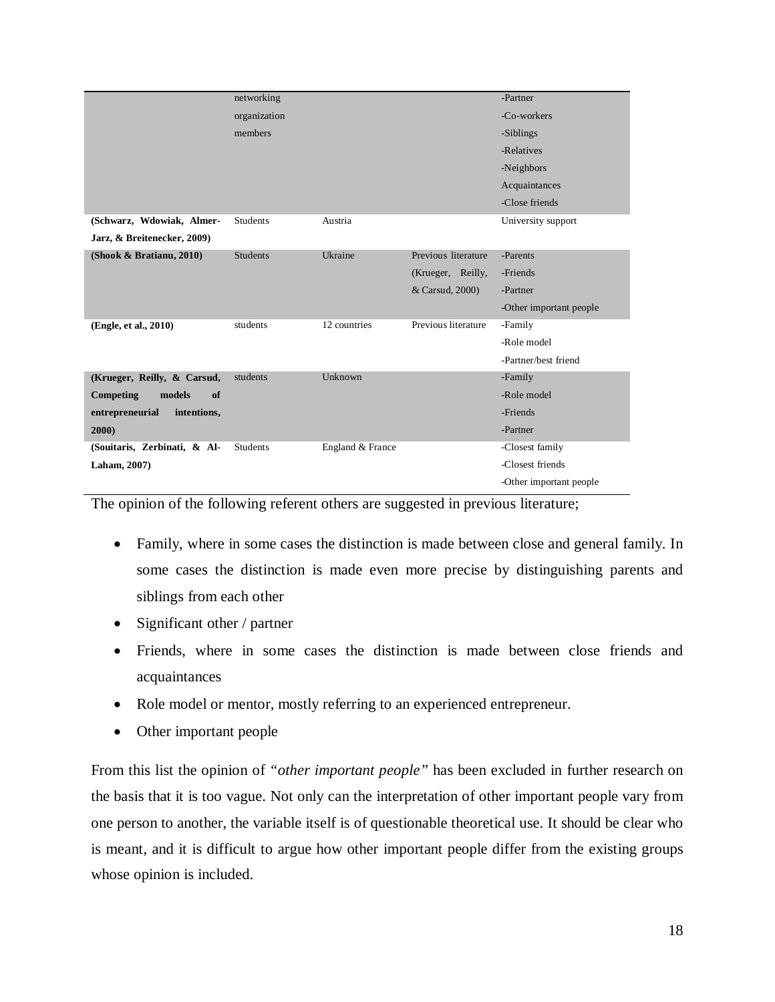|                                | networking      |                  |                     | -Partner                |
|--------------------------------|-----------------|------------------|---------------------|-------------------------|
|                                | organization    |                  |                     | -Co-workers             |
|                                | members         |                  |                     | -Siblings               |
|                                |                 |                  |                     |                         |
|                                |                 |                  |                     | -Relatives              |
|                                |                 |                  |                     | -Neighbors              |
|                                |                 |                  |                     | Acquaintances           |
|                                |                 |                  |                     | -Close friends          |
| (Schwarz, Wdowiak, Almer-      | <b>Students</b> | Austria          |                     | University support      |
| Jarz, & Breitenecker, 2009)    |                 |                  |                     |                         |
| (Shook & Bratianu, 2010)       | <b>Students</b> | Ukraine          | Previous literature | -Parents                |
|                                |                 |                  | (Krueger, Reilly,   | -Friends                |
|                                |                 |                  | & Carsud, 2000)     | -Partner                |
|                                |                 |                  |                     | -Other important people |
| (Engle, et al., 2010)          | students        | 12 countries     | Previous literature | -Family                 |
|                                |                 |                  |                     | -Role model             |
|                                |                 |                  |                     | -Partner/best friend    |
| (Krueger, Reilly, & Carsud,    | students        | Unknown          |                     | -Family                 |
| Competing<br>models<br>of      |                 |                  |                     | -Role model             |
| entrepreneurial<br>intentions, |                 |                  |                     | -Friends                |
| 2000)                          |                 |                  |                     | -Partner                |
| (Souitaris, Zerbinati, & Al-   | <b>Students</b> | England & France |                     | -Closest family         |
| Laham, 2007)                   |                 |                  |                     | -Closest friends        |
|                                |                 |                  |                     | -Other important people |

The opinion of the following referent others are suggested in previous literature;

- Family, where in some cases the distinction is made between close and general family. In some cases the distinction is made even more precise by distinguishing parents and siblings from each other
- Significant other / partner
- Friends, where in some cases the distinction is made between close friends and acquaintances
- Role model or mentor, mostly referring to an experienced entrepreneur.
- Other important people

From this list the opinion of *"other important people"* has been excluded in further research on the basis that it is too vague. Not only can the interpretation of other important people vary from one person to another, the variable itself is of questionable theoretical use. It should be clear who is meant, and it is difficult to argue how other important people differ from the existing groups whose opinion is included.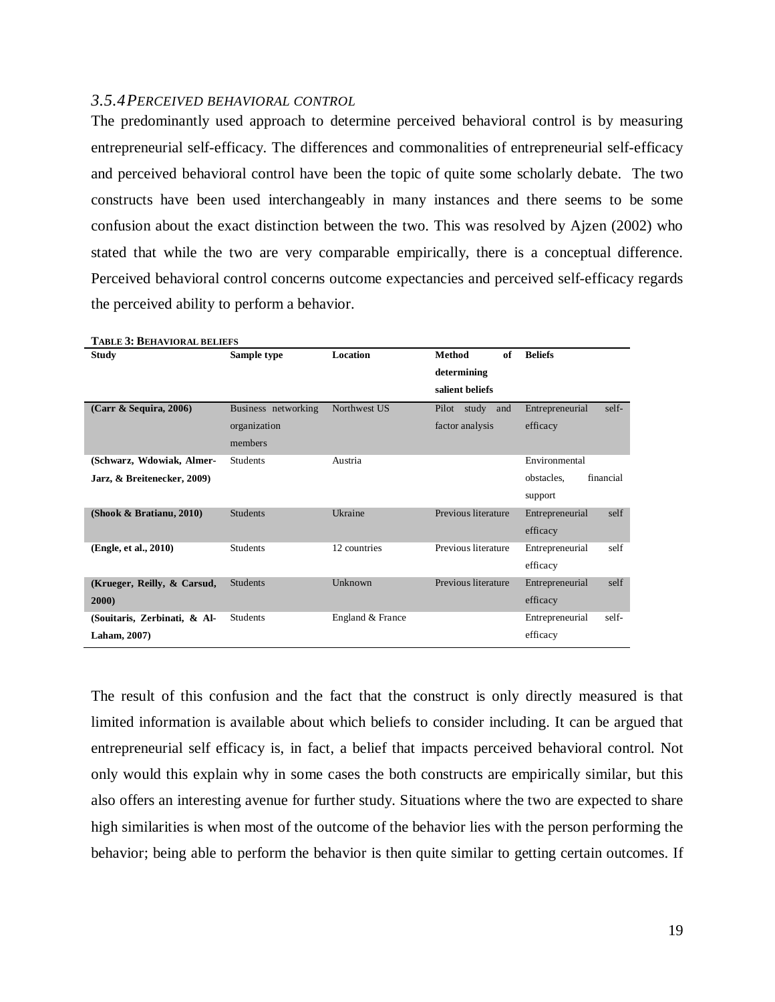#### <span id="page-20-0"></span>*3.5.4PERCEIVED BEHAVIORAL CONTROL*

The predominantly used approach to determine perceived behavioral control is by measuring entrepreneurial self-efficacy. The differences and commonalities of entrepreneurial self-efficacy and perceived behavioral control have been the topic of quite some scholarly debate. The two constructs have been used interchangeably in many instances and there seems to be some confusion about the exact distinction between the two. This was resolved by Ajzen (2002) who stated that while the two are very comparable empirically, there is a conceptual difference. Perceived behavioral control concerns outcome expectancies and perceived self-efficacy regards the perceived ability to perform a behavior.

| <b>TABLE 3: BEHAVIORAL BELIEFS</b> |                     |                  |                     |                          |
|------------------------------------|---------------------|------------------|---------------------|--------------------------|
| <b>Study</b>                       | Sample type         | <b>Location</b>  | <b>Method</b><br>of | <b>Beliefs</b>           |
|                                    |                     |                  | determining         |                          |
|                                    |                     |                  | salient beliefs     |                          |
| (Carr & Sequira, 2006)             | Business networking | Northwest US     | Pilot study<br>and  | Entrepreneurial<br>self- |
|                                    | organization        |                  | factor analysis     | efficacy                 |
|                                    | members             |                  |                     |                          |
| (Schwarz, Wdowiak, Almer-          | <b>Students</b>     | Austria          |                     | Environmental            |
| Jarz, & Breitenecker, 2009)        |                     |                  |                     | financial<br>obstacles.  |
|                                    |                     |                  |                     | support                  |
| (Shook & Bratianu, 2010)           | <b>Students</b>     | Ukraine          | Previous literature | self<br>Entrepreneurial  |
|                                    |                     |                  |                     | efficacy                 |
| (Engle, et al., 2010)              | <b>Students</b>     | 12 countries     | Previous literature | self<br>Entrepreneurial  |
|                                    |                     |                  |                     | efficacy                 |
| (Krueger, Reilly, & Carsud,        | <b>Students</b>     | Unknown          | Previous literature | self<br>Entrepreneurial  |
| 2000)                              |                     |                  |                     | efficacy                 |
| (Souitaris, Zerbinati, & Al-       | <b>Students</b>     | England & France |                     | Entrepreneurial<br>self- |
| Laham, 2007)                       |                     |                  |                     | efficacy                 |

The result of this confusion and the fact that the construct is only directly measured is that limited information is available about which beliefs to consider including. It can be argued that entrepreneurial self efficacy is, in fact, a belief that impacts perceived behavioral control. Not only would this explain why in some cases the both constructs are empirically similar, but this also offers an interesting avenue for further study. Situations where the two are expected to share high similarities is when most of the outcome of the behavior lies with the person performing the behavior; being able to perform the behavior is then quite similar to getting certain outcomes. If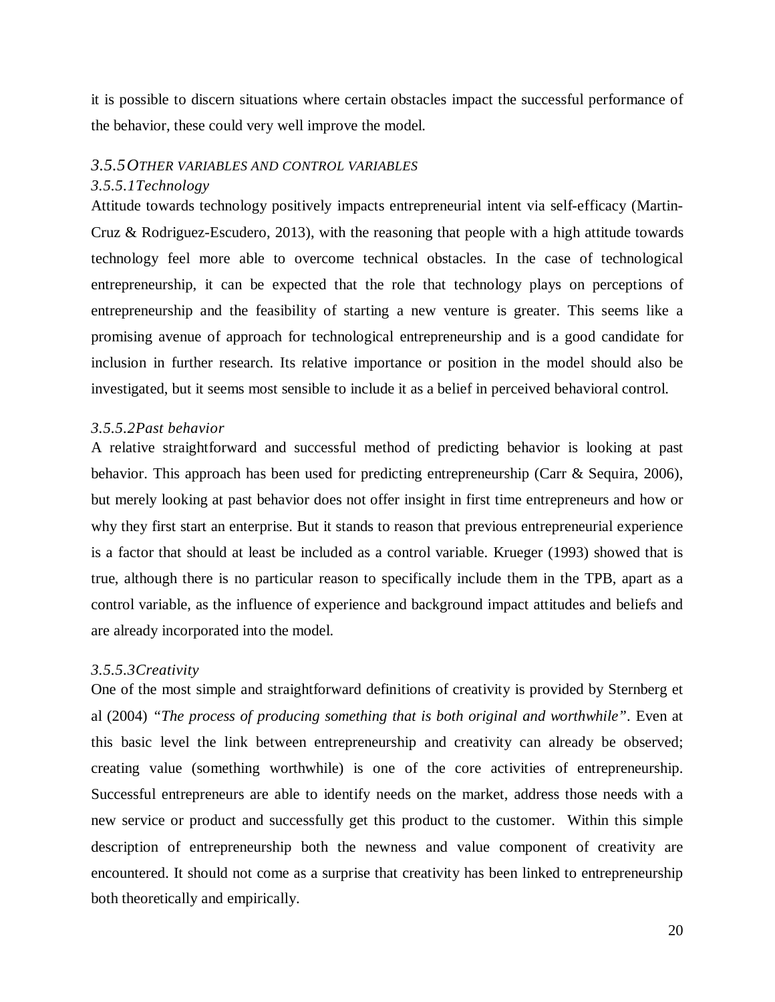it is possible to discern situations where certain obstacles impact the successful performance of the behavior, these could very well improve the model.

#### <span id="page-21-0"></span>*3.5.5OTHER VARIABLES AND CONTROL VARIABLES*

#### *3.5.5.1Technology*

Attitude towards technology positively impacts entrepreneurial intent via self-efficacy (Martin-Cruz & Rodriguez-Escudero, 2013), with the reasoning that people with a high attitude towards technology feel more able to overcome technical obstacles. In the case of technological entrepreneurship, it can be expected that the role that technology plays on perceptions of entrepreneurship and the feasibility of starting a new venture is greater. This seems like a promising avenue of approach for technological entrepreneurship and is a good candidate for inclusion in further research. Its relative importance or position in the model should also be investigated, but it seems most sensible to include it as a belief in perceived behavioral control.

#### *3.5.5.2Past behavior*

A relative straightforward and successful method of predicting behavior is looking at past behavior. This approach has been used for predicting entrepreneurship (Carr & Sequira, 2006), but merely looking at past behavior does not offer insight in first time entrepreneurs and how or why they first start an enterprise. But it stands to reason that previous entrepreneurial experience is a factor that should at least be included as a control variable. Krueger (1993) showed that is true, although there is no particular reason to specifically include them in the TPB, apart as a control variable, as the influence of experience and background impact attitudes and beliefs and are already incorporated into the model.

#### *3.5.5.3Creativity*

One of the most simple and straightforward definitions of creativity is provided by Sternberg et al (2004) *"The process of producing something that is both original and worthwhile"*. Even at this basic level the link between entrepreneurship and creativity can already be observed; creating value (something worthwhile) is one of the core activities of entrepreneurship. Successful entrepreneurs are able to identify needs on the market, address those needs with a new service or product and successfully get this product to the customer. Within this simple description of entrepreneurship both the newness and value component of creativity are encountered. It should not come as a surprise that creativity has been linked to entrepreneurship both theoretically and empirically.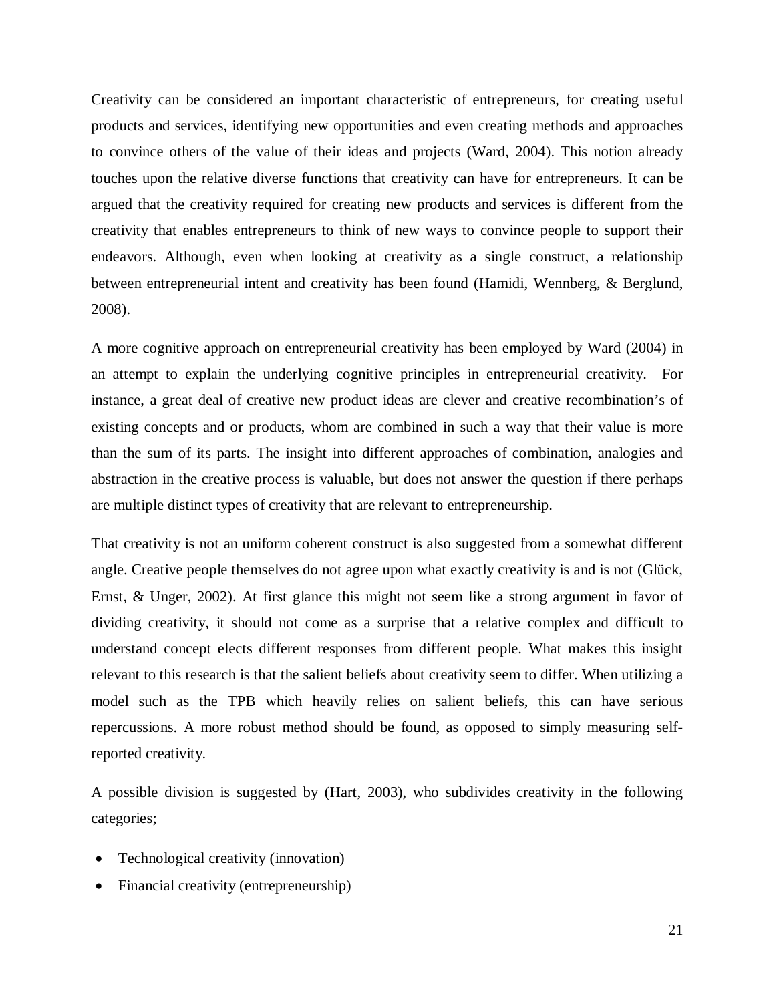Creativity can be considered an important characteristic of entrepreneurs, for creating useful products and services, identifying new opportunities and even creating methods and approaches to convince others of the value of their ideas and projects (Ward, 2004). This notion already touches upon the relative diverse functions that creativity can have for entrepreneurs. It can be argued that the creativity required for creating new products and services is different from the creativity that enables entrepreneurs to think of new ways to convince people to support their endeavors. Although, even when looking at creativity as a single construct, a relationship between entrepreneurial intent and creativity has been found (Hamidi, Wennberg, & Berglund, 2008).

A more cognitive approach on entrepreneurial creativity has been employed by Ward (2004) in an attempt to explain the underlying cognitive principles in entrepreneurial creativity. For instance, a great deal of creative new product ideas are clever and creative recombination's of existing concepts and or products, whom are combined in such a way that their value is more than the sum of its parts. The insight into different approaches of combination, analogies and abstraction in the creative process is valuable, but does not answer the question if there perhaps are multiple distinct types of creativity that are relevant to entrepreneurship.

That creativity is not an uniform coherent construct is also suggested from a somewhat different angle. Creative people themselves do not agree upon what exactly creativity is and is not (Glück, Ernst, & Unger, 2002). At first glance this might not seem like a strong argument in favor of dividing creativity, it should not come as a surprise that a relative complex and difficult to understand concept elects different responses from different people. What makes this insight relevant to this research is that the salient beliefs about creativity seem to differ. When utilizing a model such as the TPB which heavily relies on salient beliefs, this can have serious repercussions. A more robust method should be found, as opposed to simply measuring selfreported creativity.

A possible division is suggested by (Hart, 2003), who subdivides creativity in the following categories;

- Technological creativity (innovation)
- Financial creativity (entrepreneurship)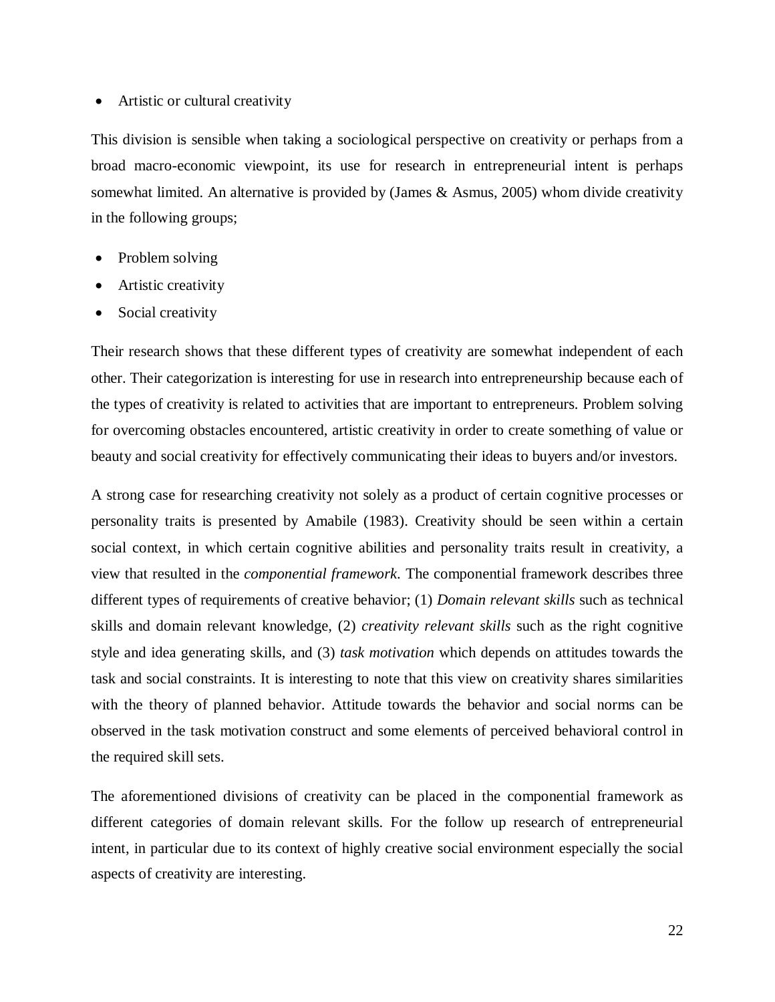#### • Artistic or cultural creativity

This division is sensible when taking a sociological perspective on creativity or perhaps from a broad macro-economic viewpoint, its use for research in entrepreneurial intent is perhaps somewhat limited. An alternative is provided by (James & Asmus, 2005) whom divide creativity in the following groups;

- Problem solving
- Artistic creativity
- Social creativity

Their research shows that these different types of creativity are somewhat independent of each other. Their categorization is interesting for use in research into entrepreneurship because each of the types of creativity is related to activities that are important to entrepreneurs. Problem solving for overcoming obstacles encountered, artistic creativity in order to create something of value or beauty and social creativity for effectively communicating their ideas to buyers and/or investors.

A strong case for researching creativity not solely as a product of certain cognitive processes or personality traits is presented by Amabile (1983). Creativity should be seen within a certain social context, in which certain cognitive abilities and personality traits result in creativity, a view that resulted in the *componential framework*. The componential framework describes three different types of requirements of creative behavior; (1) *Domain relevant skills* such as technical skills and domain relevant knowledge, (2) *creativity relevant skills* such as the right cognitive style and idea generating skills, and (3) *task motivation* which depends on attitudes towards the task and social constraints. It is interesting to note that this view on creativity shares similarities with the theory of planned behavior. Attitude towards the behavior and social norms can be observed in the task motivation construct and some elements of perceived behavioral control in the required skill sets.

The aforementioned divisions of creativity can be placed in the componential framework as different categories of domain relevant skills. For the follow up research of entrepreneurial intent, in particular due to its context of highly creative social environment especially the social aspects of creativity are interesting.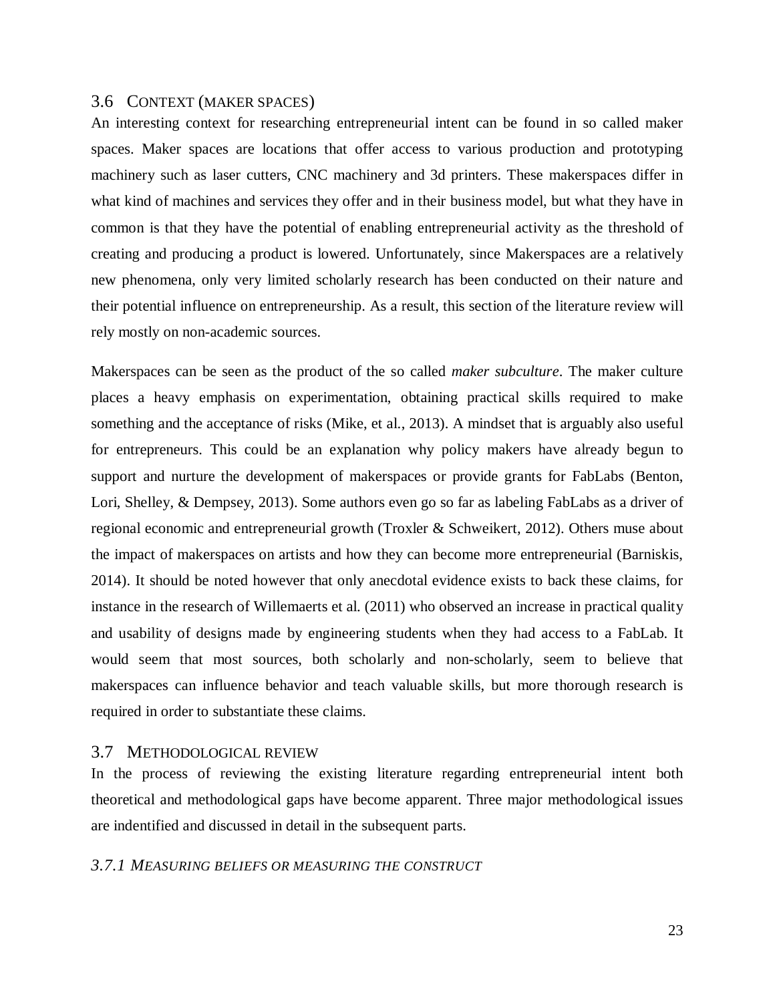# <span id="page-24-0"></span>3.6 CONTEXT (MAKER SPACES)

An interesting context for researching entrepreneurial intent can be found in so called maker spaces. Maker spaces are locations that offer access to various production and prototyping machinery such as laser cutters, CNC machinery and 3d printers. These makerspaces differ in what kind of machines and services they offer and in their business model, but what they have in common is that they have the potential of enabling entrepreneurial activity as the threshold of creating and producing a product is lowered. Unfortunately, since Makerspaces are a relatively new phenomena, only very limited scholarly research has been conducted on their nature and their potential influence on entrepreneurship. As a result, this section of the literature review will rely mostly on non-academic sources.

Makerspaces can be seen as the product of the so called *maker subculture*. The maker culture places a heavy emphasis on experimentation, obtaining practical skills required to make something and the acceptance of risks (Mike, et al., 2013). A mindset that is arguably also useful for entrepreneurs. This could be an explanation why policy makers have already begun to support and nurture the development of makerspaces or provide grants for FabLabs (Benton, Lori, Shelley, & Dempsey, 2013). Some authors even go so far as labeling FabLabs as a driver of regional economic and entrepreneurial growth (Troxler & Schweikert, 2012). Others muse about the impact of makerspaces on artists and how they can become more entrepreneurial (Barniskis, 2014). It should be noted however that only anecdotal evidence exists to back these claims, for instance in the research of Willemaerts et al. (2011) who observed an increase in practical quality and usability of designs made by engineering students when they had access to a FabLab. It would seem that most sources, both scholarly and non-scholarly, seem to believe that makerspaces can influence behavior and teach valuable skills, but more thorough research is required in order to substantiate these claims.

#### <span id="page-24-1"></span>3.7 METHODOLOGICAL REVIEW

In the process of reviewing the existing literature regarding entrepreneurial intent both theoretical and methodological gaps have become apparent. Three major methodological issues are indentified and discussed in detail in the subsequent parts.

#### <span id="page-24-2"></span>*3.7.1 MEASURING BELIEFS OR MEASURING THE CONSTRUCT*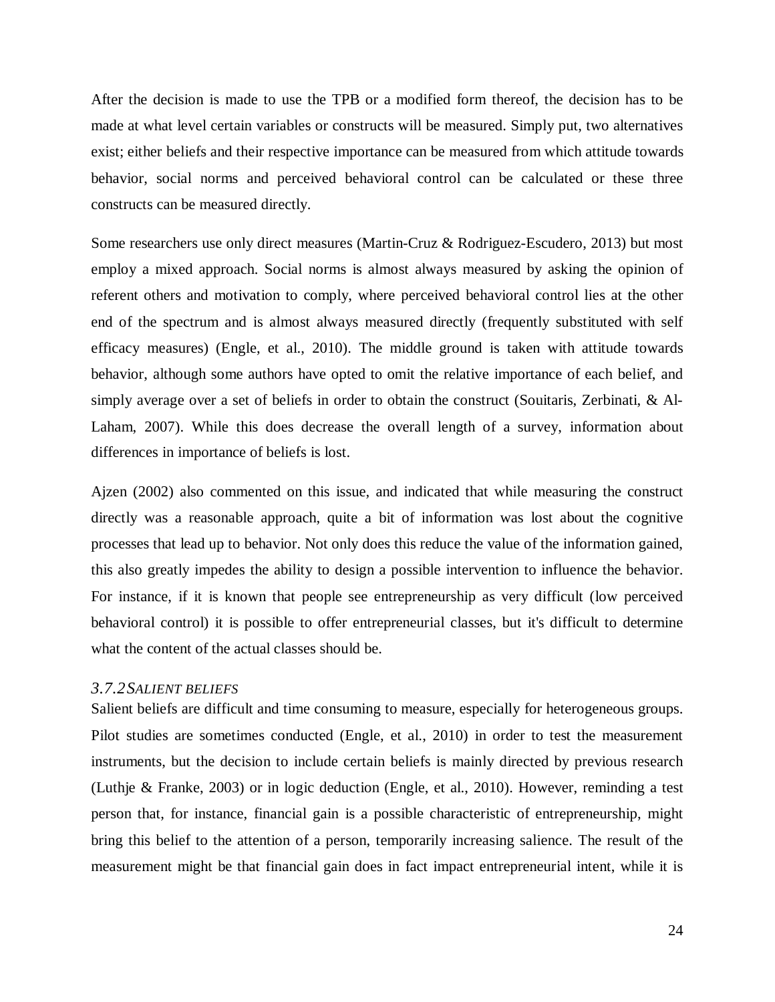After the decision is made to use the TPB or a modified form thereof, the decision has to be made at what level certain variables or constructs will be measured. Simply put, two alternatives exist; either beliefs and their respective importance can be measured from which attitude towards behavior, social norms and perceived behavioral control can be calculated or these three constructs can be measured directly.

Some researchers use only direct measures (Martin-Cruz & Rodriguez-Escudero, 2013) but most employ a mixed approach. Social norms is almost always measured by asking the opinion of referent others and motivation to comply, where perceived behavioral control lies at the other end of the spectrum and is almost always measured directly (frequently substituted with self efficacy measures) (Engle, et al., 2010). The middle ground is taken with attitude towards behavior, although some authors have opted to omit the relative importance of each belief, and simply average over a set of beliefs in order to obtain the construct (Souitaris, Zerbinati, & Al-Laham, 2007). While this does decrease the overall length of a survey, information about differences in importance of beliefs is lost.

Ajzen (2002) also commented on this issue, and indicated that while measuring the construct directly was a reasonable approach, quite a bit of information was lost about the cognitive processes that lead up to behavior. Not only does this reduce the value of the information gained, this also greatly impedes the ability to design a possible intervention to influence the behavior. For instance, if it is known that people see entrepreneurship as very difficult (low perceived behavioral control) it is possible to offer entrepreneurial classes, but it's difficult to determine what the content of the actual classes should be.

# <span id="page-25-0"></span>*3.7.2SALIENT BELIEFS*

Salient beliefs are difficult and time consuming to measure, especially for heterogeneous groups. Pilot studies are sometimes conducted (Engle, et al., 2010) in order to test the measurement instruments, but the decision to include certain beliefs is mainly directed by previous research (Luthje & Franke, 2003) or in logic deduction (Engle, et al., 2010). However, reminding a test person that, for instance, financial gain is a possible characteristic of entrepreneurship, might bring this belief to the attention of a person, temporarily increasing salience. The result of the measurement might be that financial gain does in fact impact entrepreneurial intent, while it is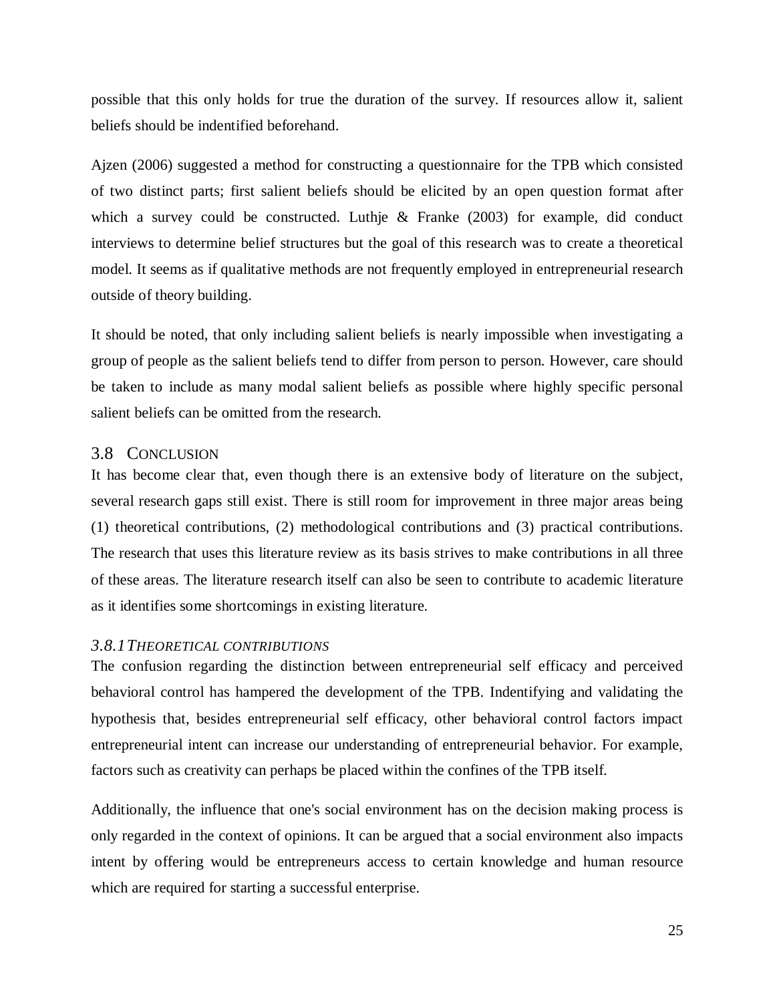possible that this only holds for true the duration of the survey. If resources allow it, salient beliefs should be indentified beforehand.

Ajzen (2006) suggested a method for constructing a questionnaire for the TPB which consisted of two distinct parts; first salient beliefs should be elicited by an open question format after which a survey could be constructed. Luthje & Franke (2003) for example, did conduct interviews to determine belief structures but the goal of this research was to create a theoretical model. It seems as if qualitative methods are not frequently employed in entrepreneurial research outside of theory building.

It should be noted, that only including salient beliefs is nearly impossible when investigating a group of people as the salient beliefs tend to differ from person to person. However, care should be taken to include as many modal salient beliefs as possible where highly specific personal salient beliefs can be omitted from the research.

# <span id="page-26-0"></span>3.8 CONCLUSION

It has become clear that, even though there is an extensive body of literature on the subject, several research gaps still exist. There is still room for improvement in three major areas being (1) theoretical contributions, (2) methodological contributions and (3) practical contributions. The research that uses this literature review as its basis strives to make contributions in all three of these areas. The literature research itself can also be seen to contribute to academic literature as it identifies some shortcomings in existing literature.

# <span id="page-26-1"></span>*3.8.1THEORETICAL CONTRIBUTIONS*

The confusion regarding the distinction between entrepreneurial self efficacy and perceived behavioral control has hampered the development of the TPB. Indentifying and validating the hypothesis that, besides entrepreneurial self efficacy, other behavioral control factors impact entrepreneurial intent can increase our understanding of entrepreneurial behavior. For example, factors such as creativity can perhaps be placed within the confines of the TPB itself.

Additionally, the influence that one's social environment has on the decision making process is only regarded in the context of opinions. It can be argued that a social environment also impacts intent by offering would be entrepreneurs access to certain knowledge and human resource which are required for starting a successful enterprise.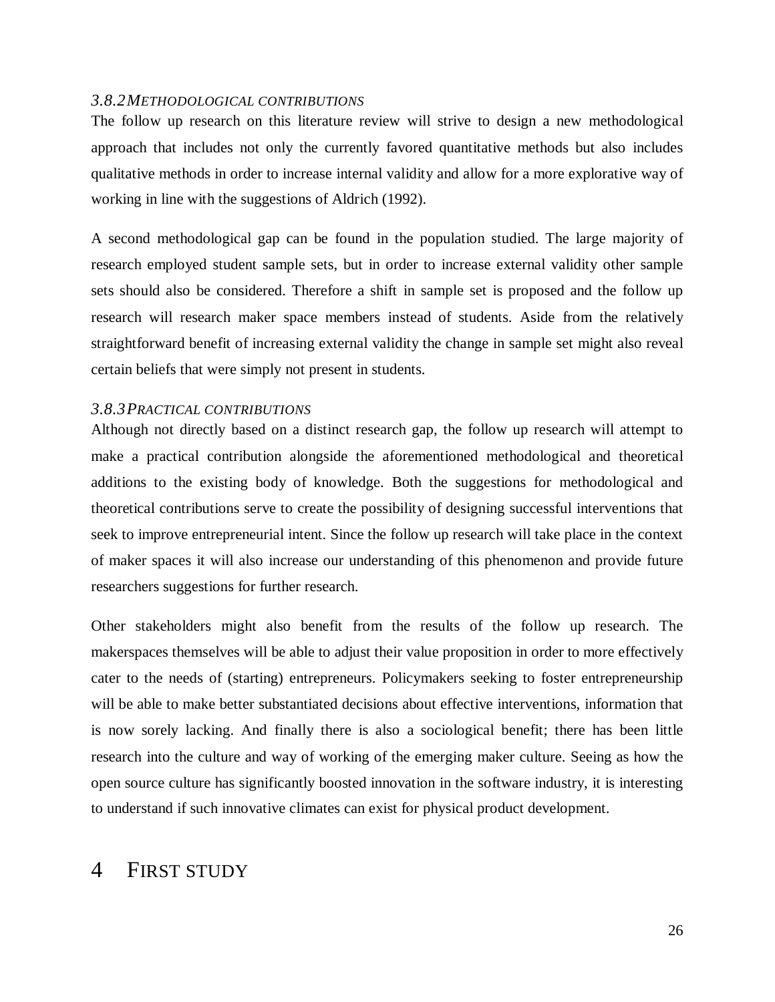#### <span id="page-27-0"></span>*3.8.2METHODOLOGICAL CONTRIBUTIONS*

The follow up research on this literature review will strive to design a new methodological approach that includes not only the currently favored quantitative methods but also includes qualitative methods in order to increase internal validity and allow for a more explorative way of working in line with the suggestions of Aldrich (1992).

A second methodological gap can be found in the population studied. The large majority of research employed student sample sets, but in order to increase external validity other sample sets should also be considered. Therefore a shift in sample set is proposed and the follow up research will research maker space members instead of students. Aside from the relatively straightforward benefit of increasing external validity the change in sample set might also reveal certain beliefs that were simply not present in students.

# <span id="page-27-1"></span>*3.8.3PRACTICAL CONTRIBUTIONS*

Although not directly based on a distinct research gap, the follow up research will attempt to make a practical contribution alongside the aforementioned methodological and theoretical additions to the existing body of knowledge. Both the suggestions for methodological and theoretical contributions serve to create the possibility of designing successful interventions that seek to improve entrepreneurial intent. Since the follow up research will take place in the context of maker spaces it will also increase our understanding of this phenomenon and provide future researchers suggestions for further research.

Other stakeholders might also benefit from the results of the follow up research. The makerspaces themselves will be able to adjust their value proposition in order to more effectively cater to the needs of (starting) entrepreneurs. Policymakers seeking to foster entrepreneurship will be able to make better substantiated decisions about effective interventions, information that is now sorely lacking. And finally there is also a sociological benefit; there has been little research into the culture and way of working of the emerging maker culture. Seeing as how the open source culture has significantly boosted innovation in the software industry, it is interesting to understand if such innovative climates can exist for physical product development.

# <span id="page-27-2"></span>4 FIRST STUDY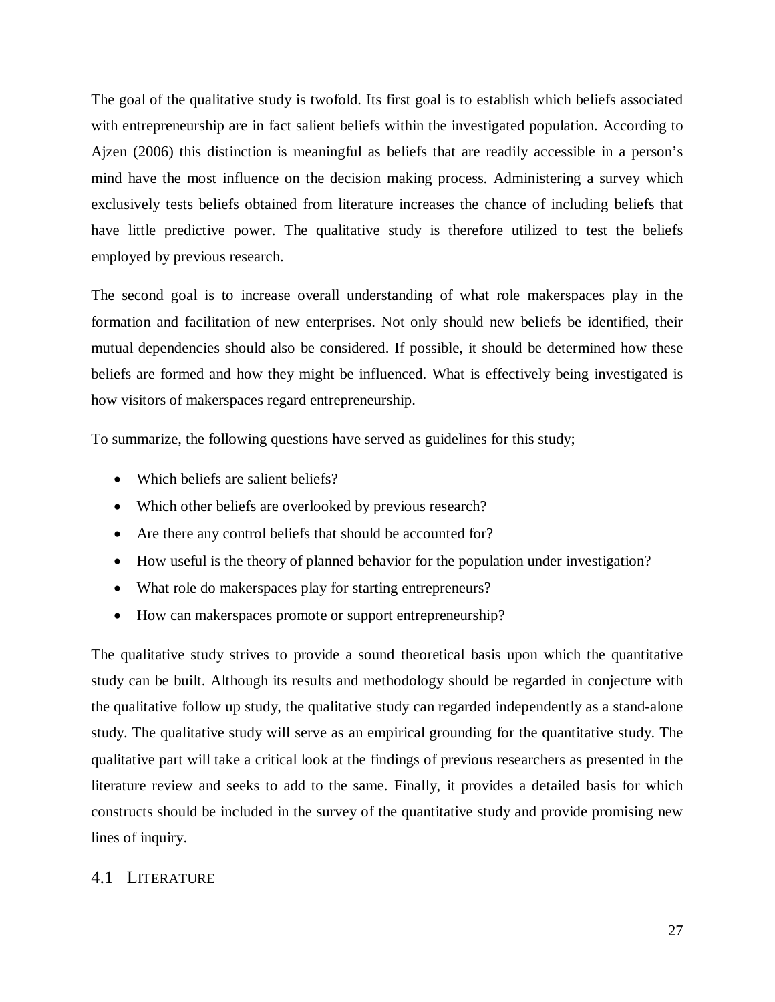The goal of the qualitative study is twofold. Its first goal is to establish which beliefs associated with entrepreneurship are in fact salient beliefs within the investigated population. According to Ajzen (2006) this distinction is meaningful as beliefs that are readily accessible in a person's mind have the most influence on the decision making process. Administering a survey which exclusively tests beliefs obtained from literature increases the chance of including beliefs that have little predictive power. The qualitative study is therefore utilized to test the beliefs employed by previous research.

The second goal is to increase overall understanding of what role makerspaces play in the formation and facilitation of new enterprises. Not only should new beliefs be identified, their mutual dependencies should also be considered. If possible, it should be determined how these beliefs are formed and how they might be influenced. What is effectively being investigated is how visitors of makerspaces regard entrepreneurship.

To summarize, the following questions have served as guidelines for this study;

- Which beliefs are salient beliefs?
- Which other beliefs are overlooked by previous research?
- Are there any control beliefs that should be accounted for?
- How useful is the theory of planned behavior for the population under investigation?
- What role do makerspaces play for starting entrepreneurs?
- How can maker spaces promote or support entrepreneurship?

The qualitative study strives to provide a sound theoretical basis upon which the quantitative study can be built. Although its results and methodology should be regarded in conjecture with the qualitative follow up study, the qualitative study can regarded independently as a stand-alone study. The qualitative study will serve as an empirical grounding for the quantitative study. The qualitative part will take a critical look at the findings of previous researchers as presented in the literature review and seeks to add to the same. Finally, it provides a detailed basis for which constructs should be included in the survey of the quantitative study and provide promising new lines of inquiry.

# <span id="page-28-0"></span>4.1 LITERATURE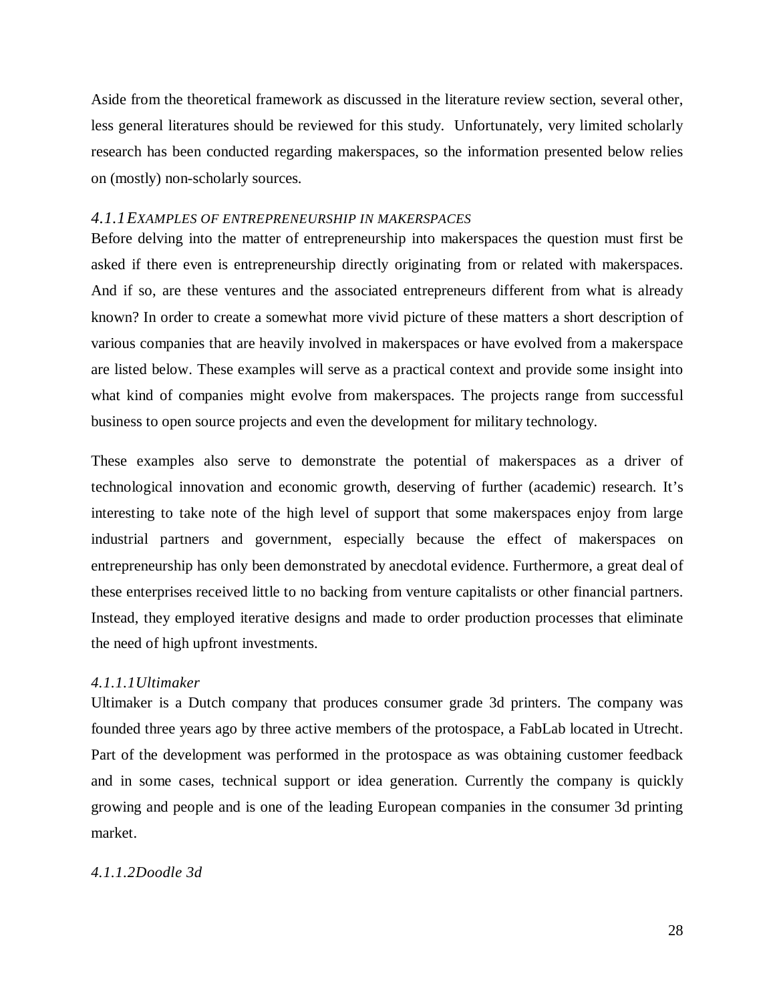Aside from the theoretical framework as discussed in the literature review section, several other, less general literatures should be reviewed for this study. Unfortunately, very limited scholarly research has been conducted regarding makerspaces, so the information presented below relies on (mostly) non-scholarly sources.

## <span id="page-29-0"></span>*4.1.1EXAMPLES OF ENTREPRENEURSHIP IN MAKERSPACES*

Before delving into the matter of entrepreneurship into makerspaces the question must first be asked if there even is entrepreneurship directly originating from or related with makerspaces. And if so, are these ventures and the associated entrepreneurs different from what is already known? In order to create a somewhat more vivid picture of these matters a short description of various companies that are heavily involved in makerspaces or have evolved from a makerspace are listed below. These examples will serve as a practical context and provide some insight into what kind of companies might evolve from makerspaces. The projects range from successful business to open source projects and even the development for military technology.

These examples also serve to demonstrate the potential of makerspaces as a driver of technological innovation and economic growth, deserving of further (academic) research. It's interesting to take note of the high level of support that some makerspaces enjoy from large industrial partners and government, especially because the effect of makerspaces on entrepreneurship has only been demonstrated by anecdotal evidence. Furthermore, a great deal of these enterprises received little to no backing from venture capitalists or other financial partners. Instead, they employed iterative designs and made to order production processes that eliminate the need of high upfront investments.

#### *4.1.1.1Ultimaker*

Ultimaker is a Dutch company that produces consumer grade 3d printers. The company was founded three years ago by three active members of the protospace, a FabLab located in Utrecht. Part of the development was performed in the protospace as was obtaining customer feedback and in some cases, technical support or idea generation. Currently the company is quickly growing and people and is one of the leading European companies in the consumer 3d printing market.

#### *4.1.1.2Doodle 3d*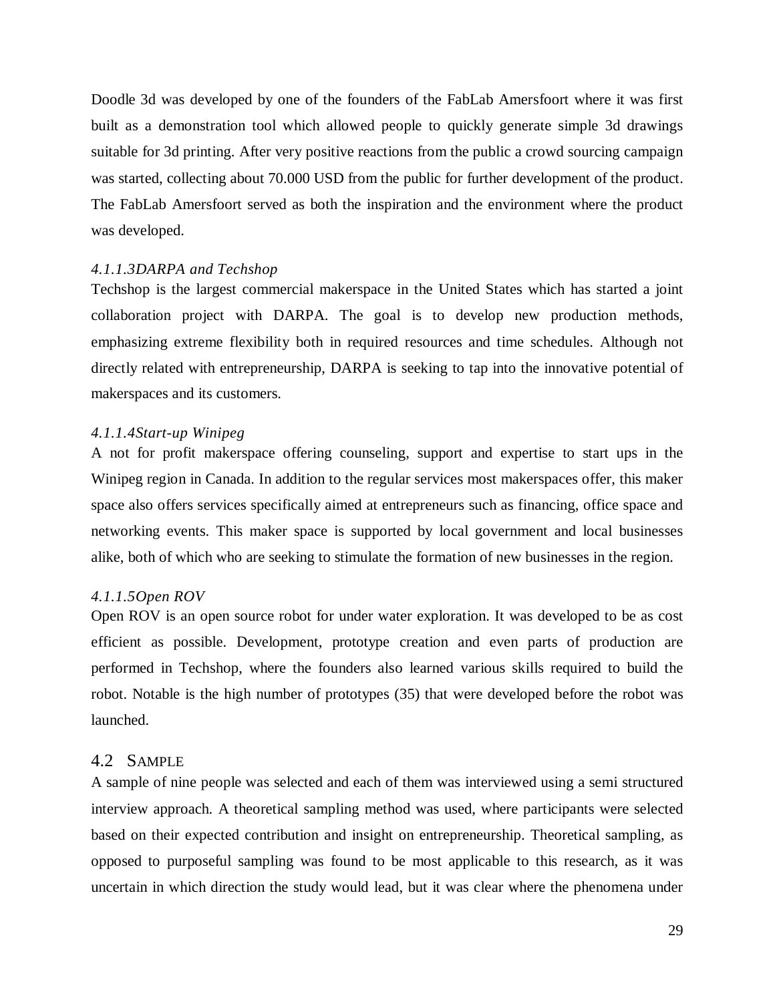Doodle 3d was developed by one of the founders of the FabLab Amersfoort where it was first built as a demonstration tool which allowed people to quickly generate simple 3d drawings suitable for 3d printing. After very positive reactions from the public a crowd sourcing campaign was started, collecting about 70.000 USD from the public for further development of the product. The FabLab Amersfoort served as both the inspiration and the environment where the product was developed.

# *4.1.1.3DARPA and Techshop*

Techshop is the largest commercial makerspace in the United States which has started a joint collaboration project with DARPA. The goal is to develop new production methods, emphasizing extreme flexibility both in required resources and time schedules. Although not directly related with entrepreneurship, DARPA is seeking to tap into the innovative potential of makerspaces and its customers.

# *4.1.1.4Start-up Winipeg*

A not for profit makerspace offering counseling, support and expertise to start ups in the Winipeg region in Canada. In addition to the regular services most makerspaces offer, this maker space also offers services specifically aimed at entrepreneurs such as financing, office space and networking events. This maker space is supported by local government and local businesses alike, both of which who are seeking to stimulate the formation of new businesses in the region.

# *4.1.1.5Open ROV*

Open ROV is an open source robot for under water exploration. It was developed to be as cost efficient as possible. Development, prototype creation and even parts of production are performed in Techshop, where the founders also learned various skills required to build the robot. Notable is the high number of prototypes (35) that were developed before the robot was launched.

# <span id="page-30-0"></span>4.2 SAMPLE

A sample of nine people was selected and each of them was interviewed using a semi structured interview approach. A theoretical sampling method was used, where participants were selected based on their expected contribution and insight on entrepreneurship. Theoretical sampling, as opposed to purposeful sampling was found to be most applicable to this research, as it was uncertain in which direction the study would lead, but it was clear where the phenomena under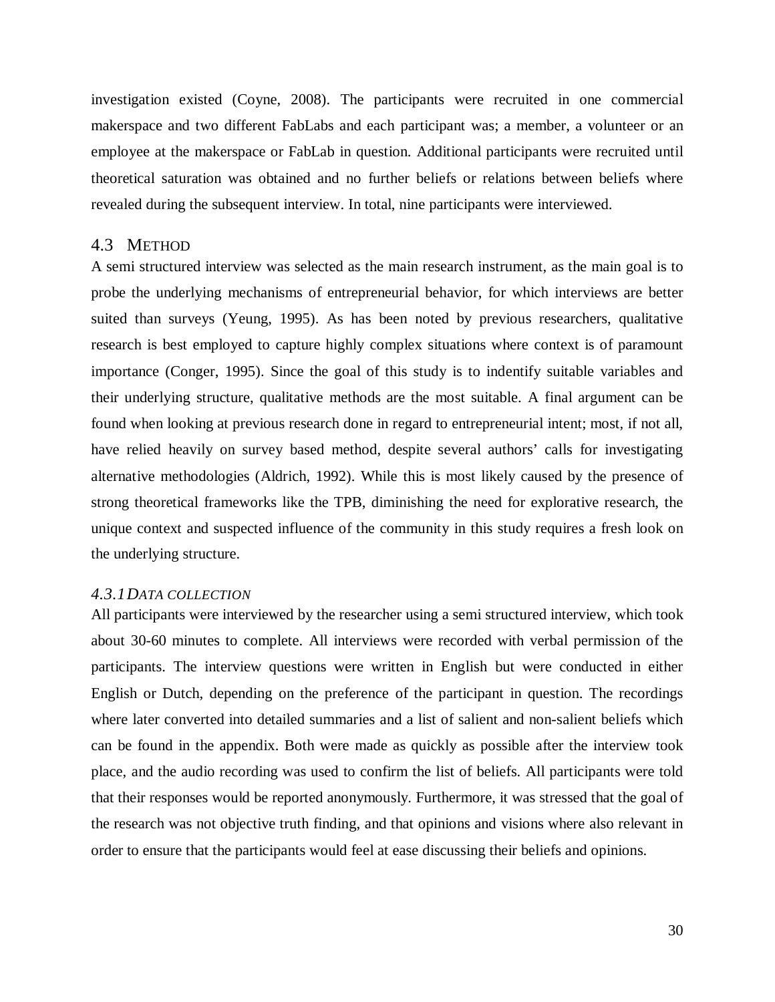investigation existed (Coyne, 2008). The participants were recruited in one commercial makerspace and two different FabLabs and each participant was; a member, a volunteer or an employee at the makerspace or FabLab in question. Additional participants were recruited until theoretical saturation was obtained and no further beliefs or relations between beliefs where revealed during the subsequent interview. In total, nine participants were interviewed.

#### <span id="page-31-0"></span>4.3 METHOD

A semi structured interview was selected as the main research instrument, as the main goal is to probe the underlying mechanisms of entrepreneurial behavior, for which interviews are better suited than surveys (Yeung, 1995). As has been noted by previous researchers, qualitative research is best employed to capture highly complex situations where context is of paramount importance (Conger, 1995). Since the goal of this study is to indentify suitable variables and their underlying structure, qualitative methods are the most suitable. A final argument can be found when looking at previous research done in regard to entrepreneurial intent; most, if not all, have relied heavily on survey based method, despite several authors' calls for investigating alternative methodologies (Aldrich, 1992). While this is most likely caused by the presence of strong theoretical frameworks like the TPB, diminishing the need for explorative research, the unique context and suspected influence of the community in this study requires a fresh look on the underlying structure.

# <span id="page-31-1"></span>*4.3.1DATA COLLECTION*

All participants were interviewed by the researcher using a semi structured interview, which took about 30-60 minutes to complete. All interviews were recorded with verbal permission of the participants. The interview questions were written in English but were conducted in either English or Dutch, depending on the preference of the participant in question. The recordings where later converted into detailed summaries and a list of salient and non-salient beliefs which can be found in the appendix. Both were made as quickly as possible after the interview took place, and the audio recording was used to confirm the list of beliefs. All participants were told that their responses would be reported anonymously. Furthermore, it was stressed that the goal of the research was not objective truth finding, and that opinions and visions where also relevant in order to ensure that the participants would feel at ease discussing their beliefs and opinions.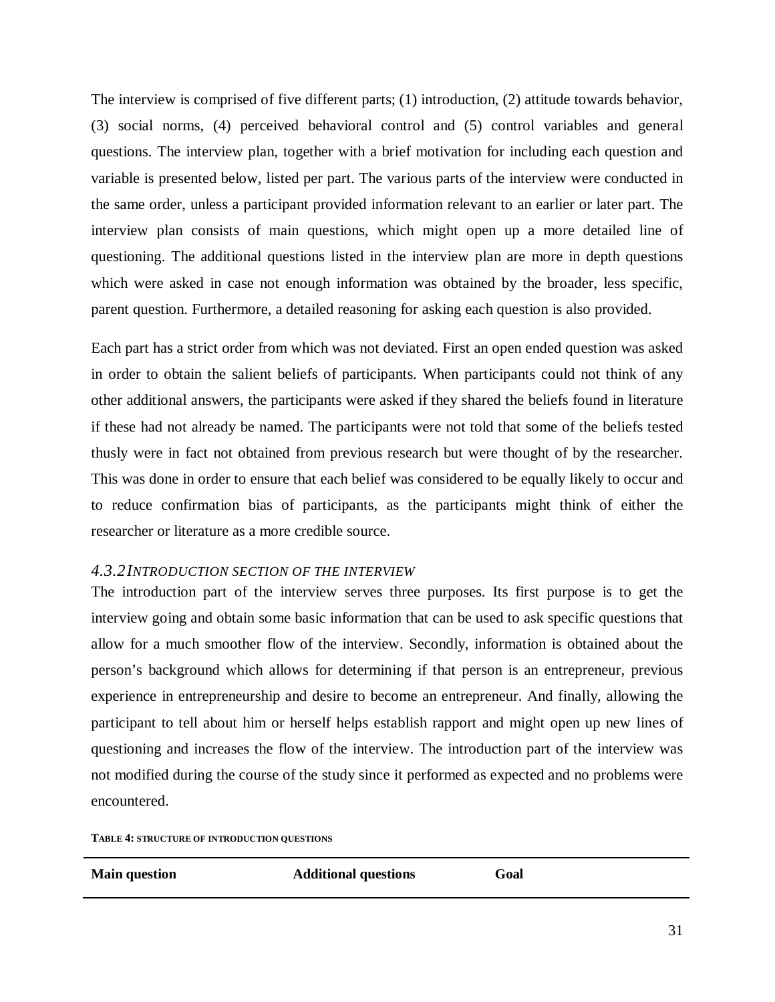The interview is comprised of five different parts; (1) introduction, (2) attitude towards behavior, (3) social norms, (4) perceived behavioral control and (5) control variables and general questions. The interview plan, together with a brief motivation for including each question and variable is presented below, listed per part. The various parts of the interview were conducted in the same order, unless a participant provided information relevant to an earlier or later part. The interview plan consists of main questions, which might open up a more detailed line of questioning. The additional questions listed in the interview plan are more in depth questions which were asked in case not enough information was obtained by the broader, less specific, parent question. Furthermore, a detailed reasoning for asking each question is also provided.

Each part has a strict order from which was not deviated. First an open ended question was asked in order to obtain the salient beliefs of participants. When participants could not think of any other additional answers, the participants were asked if they shared the beliefs found in literature if these had not already be named. The participants were not told that some of the beliefs tested thusly were in fact not obtained from previous research but were thought of by the researcher. This was done in order to ensure that each belief was considered to be equally likely to occur and to reduce confirmation bias of participants, as the participants might think of either the researcher or literature as a more credible source.

#### <span id="page-32-0"></span>*4.3.2INTRODUCTION SECTION OF THE INTERVIEW*

The introduction part of the interview serves three purposes. Its first purpose is to get the interview going and obtain some basic information that can be used to ask specific questions that allow for a much smoother flow of the interview. Secondly, information is obtained about the person's background which allows for determining if that person is an entrepreneur, previous experience in entrepreneurship and desire to become an entrepreneur. And finally, allowing the participant to tell about him or herself helps establish rapport and might open up new lines of questioning and increases the flow of the interview. The introduction part of the interview was not modified during the course of the study since it performed as expected and no problems were encountered.

**TABLE 4: STRUCTURE OF INTRODUCTION QUESTIONS**

| <b>Main question</b> | <b>Additional questions</b> | Goal |
|----------------------|-----------------------------|------|
|                      |                             |      |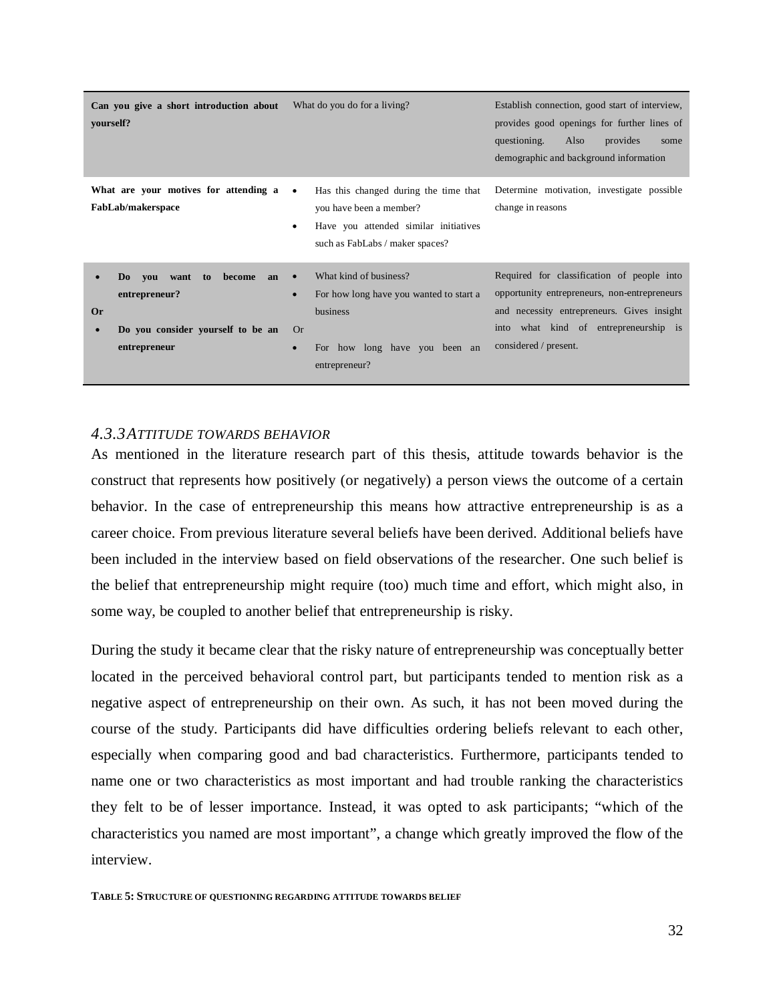| Can you give a short introduction about<br>yourself?                                                                                          | What do you do for a living?                                                                                                                                                        | Establish connection, good start of interview,<br>provides good openings for further lines of<br>questioning.<br>Also<br>provides<br>some<br>demographic and background information                        |
|-----------------------------------------------------------------------------------------------------------------------------------------------|-------------------------------------------------------------------------------------------------------------------------------------------------------------------------------------|------------------------------------------------------------------------------------------------------------------------------------------------------------------------------------------------------------|
| What are your motives for attending a<br>FabLab/makerspace                                                                                    | Has this changed during the time that<br>you have been a member?<br>Have you attended similar initiatives<br>٠<br>such as FabLabs / maker spaces?                                   | Determine motivation, investigate possible<br>change in reasons                                                                                                                                            |
| become<br>you want to<br>D <sub>0</sub><br>an<br>entrepreneur?<br><b>Or</b><br>Do you consider yourself to be an<br>$\bullet$<br>entrepreneur | What kind of business?<br>$\bullet$<br>For how long have you wanted to start a<br>$\bullet$<br>business<br><b>Or</b><br>For how long have you been an<br>$\bullet$<br>entrepreneur? | Required for classification of people into<br>opportunity entrepreneurs, non-entrepreneurs<br>and necessity entrepreneurs. Gives insight<br>into what kind of entrepreneurship is<br>considered / present. |

# <span id="page-33-0"></span>*4.3.3ATTITUDE TOWARDS BEHAVIOR*

As mentioned in the literature research part of this thesis, attitude towards behavior is the construct that represents how positively (or negatively) a person views the outcome of a certain behavior. In the case of entrepreneurship this means how attractive entrepreneurship is as a career choice. From previous literature several beliefs have been derived. Additional beliefs have been included in the interview based on field observations of the researcher. One such belief is the belief that entrepreneurship might require (too) much time and effort, which might also, in some way, be coupled to another belief that entrepreneurship is risky.

During the study it became clear that the risky nature of entrepreneurship was conceptually better located in the perceived behavioral control part, but participants tended to mention risk as a negative aspect of entrepreneurship on their own. As such, it has not been moved during the course of the study. Participants did have difficulties ordering beliefs relevant to each other, especially when comparing good and bad characteristics. Furthermore, participants tended to name one or two characteristics as most important and had trouble ranking the characteristics they felt to be of lesser importance. Instead, it was opted to ask participants; "which of the characteristics you named are most important", a change which greatly improved the flow of the interview.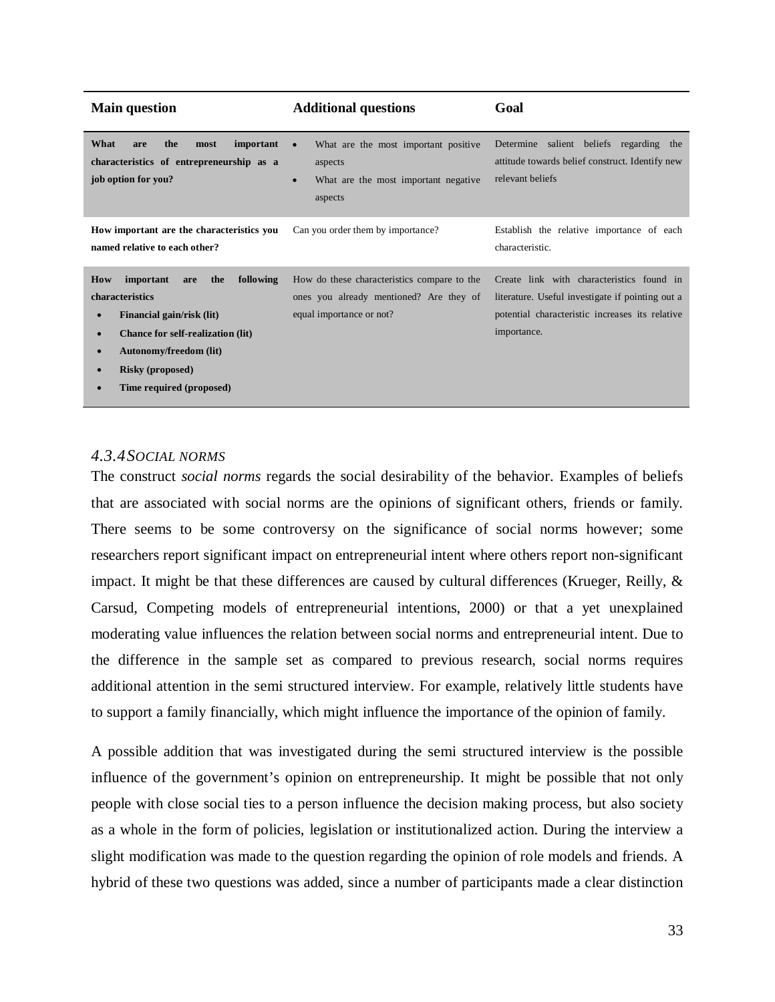| <b>Main question</b>                                                                                                                                                                                                                   | <b>Additional questions</b>                                                                                                  | Goal                                                                                                                                                            |  |
|----------------------------------------------------------------------------------------------------------------------------------------------------------------------------------------------------------------------------------------|------------------------------------------------------------------------------------------------------------------------------|-----------------------------------------------------------------------------------------------------------------------------------------------------------------|--|
| What<br>the<br>important<br>most<br>are<br>characteristics of entrepreneurship as a<br>job option for you?                                                                                                                             | What are the most important positive<br>$\bullet$<br>aspects<br>What are the most important negative<br>$\bullet$<br>aspects | Determine salient beliefs regarding the<br>attitude towards belief construct. Identify new<br>relevant beliefs                                                  |  |
| How important are the characteristics you<br>named relative to each other?                                                                                                                                                             | Can you order them by importance?                                                                                            | Establish the relative importance of each<br>characteristic.                                                                                                    |  |
| following<br><b>How</b><br>important<br>the<br>are<br>characteristics<br>Financial gain/risk (lit)<br><b>Chance for self-realization (lit)</b><br><b>Autonomy/freedom (lit)</b><br><b>Risky (proposed)</b><br>Time required (proposed) | How do these characteristics compare to the<br>ones you already mentioned? Are they of<br>equal importance or not?           | Create link with characteristics found in<br>literature. Useful investigate if pointing out a<br>potential characteristic increases its relative<br>importance. |  |

# <span id="page-34-0"></span>*4.3.4SOCIAL NORMS*

The construct *social norms* regards the social desirability of the behavior. Examples of beliefs that are associated with social norms are the opinions of significant others, friends or family. There seems to be some controversy on the significance of social norms however; some researchers report significant impact on entrepreneurial intent where others report non-significant impact. It might be that these differences are caused by cultural differences (Krueger, Reilly, & Carsud, Competing models of entrepreneurial intentions, 2000) or that a yet unexplained moderating value influences the relation between social norms and entrepreneurial intent. Due to the difference in the sample set as compared to previous research, social norms requires additional attention in the semi structured interview. For example, relatively little students have to support a family financially, which might influence the importance of the opinion of family.

A possible addition that was investigated during the semi structured interview is the possible influence of the government's opinion on entrepreneurship. It might be possible that not only people with close social ties to a person influence the decision making process, but also society as a whole in the form of policies, legislation or institutionalized action. During the interview a slight modification was made to the question regarding the opinion of role models and friends. A hybrid of these two questions was added, since a number of participants made a clear distinction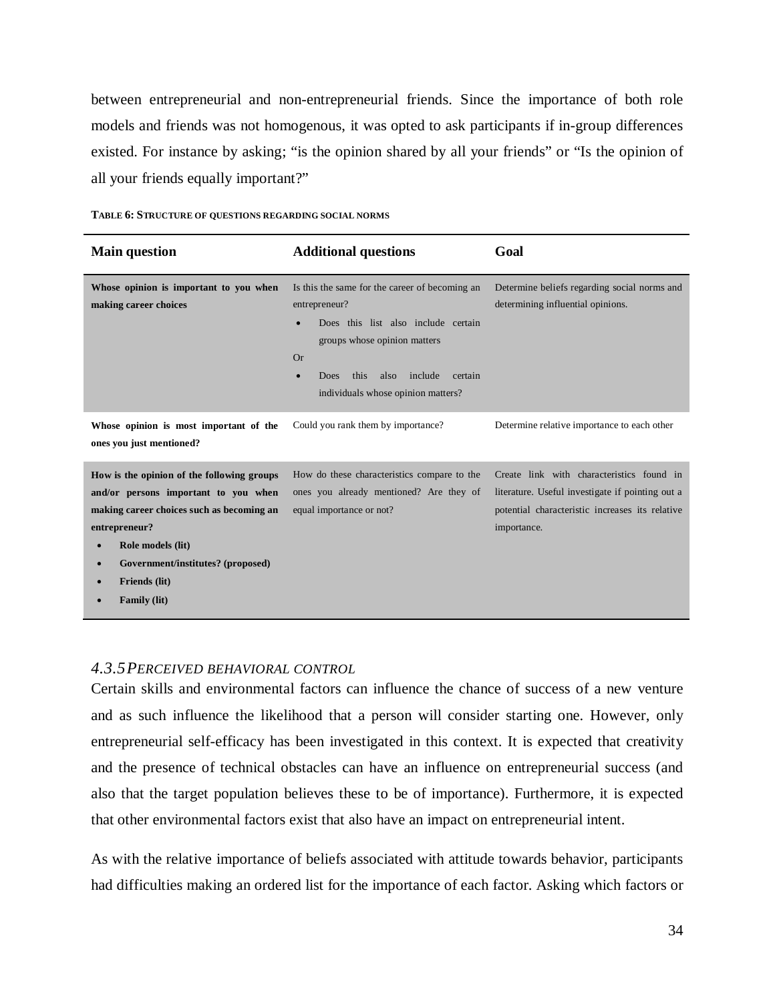between entrepreneurial and non-entrepreneurial friends. Since the importance of both role models and friends was not homogenous, it was opted to ask participants if in-group differences existed. For instance by asking; "is the opinion shared by all your friends" or "Is the opinion of all your friends equally important?"

| <b>Main question</b>                                                                                                                                                                                                                                            | <b>Additional questions</b>                                                                                                                                                                                                                                       | Goal                                                                                                                                                            |
|-----------------------------------------------------------------------------------------------------------------------------------------------------------------------------------------------------------------------------------------------------------------|-------------------------------------------------------------------------------------------------------------------------------------------------------------------------------------------------------------------------------------------------------------------|-----------------------------------------------------------------------------------------------------------------------------------------------------------------|
| Whose opinion is important to you when<br>making career choices                                                                                                                                                                                                 | Is this the same for the career of becoming an<br>entrepreneur?<br>Does this list also include certain<br>$\bullet$<br>groups whose opinion matters<br><b>Or</b><br>this<br>also<br>include<br>certain<br>Does<br>$\bullet$<br>individuals whose opinion matters? | Determine beliefs regarding social norms and<br>determining influential opinions.                                                                               |
| Whose opinion is most important of the<br>ones you just mentioned?                                                                                                                                                                                              | Could you rank them by importance?                                                                                                                                                                                                                                | Determine relative importance to each other                                                                                                                     |
| How is the opinion of the following groups<br>and/or persons important to you when<br>making career choices such as becoming an<br>entrepreneur?<br>Role models (lit)<br>$\bullet$<br>Government/institutes? (proposed)<br>Friends (lit)<br><b>Family (lit)</b> | How do these characteristics compare to the<br>ones you already mentioned? Are they of<br>equal importance or not?                                                                                                                                                | Create link with characteristics found in<br>literature. Useful investigate if pointing out a<br>potential characteristic increases its relative<br>importance. |

**TABLE 6: STRUCTURE OF QUESTIONS REGARDING SOCIAL NORMS**

## <span id="page-35-0"></span>*4.3.5PERCEIVED BEHAVIORAL CONTROL*

Certain skills and environmental factors can influence the chance of success of a new venture and as such influence the likelihood that a person will consider starting one. However, only entrepreneurial self-efficacy has been investigated in this context. It is expected that creativity and the presence of technical obstacles can have an influence on entrepreneurial success (and also that the target population believes these to be of importance). Furthermore, it is expected that other environmental factors exist that also have an impact on entrepreneurial intent.

As with the relative importance of beliefs associated with attitude towards behavior, participants had difficulties making an ordered list for the importance of each factor. Asking which factors or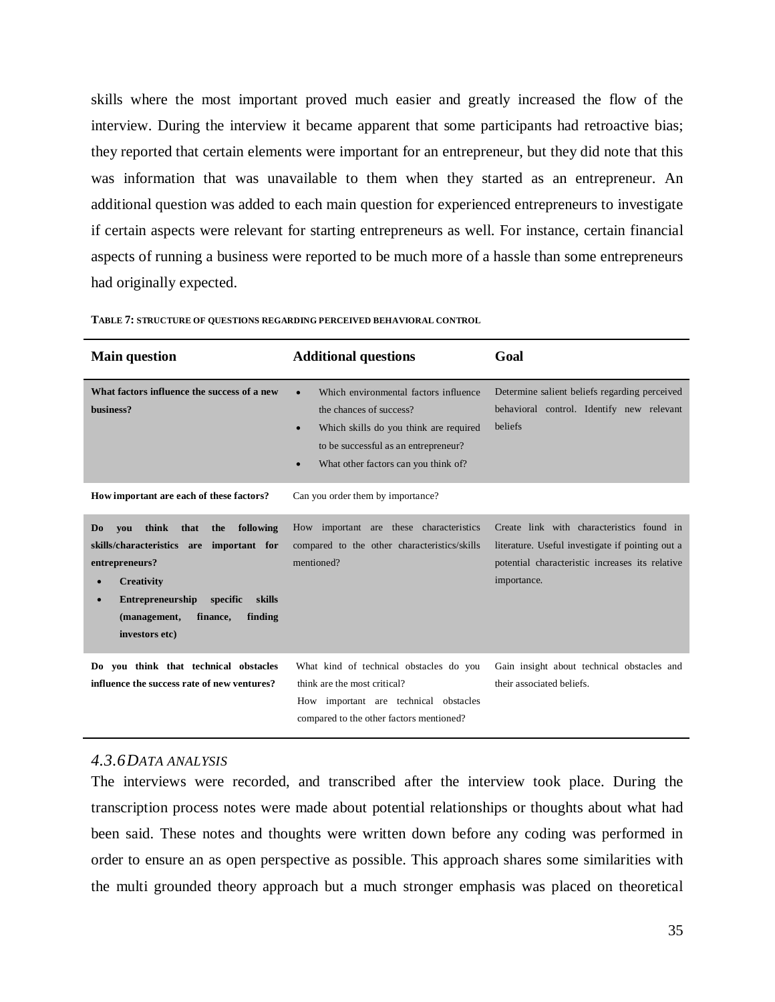skills where the most important proved much easier and greatly increased the flow of the interview. During the interview it became apparent that some participants had retroactive bias; they reported that certain elements were important for an entrepreneur, but they did note that this was information that was unavailable to them when they started as an entrepreneur. An additional question was added to each main question for experienced entrepreneurs to investigate if certain aspects were relevant for starting entrepreneurs as well. For instance, certain financial aspects of running a business were reported to be much more of a hassle than some entrepreneurs had originally expected.

| <b>Main question</b>                                                                                                                                                                                                                                | <b>Additional questions</b>                                                                                                                                                                                                       | Goal                                                                                                                                                            |  |
|-----------------------------------------------------------------------------------------------------------------------------------------------------------------------------------------------------------------------------------------------------|-----------------------------------------------------------------------------------------------------------------------------------------------------------------------------------------------------------------------------------|-----------------------------------------------------------------------------------------------------------------------------------------------------------------|--|
| What factors influence the success of a new<br>business?                                                                                                                                                                                            | Which environmental factors influence<br>$\bullet$<br>the chances of success?<br>Which skills do you think are required<br>$\bullet$<br>to be successful as an entrepreneur?<br>What other factors can you think of?<br>$\bullet$ | Determine salient beliefs regarding perceived<br>behavioral control. Identify new relevant<br>beliefs                                                           |  |
| How important are each of these factors?                                                                                                                                                                                                            | Can you order them by importance?                                                                                                                                                                                                 |                                                                                                                                                                 |  |
| following<br>think<br>that<br>the<br>D <sub>0</sub><br>vou<br>skills/characteristics<br>important for<br>are<br>entrepreneurs?<br><b>Creativity</b><br>Entrepreneurship specific<br>skills<br>(management,<br>finding<br>finance,<br>investors etc) | How important are these characteristics<br>compared to the other characteristics/skills<br>mentioned?                                                                                                                             | Create link with characteristics found in<br>literature. Useful investigate if pointing out a<br>potential characteristic increases its relative<br>importance. |  |
| Do you think that technical obstacles<br>influence the success rate of new ventures?                                                                                                                                                                | What kind of technical obstacles do you<br>think are the most critical?<br>How important are technical obstacles<br>compared to the other factors mentioned?                                                                      | Gain insight about technical obstacles and<br>their associated beliefs.                                                                                         |  |

## <span id="page-36-0"></span>*4.3.6DATA ANALYSIS*

The interviews were recorded, and transcribed after the interview took place. During the transcription process notes were made about potential relationships or thoughts about what had been said. These notes and thoughts were written down before any coding was performed in order to ensure an as open perspective as possible. This approach shares some similarities with the multi grounded theory approach but a much stronger emphasis was placed on theoretical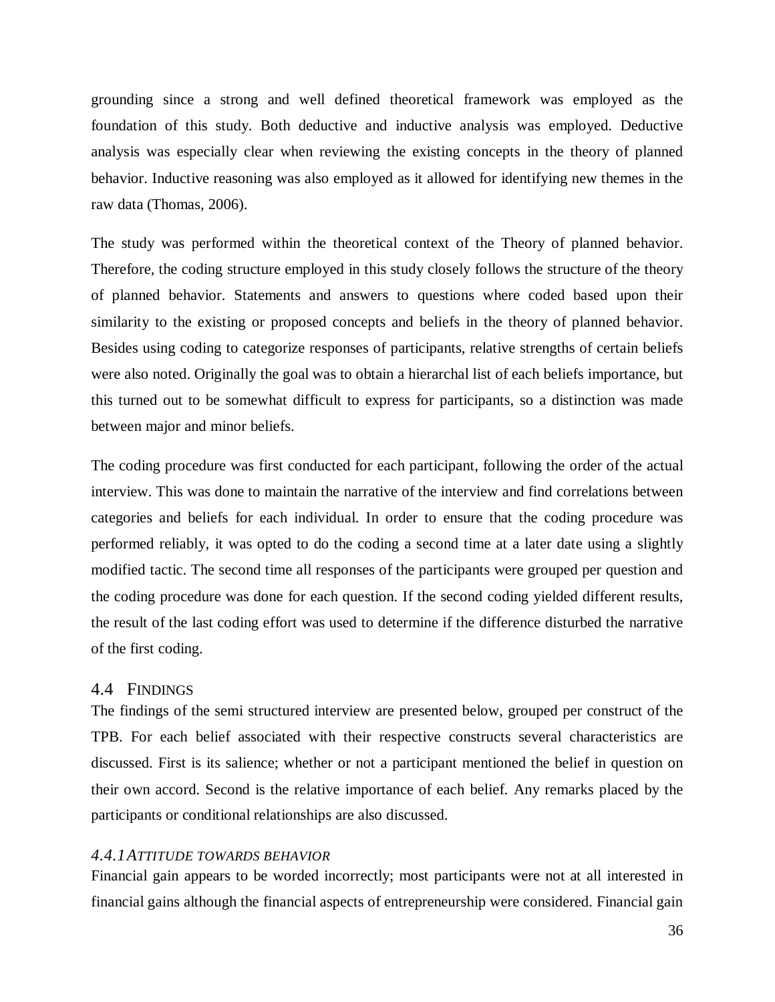grounding since a strong and well defined theoretical framework was employed as the foundation of this study. Both deductive and inductive analysis was employed. Deductive analysis was especially clear when reviewing the existing concepts in the theory of planned behavior. Inductive reasoning was also employed as it allowed for identifying new themes in the raw data (Thomas, 2006).

The study was performed within the theoretical context of the Theory of planned behavior. Therefore, the coding structure employed in this study closely follows the structure of the theory of planned behavior. Statements and answers to questions where coded based upon their similarity to the existing or proposed concepts and beliefs in the theory of planned behavior. Besides using coding to categorize responses of participants, relative strengths of certain beliefs were also noted. Originally the goal was to obtain a hierarchal list of each beliefs importance, but this turned out to be somewhat difficult to express for participants, so a distinction was made between major and minor beliefs.

The coding procedure was first conducted for each participant, following the order of the actual interview. This was done to maintain the narrative of the interview and find correlations between categories and beliefs for each individual. In order to ensure that the coding procedure was performed reliably, it was opted to do the coding a second time at a later date using a slightly modified tactic. The second time all responses of the participants were grouped per question and the coding procedure was done for each question. If the second coding yielded different results, the result of the last coding effort was used to determine if the difference disturbed the narrative of the first coding.

# <span id="page-37-0"></span>4.4 FINDINGS

The findings of the semi structured interview are presented below, grouped per construct of the TPB. For each belief associated with their respective constructs several characteristics are discussed. First is its salience; whether or not a participant mentioned the belief in question on their own accord. Second is the relative importance of each belief. Any remarks placed by the participants or conditional relationships are also discussed.

#### <span id="page-37-1"></span>*4.4.1ATTITUDE TOWARDS BEHAVIOR*

Financial gain appears to be worded incorrectly; most participants were not at all interested in financial gains although the financial aspects of entrepreneurship were considered. Financial gain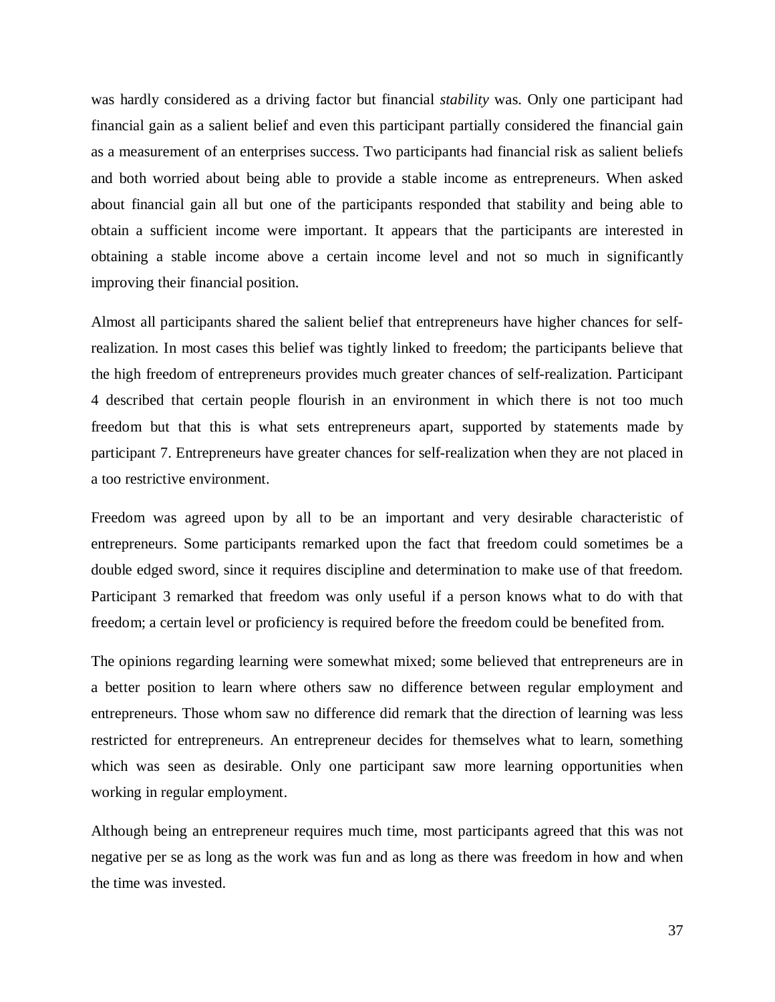was hardly considered as a driving factor but financial *stability* was. Only one participant had financial gain as a salient belief and even this participant partially considered the financial gain as a measurement of an enterprises success. Two participants had financial risk as salient beliefs and both worried about being able to provide a stable income as entrepreneurs. When asked about financial gain all but one of the participants responded that stability and being able to obtain a sufficient income were important. It appears that the participants are interested in obtaining a stable income above a certain income level and not so much in significantly improving their financial position.

Almost all participants shared the salient belief that entrepreneurs have higher chances for selfrealization. In most cases this belief was tightly linked to freedom; the participants believe that the high freedom of entrepreneurs provides much greater chances of self-realization. Participant 4 described that certain people flourish in an environment in which there is not too much freedom but that this is what sets entrepreneurs apart, supported by statements made by participant 7. Entrepreneurs have greater chances for self-realization when they are not placed in a too restrictive environment.

Freedom was agreed upon by all to be an important and very desirable characteristic of entrepreneurs. Some participants remarked upon the fact that freedom could sometimes be a double edged sword, since it requires discipline and determination to make use of that freedom. Participant 3 remarked that freedom was only useful if a person knows what to do with that freedom; a certain level or proficiency is required before the freedom could be benefited from.

The opinions regarding learning were somewhat mixed; some believed that entrepreneurs are in a better position to learn where others saw no difference between regular employment and entrepreneurs. Those whom saw no difference did remark that the direction of learning was less restricted for entrepreneurs. An entrepreneur decides for themselves what to learn, something which was seen as desirable. Only one participant saw more learning opportunities when working in regular employment.

Although being an entrepreneur requires much time, most participants agreed that this was not negative per se as long as the work was fun and as long as there was freedom in how and when the time was invested.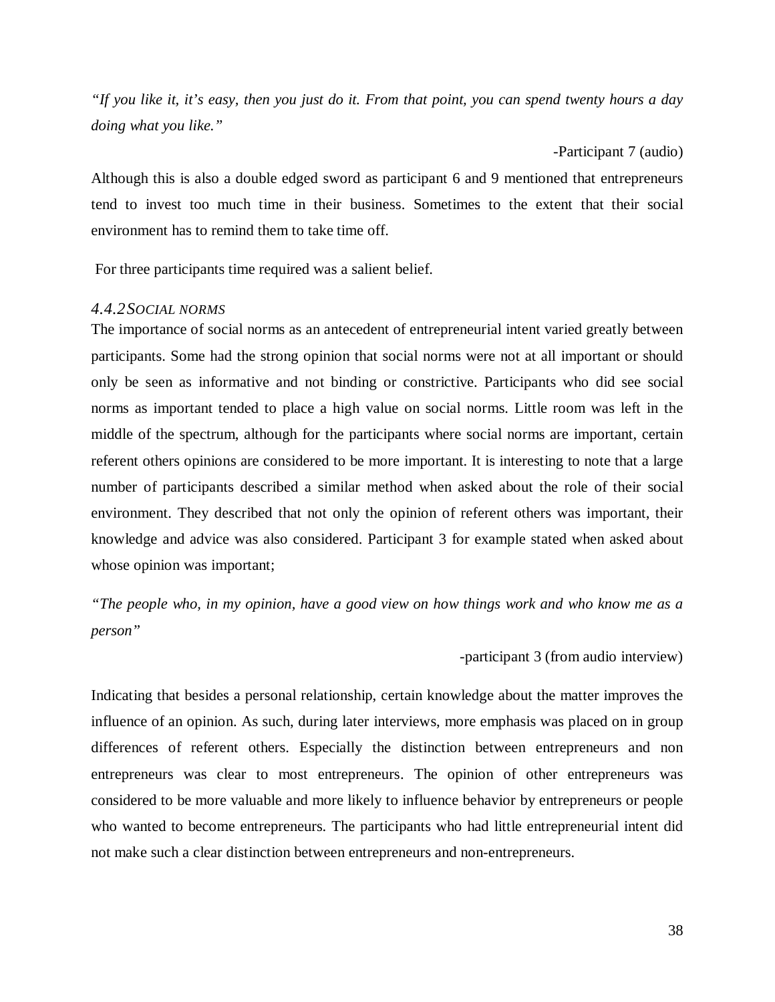*"If you like it, it's easy, then you just do it. From that point, you can spend twenty hours a day doing what you like."*

-Participant 7 (audio)

Although this is also a double edged sword as participant 6 and 9 mentioned that entrepreneurs tend to invest too much time in their business. Sometimes to the extent that their social environment has to remind them to take time off.

For three participants time required was a salient belief.

# <span id="page-39-0"></span>*4.4.2SOCIAL NORMS*

The importance of social norms as an antecedent of entrepreneurial intent varied greatly between participants. Some had the strong opinion that social norms were not at all important or should only be seen as informative and not binding or constrictive. Participants who did see social norms as important tended to place a high value on social norms. Little room was left in the middle of the spectrum, although for the participants where social norms are important, certain referent others opinions are considered to be more important. It is interesting to note that a large number of participants described a similar method when asked about the role of their social environment. They described that not only the opinion of referent others was important, their knowledge and advice was also considered. Participant 3 for example stated when asked about whose opinion was important;

*"The people who, in my opinion, have a good view on how things work and who know me as a person"*

#### -participant 3 (from audio interview)

Indicating that besides a personal relationship, certain knowledge about the matter improves the influence of an opinion. As such, during later interviews, more emphasis was placed on in group differences of referent others. Especially the distinction between entrepreneurs and non entrepreneurs was clear to most entrepreneurs. The opinion of other entrepreneurs was considered to be more valuable and more likely to influence behavior by entrepreneurs or people who wanted to become entrepreneurs. The participants who had little entrepreneurial intent did not make such a clear distinction between entrepreneurs and non-entrepreneurs.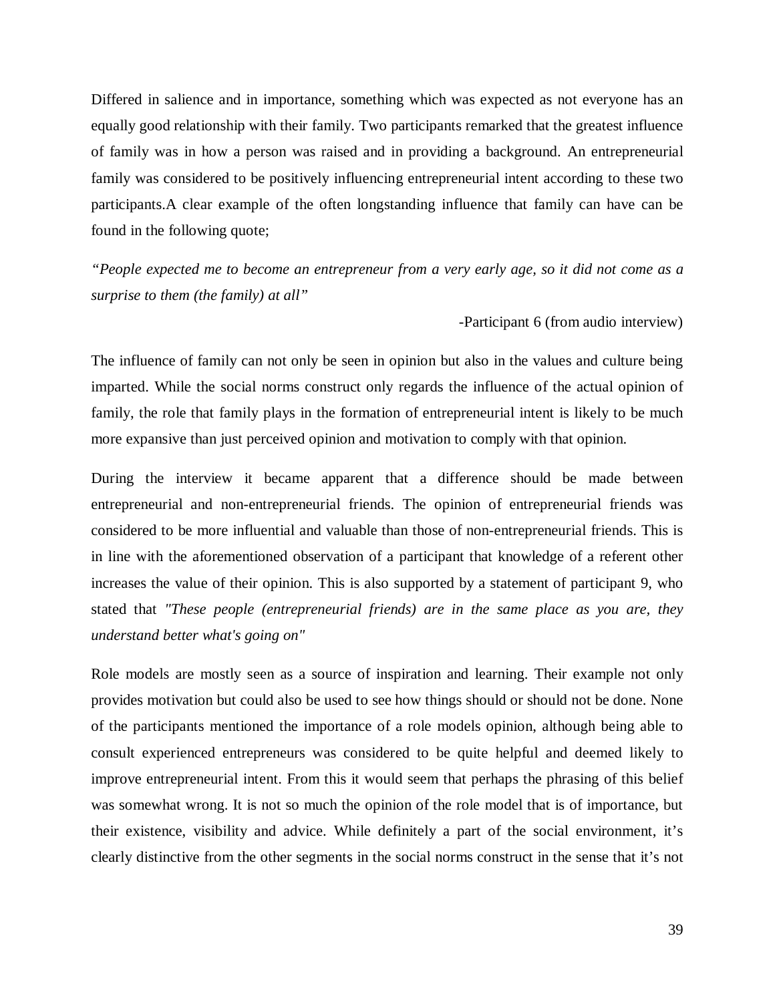Differed in salience and in importance, something which was expected as not everyone has an equally good relationship with their family. Two participants remarked that the greatest influence of family was in how a person was raised and in providing a background. An entrepreneurial family was considered to be positively influencing entrepreneurial intent according to these two participants.A clear example of the often longstanding influence that family can have can be found in the following quote;

*"People expected me to become an entrepreneur from a very early age, so it did not come as a surprise to them (the family) at all"*

-Participant 6 (from audio interview)

The influence of family can not only be seen in opinion but also in the values and culture being imparted. While the social norms construct only regards the influence of the actual opinion of family, the role that family plays in the formation of entrepreneurial intent is likely to be much more expansive than just perceived opinion and motivation to comply with that opinion.

During the interview it became apparent that a difference should be made between entrepreneurial and non-entrepreneurial friends. The opinion of entrepreneurial friends was considered to be more influential and valuable than those of non-entrepreneurial friends. This is in line with the aforementioned observation of a participant that knowledge of a referent other increases the value of their opinion. This is also supported by a statement of participant 9, who stated that *"These people (entrepreneurial friends) are in the same place as you are, they understand better what's going on"*

Role models are mostly seen as a source of inspiration and learning. Their example not only provides motivation but could also be used to see how things should or should not be done. None of the participants mentioned the importance of a role models opinion, although being able to consult experienced entrepreneurs was considered to be quite helpful and deemed likely to improve entrepreneurial intent. From this it would seem that perhaps the phrasing of this belief was somewhat wrong. It is not so much the opinion of the role model that is of importance, but their existence, visibility and advice. While definitely a part of the social environment, it's clearly distinctive from the other segments in the social norms construct in the sense that it's not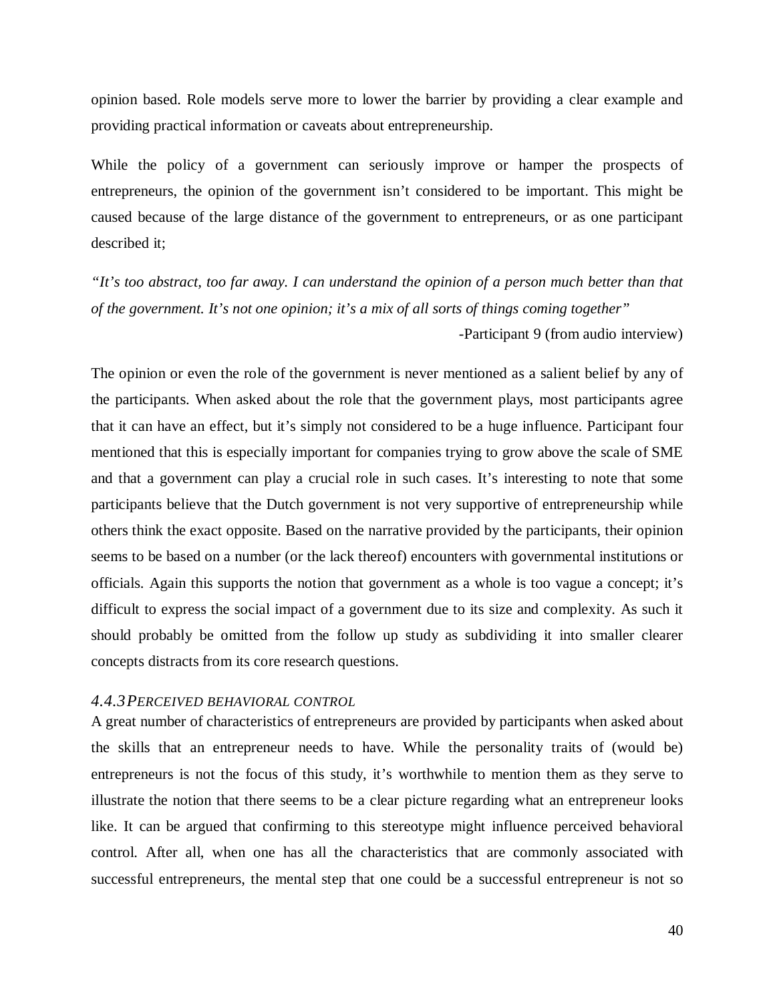opinion based. Role models serve more to lower the barrier by providing a clear example and providing practical information or caveats about entrepreneurship.

While the policy of a government can seriously improve or hamper the prospects of entrepreneurs, the opinion of the government isn't considered to be important. This might be caused because of the large distance of the government to entrepreneurs, or as one participant described it;

*"It's too abstract, too far away. I can understand the opinion of a person much better than that of the government. It's not one opinion; it's a mix of all sorts of things coming together"*

-Participant 9 (from audio interview)

The opinion or even the role of the government is never mentioned as a salient belief by any of the participants. When asked about the role that the government plays, most participants agree that it can have an effect, but it's simply not considered to be a huge influence. Participant four mentioned that this is especially important for companies trying to grow above the scale of SME and that a government can play a crucial role in such cases. It's interesting to note that some participants believe that the Dutch government is not very supportive of entrepreneurship while others think the exact opposite. Based on the narrative provided by the participants, their opinion seems to be based on a number (or the lack thereof) encounters with governmental institutions or officials. Again this supports the notion that government as a whole is too vague a concept; it's difficult to express the social impact of a government due to its size and complexity. As such it should probably be omitted from the follow up study as subdividing it into smaller clearer concepts distracts from its core research questions.

# <span id="page-41-0"></span>*4.4.3PERCEIVED BEHAVIORAL CONTROL*

A great number of characteristics of entrepreneurs are provided by participants when asked about the skills that an entrepreneur needs to have. While the personality traits of (would be) entrepreneurs is not the focus of this study, it's worthwhile to mention them as they serve to illustrate the notion that there seems to be a clear picture regarding what an entrepreneur looks like. It can be argued that confirming to this stereotype might influence perceived behavioral control. After all, when one has all the characteristics that are commonly associated with successful entrepreneurs, the mental step that one could be a successful entrepreneur is not so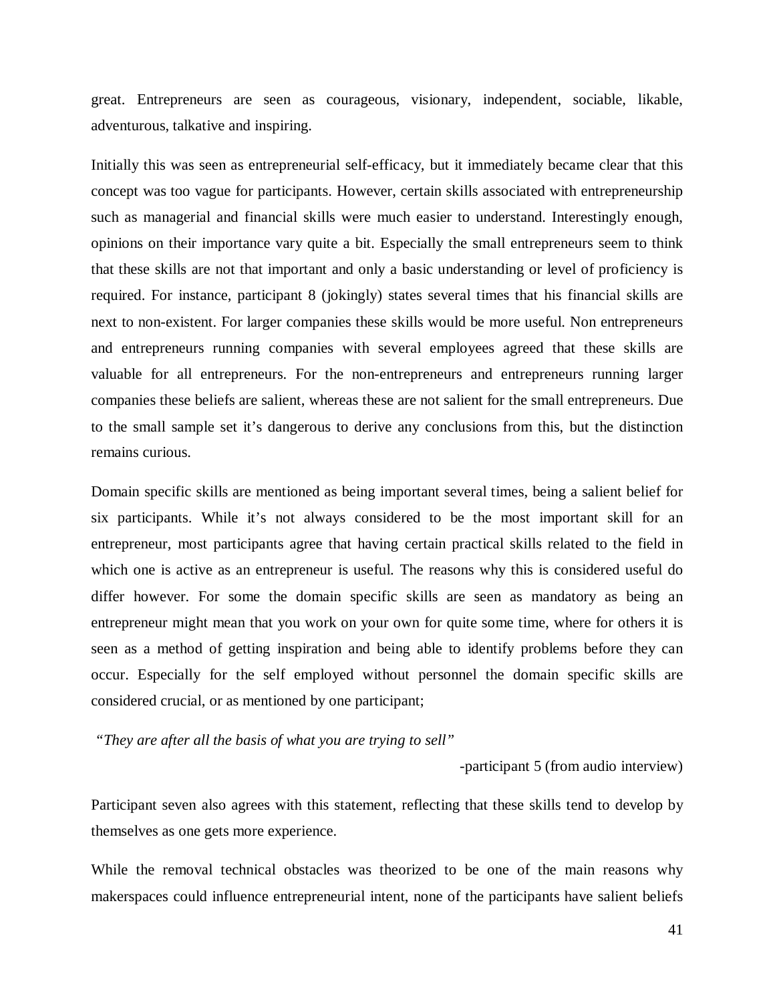great. Entrepreneurs are seen as courageous, visionary, independent, sociable, likable, adventurous, talkative and inspiring.

Initially this was seen as entrepreneurial self-efficacy, but it immediately became clear that this concept was too vague for participants. However, certain skills associated with entrepreneurship such as managerial and financial skills were much easier to understand. Interestingly enough, opinions on their importance vary quite a bit. Especially the small entrepreneurs seem to think that these skills are not that important and only a basic understanding or level of proficiency is required. For instance, participant 8 (jokingly) states several times that his financial skills are next to non-existent. For larger companies these skills would be more useful. Non entrepreneurs and entrepreneurs running companies with several employees agreed that these skills are valuable for all entrepreneurs. For the non-entrepreneurs and entrepreneurs running larger companies these beliefs are salient, whereas these are not salient for the small entrepreneurs. Due to the small sample set it's dangerous to derive any conclusions from this, but the distinction remains curious.

Domain specific skills are mentioned as being important several times, being a salient belief for six participants. While it's not always considered to be the most important skill for an entrepreneur, most participants agree that having certain practical skills related to the field in which one is active as an entrepreneur is useful. The reasons why this is considered useful do differ however. For some the domain specific skills are seen as mandatory as being an entrepreneur might mean that you work on your own for quite some time, where for others it is seen as a method of getting inspiration and being able to identify problems before they can occur. Especially for the self employed without personnel the domain specific skills are considered crucial, or as mentioned by one participant;

*"They are after all the basis of what you are trying to sell"*

-participant 5 (from audio interview)

Participant seven also agrees with this statement, reflecting that these skills tend to develop by themselves as one gets more experience.

While the removal technical obstacles was theorized to be one of the main reasons why makerspaces could influence entrepreneurial intent, none of the participants have salient beliefs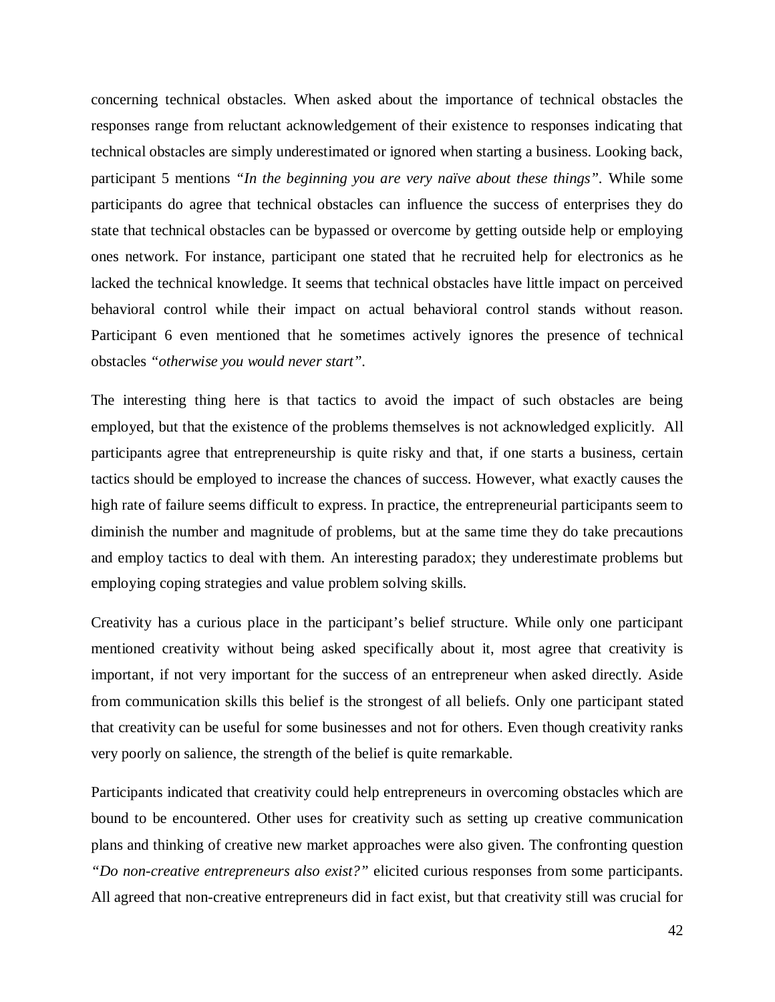concerning technical obstacles. When asked about the importance of technical obstacles the responses range from reluctant acknowledgement of their existence to responses indicating that technical obstacles are simply underestimated or ignored when starting a business. Looking back, participant 5 mentions *"In the beginning you are very naïve about these things".* While some participants do agree that technical obstacles can influence the success of enterprises they do state that technical obstacles can be bypassed or overcome by getting outside help or employing ones network. For instance, participant one stated that he recruited help for electronics as he lacked the technical knowledge. It seems that technical obstacles have little impact on perceived behavioral control while their impact on actual behavioral control stands without reason. Participant 6 even mentioned that he sometimes actively ignores the presence of technical obstacles *"otherwise you would never start".* 

The interesting thing here is that tactics to avoid the impact of such obstacles are being employed, but that the existence of the problems themselves is not acknowledged explicitly. All participants agree that entrepreneurship is quite risky and that, if one starts a business, certain tactics should be employed to increase the chances of success. However, what exactly causes the high rate of failure seems difficult to express. In practice, the entrepreneurial participants seem to diminish the number and magnitude of problems, but at the same time they do take precautions and employ tactics to deal with them. An interesting paradox; they underestimate problems but employing coping strategies and value problem solving skills.

Creativity has a curious place in the participant's belief structure. While only one participant mentioned creativity without being asked specifically about it, most agree that creativity is important, if not very important for the success of an entrepreneur when asked directly. Aside from communication skills this belief is the strongest of all beliefs. Only one participant stated that creativity can be useful for some businesses and not for others. Even though creativity ranks very poorly on salience, the strength of the belief is quite remarkable.

Participants indicated that creativity could help entrepreneurs in overcoming obstacles which are bound to be encountered. Other uses for creativity such as setting up creative communication plans and thinking of creative new market approaches were also given. The confronting question *"Do non-creative entrepreneurs also exist?"* elicited curious responses from some participants. All agreed that non-creative entrepreneurs did in fact exist, but that creativity still was crucial for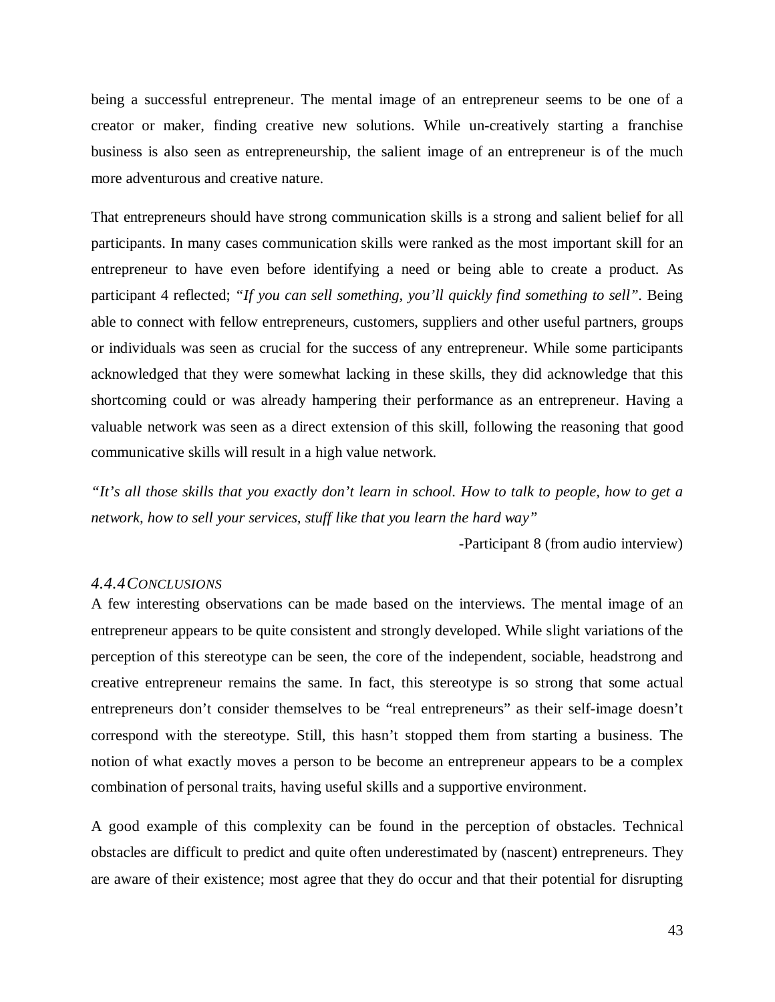being a successful entrepreneur. The mental image of an entrepreneur seems to be one of a creator or maker, finding creative new solutions. While un-creatively starting a franchise business is also seen as entrepreneurship, the salient image of an entrepreneur is of the much more adventurous and creative nature.

That entrepreneurs should have strong communication skills is a strong and salient belief for all participants. In many cases communication skills were ranked as the most important skill for an entrepreneur to have even before identifying a need or being able to create a product. As participant 4 reflected; *"If you can sell something, you'll quickly find something to sell".* Being able to connect with fellow entrepreneurs, customers, suppliers and other useful partners, groups or individuals was seen as crucial for the success of any entrepreneur. While some participants acknowledged that they were somewhat lacking in these skills, they did acknowledge that this shortcoming could or was already hampering their performance as an entrepreneur. Having a valuable network was seen as a direct extension of this skill, following the reasoning that good communicative skills will result in a high value network.

*"It's all those skills that you exactly don't learn in school. How to talk to people, how to get a network, how to sell your services, stuff like that you learn the hard way"*

-Participant 8 (from audio interview)

## <span id="page-44-0"></span>*4.4.4CONCLUSIONS*

A few interesting observations can be made based on the interviews. The mental image of an entrepreneur appears to be quite consistent and strongly developed. While slight variations of the perception of this stereotype can be seen, the core of the independent, sociable, headstrong and creative entrepreneur remains the same. In fact, this stereotype is so strong that some actual entrepreneurs don't consider themselves to be "real entrepreneurs" as their self-image doesn't correspond with the stereotype. Still, this hasn't stopped them from starting a business. The notion of what exactly moves a person to be become an entrepreneur appears to be a complex combination of personal traits, having useful skills and a supportive environment.

A good example of this complexity can be found in the perception of obstacles. Technical obstacles are difficult to predict and quite often underestimated by (nascent) entrepreneurs. They are aware of their existence; most agree that they do occur and that their potential for disrupting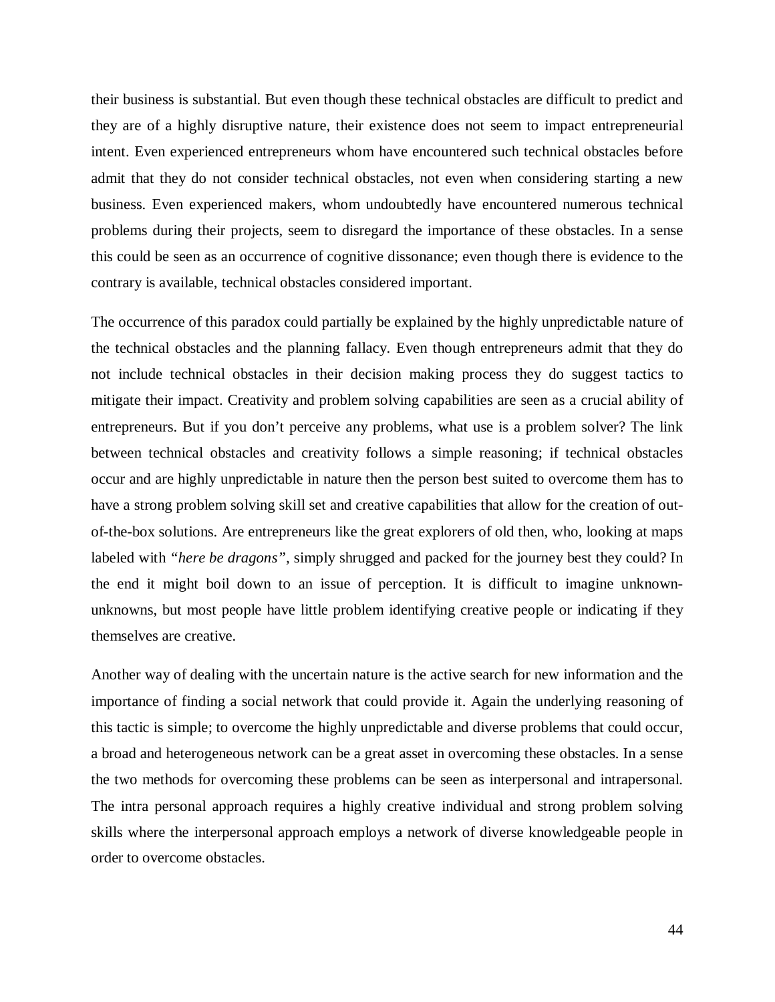their business is substantial. But even though these technical obstacles are difficult to predict and they are of a highly disruptive nature, their existence does not seem to impact entrepreneurial intent. Even experienced entrepreneurs whom have encountered such technical obstacles before admit that they do not consider technical obstacles, not even when considering starting a new business. Even experienced makers, whom undoubtedly have encountered numerous technical problems during their projects, seem to disregard the importance of these obstacles. In a sense this could be seen as an occurrence of cognitive dissonance; even though there is evidence to the contrary is available, technical obstacles considered important.

The occurrence of this paradox could partially be explained by the highly unpredictable nature of the technical obstacles and the planning fallacy. Even though entrepreneurs admit that they do not include technical obstacles in their decision making process they do suggest tactics to mitigate their impact. Creativity and problem solving capabilities are seen as a crucial ability of entrepreneurs. But if you don't perceive any problems, what use is a problem solver? The link between technical obstacles and creativity follows a simple reasoning; if technical obstacles occur and are highly unpredictable in nature then the person best suited to overcome them has to have a strong problem solving skill set and creative capabilities that allow for the creation of outof-the-box solutions. Are entrepreneurs like the great explorers of old then, who, looking at maps labeled with *"here be dragons",* simply shrugged and packed for the journey best they could? In the end it might boil down to an issue of perception. It is difficult to imagine unknownunknowns, but most people have little problem identifying creative people or indicating if they themselves are creative.

Another way of dealing with the uncertain nature is the active search for new information and the importance of finding a social network that could provide it. Again the underlying reasoning of this tactic is simple; to overcome the highly unpredictable and diverse problems that could occur, a broad and heterogeneous network can be a great asset in overcoming these obstacles. In a sense the two methods for overcoming these problems can be seen as interpersonal and intrapersonal. The intra personal approach requires a highly creative individual and strong problem solving skills where the interpersonal approach employs a network of diverse knowledgeable people in order to overcome obstacles.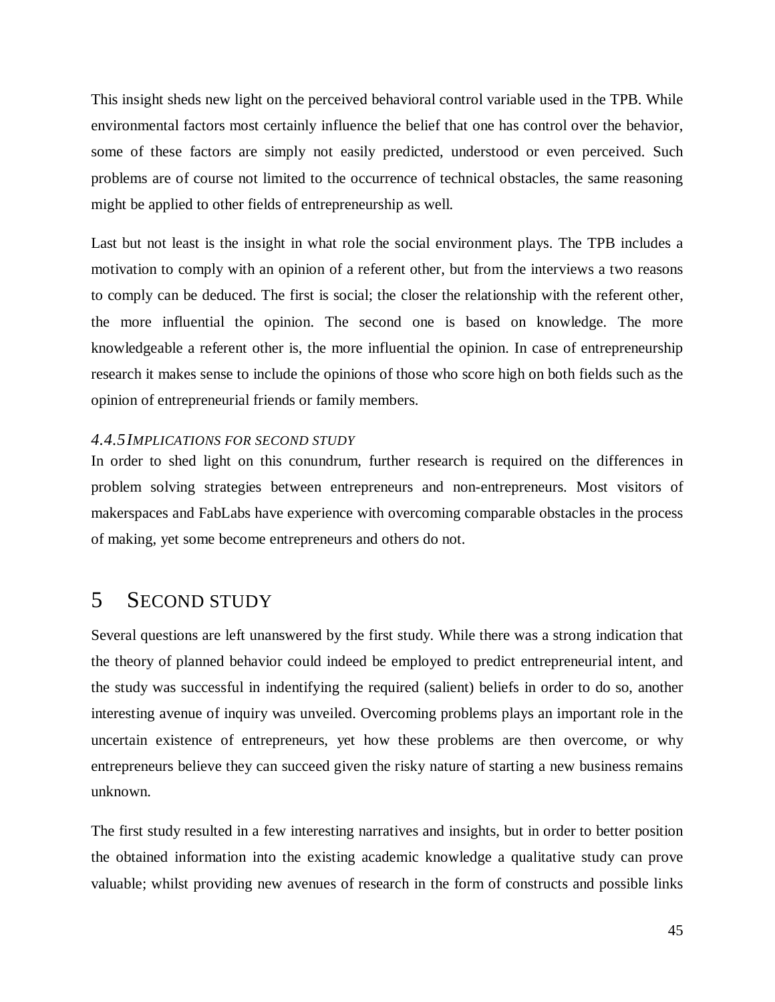This insight sheds new light on the perceived behavioral control variable used in the TPB. While environmental factors most certainly influence the belief that one has control over the behavior, some of these factors are simply not easily predicted, understood or even perceived. Such problems are of course not limited to the occurrence of technical obstacles, the same reasoning might be applied to other fields of entrepreneurship as well.

Last but not least is the insight in what role the social environment plays. The TPB includes a motivation to comply with an opinion of a referent other, but from the interviews a two reasons to comply can be deduced. The first is social; the closer the relationship with the referent other, the more influential the opinion. The second one is based on knowledge. The more knowledgeable a referent other is, the more influential the opinion. In case of entrepreneurship research it makes sense to include the opinions of those who score high on both fields such as the opinion of entrepreneurial friends or family members.

#### <span id="page-46-0"></span>*4.4.5IMPLICATIONS FOR SECOND STUDY*

In order to shed light on this conundrum, further research is required on the differences in problem solving strategies between entrepreneurs and non-entrepreneurs. Most visitors of makerspaces and FabLabs have experience with overcoming comparable obstacles in the process of making, yet some become entrepreneurs and others do not.

# <span id="page-46-1"></span>5 SECOND STUDY

Several questions are left unanswered by the first study. While there was a strong indication that the theory of planned behavior could indeed be employed to predict entrepreneurial intent, and the study was successful in indentifying the required (salient) beliefs in order to do so, another interesting avenue of inquiry was unveiled. Overcoming problems plays an important role in the uncertain existence of entrepreneurs, yet how these problems are then overcome, or why entrepreneurs believe they can succeed given the risky nature of starting a new business remains unknown.

The first study resulted in a few interesting narratives and insights, but in order to better position the obtained information into the existing academic knowledge a qualitative study can prove valuable; whilst providing new avenues of research in the form of constructs and possible links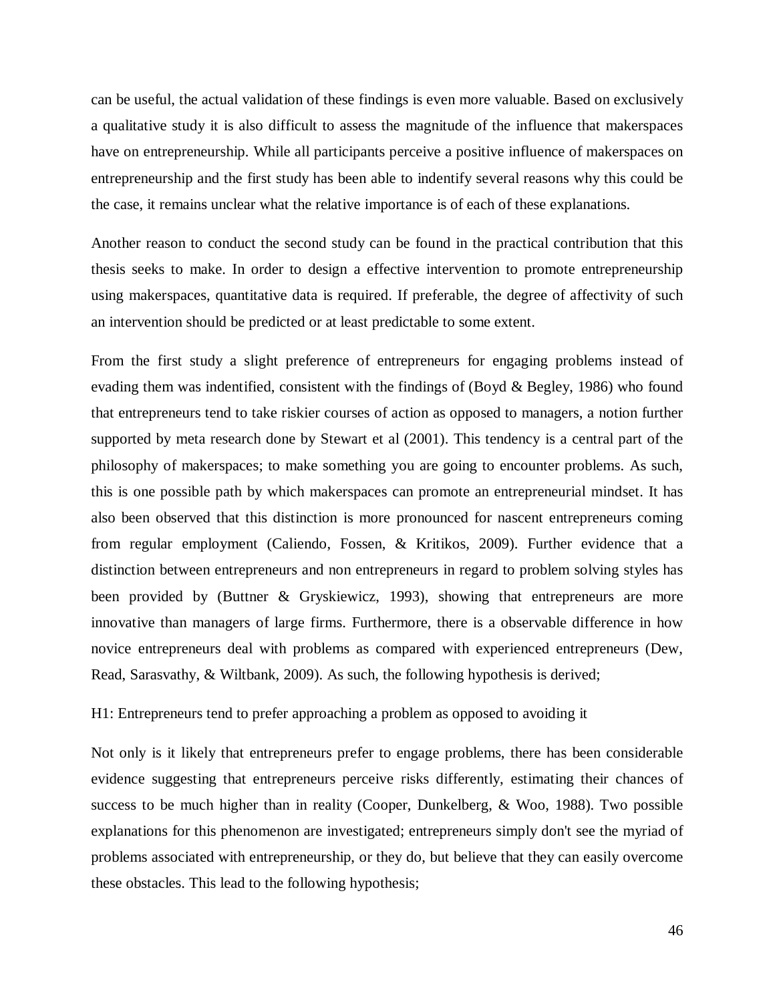can be useful, the actual validation of these findings is even more valuable. Based on exclusively a qualitative study it is also difficult to assess the magnitude of the influence that makerspaces have on entrepreneurship. While all participants perceive a positive influence of makerspaces on entrepreneurship and the first study has been able to indentify several reasons why this could be the case, it remains unclear what the relative importance is of each of these explanations.

Another reason to conduct the second study can be found in the practical contribution that this thesis seeks to make. In order to design a effective intervention to promote entrepreneurship using makerspaces, quantitative data is required. If preferable, the degree of affectivity of such an intervention should be predicted or at least predictable to some extent.

From the first study a slight preference of entrepreneurs for engaging problems instead of evading them was indentified, consistent with the findings of (Boyd  $\&$  Begley, 1986) who found that entrepreneurs tend to take riskier courses of action as opposed to managers, a notion further supported by meta research done by Stewart et al (2001). This tendency is a central part of the philosophy of makerspaces; to make something you are going to encounter problems. As such, this is one possible path by which makerspaces can promote an entrepreneurial mindset. It has also been observed that this distinction is more pronounced for nascent entrepreneurs coming from regular employment (Caliendo, Fossen, & Kritikos, 2009). Further evidence that a distinction between entrepreneurs and non entrepreneurs in regard to problem solving styles has been provided by (Buttner & Gryskiewicz, 1993), showing that entrepreneurs are more innovative than managers of large firms. Furthermore, there is a observable difference in how novice entrepreneurs deal with problems as compared with experienced entrepreneurs (Dew, Read, Sarasvathy, & Wiltbank, 2009). As such, the following hypothesis is derived;

## H1: Entrepreneurs tend to prefer approaching a problem as opposed to avoiding it

Not only is it likely that entrepreneurs prefer to engage problems, there has been considerable evidence suggesting that entrepreneurs perceive risks differently, estimating their chances of success to be much higher than in reality (Cooper, Dunkelberg, & Woo, 1988). Two possible explanations for this phenomenon are investigated; entrepreneurs simply don't see the myriad of problems associated with entrepreneurship, or they do, but believe that they can easily overcome these obstacles. This lead to the following hypothesis;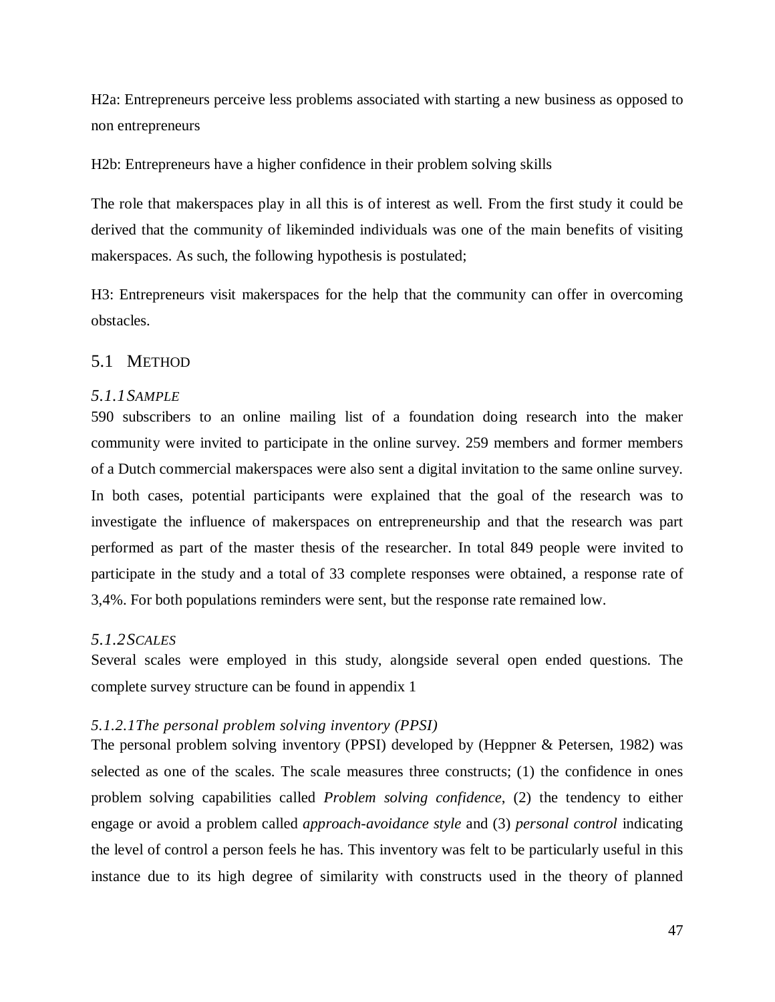H2a: Entrepreneurs perceive less problems associated with starting a new business as opposed to non entrepreneurs

H2b: Entrepreneurs have a higher confidence in their problem solving skills

The role that makerspaces play in all this is of interest as well. From the first study it could be derived that the community of likeminded individuals was one of the main benefits of visiting makerspaces. As such, the following hypothesis is postulated;

H3: Entrepreneurs visit makerspaces for the help that the community can offer in overcoming obstacles.

# <span id="page-48-0"></span>5.1 METHOD

# <span id="page-48-1"></span>*5.1.1SAMPLE*

590 subscribers to an online mailing list of a foundation doing research into the maker community were invited to participate in the online survey. 259 members and former members of a Dutch commercial makerspaces were also sent a digital invitation to the same online survey. In both cases, potential participants were explained that the goal of the research was to investigate the influence of makerspaces on entrepreneurship and that the research was part performed as part of the master thesis of the researcher. In total 849 people were invited to participate in the study and a total of 33 complete responses were obtained, a response rate of 3,4%. For both populations reminders were sent, but the response rate remained low.

# <span id="page-48-2"></span>*5.1.2SCALES*

Several scales were employed in this study, alongside several open ended questions. The complete survey structure can be found in appendix 1

## *5.1.2.1The personal problem solving inventory (PPSI)*

The personal problem solving inventory (PPSI) developed by (Heppner & Petersen, 1982) was selected as one of the scales. The scale measures three constructs; (1) the confidence in ones problem solving capabilities called *Problem solving confidence*, (2) the tendency to either engage or avoid a problem called *approach-avoidance style* and (3) *personal control* indicating the level of control a person feels he has. This inventory was felt to be particularly useful in this instance due to its high degree of similarity with constructs used in the theory of planned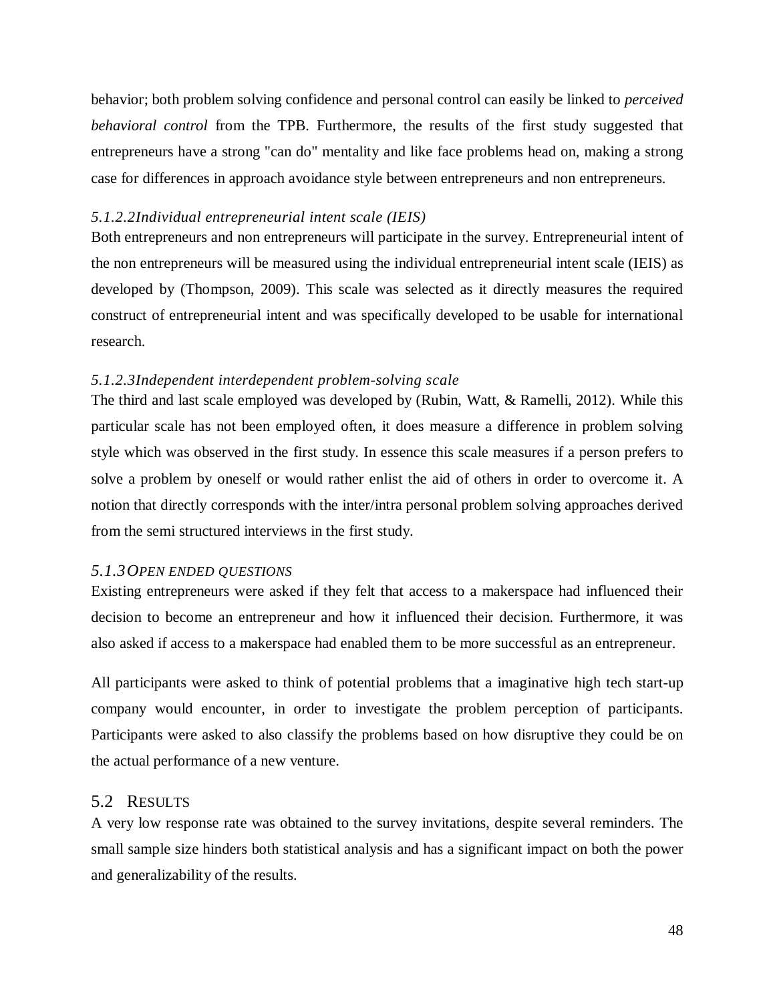behavior; both problem solving confidence and personal control can easily be linked to *perceived behavioral control* from the TPB. Furthermore, the results of the first study suggested that entrepreneurs have a strong "can do" mentality and like face problems head on, making a strong case for differences in approach avoidance style between entrepreneurs and non entrepreneurs.

# *5.1.2.2Individual entrepreneurial intent scale (IEIS)*

Both entrepreneurs and non entrepreneurs will participate in the survey. Entrepreneurial intent of the non entrepreneurs will be measured using the individual entrepreneurial intent scale (IEIS) as developed by (Thompson, 2009). This scale was selected as it directly measures the required construct of entrepreneurial intent and was specifically developed to be usable for international research.

## *5.1.2.3Independent interdependent problem-solving scale*

The third and last scale employed was developed by (Rubin, Watt, & Ramelli, 2012). While this particular scale has not been employed often, it does measure a difference in problem solving style which was observed in the first study. In essence this scale measures if a person prefers to solve a problem by oneself or would rather enlist the aid of others in order to overcome it. A notion that directly corresponds with the inter/intra personal problem solving approaches derived from the semi structured interviews in the first study.

#### <span id="page-49-0"></span>*5.1.3OPEN ENDED QUESTIONS*

Existing entrepreneurs were asked if they felt that access to a makerspace had influenced their decision to become an entrepreneur and how it influenced their decision. Furthermore, it was also asked if access to a makerspace had enabled them to be more successful as an entrepreneur.

All participants were asked to think of potential problems that a imaginative high tech start-up company would encounter, in order to investigate the problem perception of participants. Participants were asked to also classify the problems based on how disruptive they could be on the actual performance of a new venture.

# <span id="page-49-1"></span>5.2 RESULTS

A very low response rate was obtained to the survey invitations, despite several reminders. The small sample size hinders both statistical analysis and has a significant impact on both the power and generalizability of the results.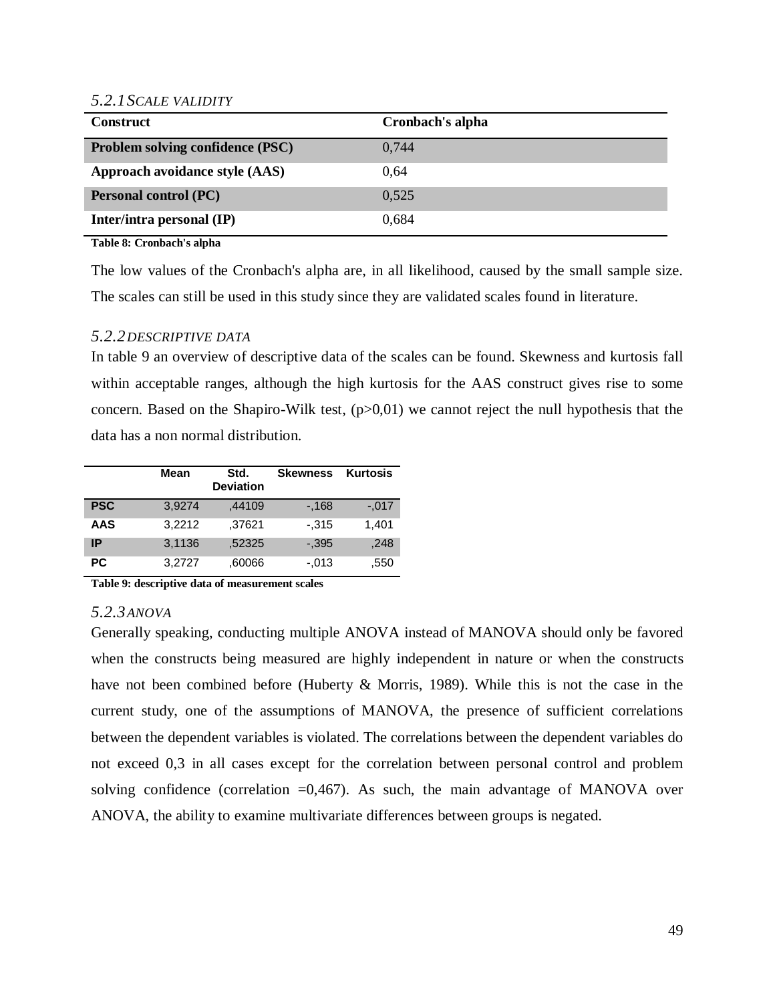#### <span id="page-50-0"></span>*5.2.1SCALE VALIDITY*

| <b>Construct</b>                 | Cronbach's alpha |
|----------------------------------|------------------|
| Problem solving confidence (PSC) | 0,744            |
| Approach avoidance style (AAS)   | 0.64             |
| <b>Personal control (PC)</b>     | 0.525            |
| Inter/intra personal (IP)        | 0.684            |

**Table 8: Cronbach's alpha**

The low values of the Cronbach's alpha are, in all likelihood, caused by the small sample size. The scales can still be used in this study since they are validated scales found in literature.

# <span id="page-50-1"></span>*5.2.2DESCRIPTIVE DATA*

In table 9 an overview of descriptive data of the scales can be found. Skewness and kurtosis fall within acceptable ranges, although the high kurtosis for the AAS construct gives rise to some concern. Based on the Shapiro-Wilk test, (p>0,01) we cannot reject the null hypothesis that the data has a non normal distribution.

|            | Mean   | Std.<br><b>Deviation</b> | <b>Skewness</b> | <b>Kurtosis</b> |
|------------|--------|--------------------------|-----------------|-----------------|
| <b>PSC</b> | 3,9274 | .44109                   | $-168$          | $-.017$         |
| AAS        | 3,2212 | .37621                   | $-315$          | 1,401           |
| IP         | 3,1136 | .52325                   | $-.395$         | ,248            |
| РC         | 3.2727 | .60066                   | $-.013$         | .550            |

**Table 9: descriptive data of measurement scales**

#### *5.2.3ANOVA*

Generally speaking, conducting multiple ANOVA instead of MANOVA should only be favored when the constructs being measured are highly independent in nature or when the constructs have not been combined before (Huberty & Morris, 1989). While this is not the case in the current study, one of the assumptions of MANOVA, the presence of sufficient correlations between the dependent variables is violated. The correlations between the dependent variables do not exceed 0,3 in all cases except for the correlation between personal control and problem solving confidence (correlation  $=0,467$ ). As such, the main advantage of MANOVA over ANOVA, the ability to examine multivariate differences between groups is negated.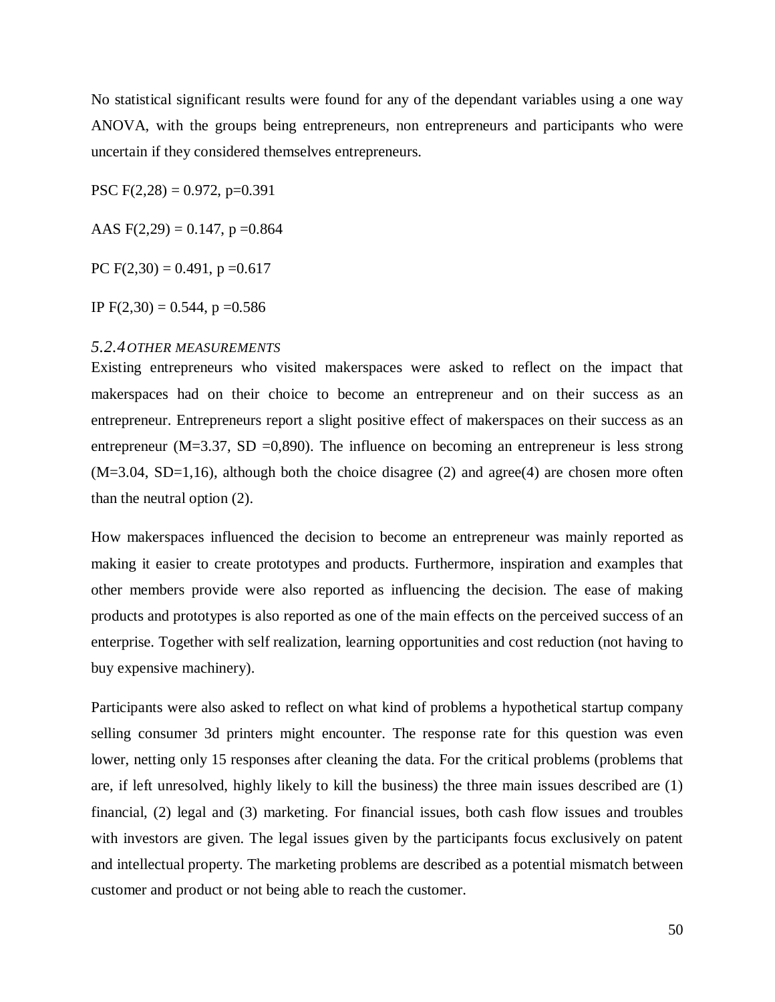No statistical significant results were found for any of the dependant variables using a one way ANOVA, with the groups being entrepreneurs, non entrepreneurs and participants who were uncertain if they considered themselves entrepreneurs.

PSC  $F(2,28) = 0.972$ , p=0.391

AAS  $F(2,29) = 0.147$ , p = 0.864

PC  $F(2,30) = 0.491$ , p = 0.617

IP  $F(2,30) = 0.544$ , p = 0.586

#### <span id="page-51-0"></span>*5.2.4OTHER MEASUREMENTS*

Existing entrepreneurs who visited makerspaces were asked to reflect on the impact that makerspaces had on their choice to become an entrepreneur and on their success as an entrepreneur. Entrepreneurs report a slight positive effect of makerspaces on their success as an entrepreneur ( $M=3.37$ ,  $SD = 0,890$ ). The influence on becoming an entrepreneur is less strong  $(M=3.04, SD=1,16)$ , although both the choice disagree (2) and agree(4) are chosen more often than the neutral option (2).

How makerspaces influenced the decision to become an entrepreneur was mainly reported as making it easier to create prototypes and products. Furthermore, inspiration and examples that other members provide were also reported as influencing the decision. The ease of making products and prototypes is also reported as one of the main effects on the perceived success of an enterprise. Together with self realization, learning opportunities and cost reduction (not having to buy expensive machinery).

Participants were also asked to reflect on what kind of problems a hypothetical startup company selling consumer 3d printers might encounter. The response rate for this question was even lower, netting only 15 responses after cleaning the data. For the critical problems (problems that are, if left unresolved, highly likely to kill the business) the three main issues described are (1) financial, (2) legal and (3) marketing. For financial issues, both cash flow issues and troubles with investors are given. The legal issues given by the participants focus exclusively on patent and intellectual property. The marketing problems are described as a potential mismatch between customer and product or not being able to reach the customer.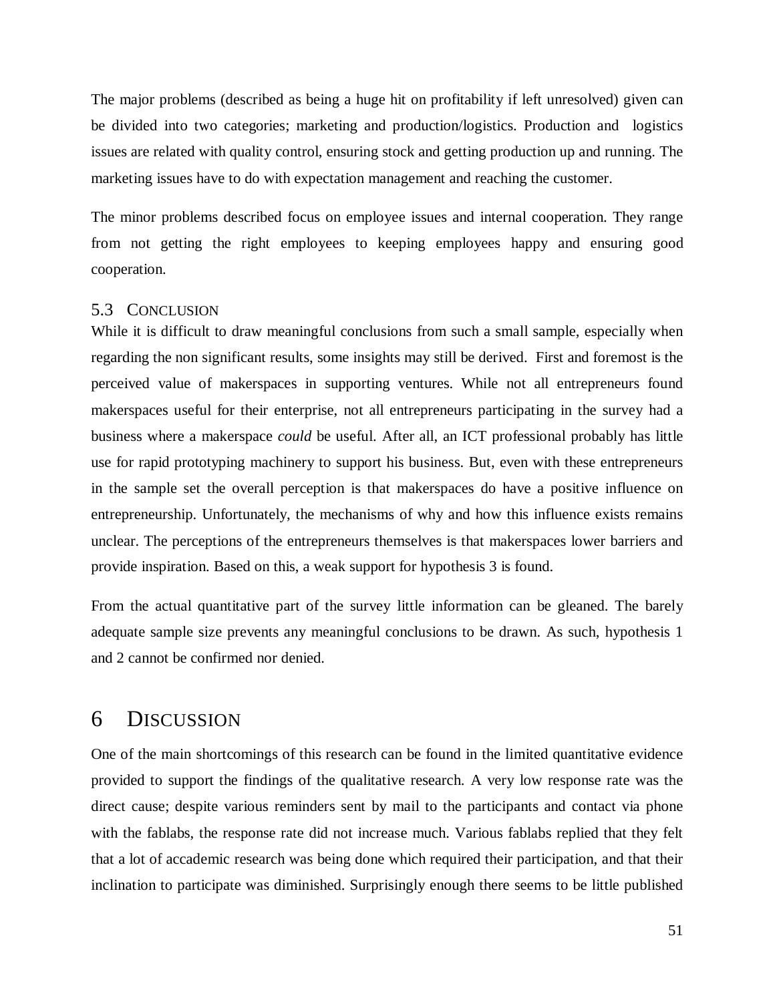The major problems (described as being a huge hit on profitability if left unresolved) given can be divided into two categories; marketing and production/logistics. Production and logistics issues are related with quality control, ensuring stock and getting production up and running. The marketing issues have to do with expectation management and reaching the customer.

The minor problems described focus on employee issues and internal cooperation. They range from not getting the right employees to keeping employees happy and ensuring good cooperation.

# <span id="page-52-0"></span>5.3 CONCLUSION

While it is difficult to draw meaningful conclusions from such a small sample, especially when regarding the non significant results, some insights may still be derived. First and foremost is the perceived value of makerspaces in supporting ventures. While not all entrepreneurs found makerspaces useful for their enterprise, not all entrepreneurs participating in the survey had a business where a makerspace *could* be useful. After all, an ICT professional probably has little use for rapid prototyping machinery to support his business. But, even with these entrepreneurs in the sample set the overall perception is that makerspaces do have a positive influence on entrepreneurship. Unfortunately, the mechanisms of why and how this influence exists remains unclear. The perceptions of the entrepreneurs themselves is that makerspaces lower barriers and provide inspiration. Based on this, a weak support for hypothesis 3 is found.

From the actual quantitative part of the survey little information can be gleaned. The barely adequate sample size prevents any meaningful conclusions to be drawn. As such, hypothesis 1 and 2 cannot be confirmed nor denied.

# 6 DISCUSSION

One of the main shortcomings of this research can be found in the limited quantitative evidence provided to support the findings of the qualitative research. A very low response rate was the direct cause; despite various reminders sent by mail to the participants and contact via phone with the fablabs, the response rate did not increase much. Various fablabs replied that they felt that a lot of accademic research was being done which required their participation, and that their inclination to participate was diminished. Surprisingly enough there seems to be little published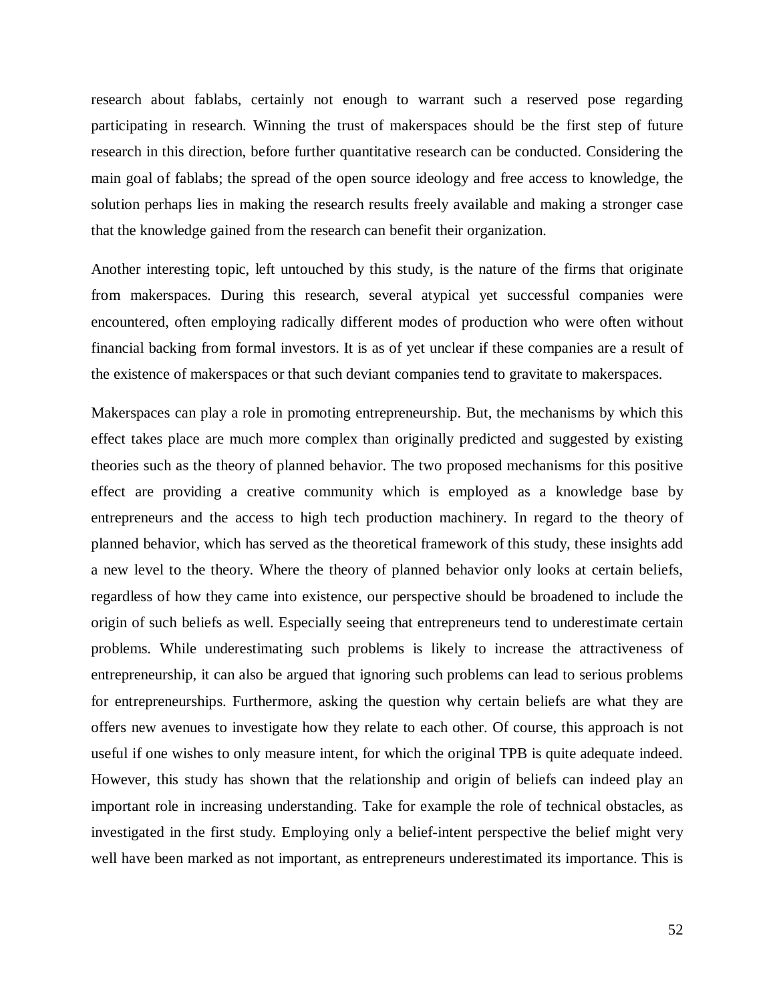research about fablabs, certainly not enough to warrant such a reserved pose regarding participating in research. Winning the trust of makerspaces should be the first step of future research in this direction, before further quantitative research can be conducted. Considering the main goal of fablabs; the spread of the open source ideology and free access to knowledge, the solution perhaps lies in making the research results freely available and making a stronger case that the knowledge gained from the research can benefit their organization.

Another interesting topic, left untouched by this study, is the nature of the firms that originate from makerspaces. During this research, several atypical yet successful companies were encountered, often employing radically different modes of production who were often without financial backing from formal investors. It is as of yet unclear if these companies are a result of the existence of makerspaces or that such deviant companies tend to gravitate to makerspaces.

Makerspaces can play a role in promoting entrepreneurship. But, the mechanisms by which this effect takes place are much more complex than originally predicted and suggested by existing theories such as the theory of planned behavior. The two proposed mechanisms for this positive effect are providing a creative community which is employed as a knowledge base by entrepreneurs and the access to high tech production machinery. In regard to the theory of planned behavior, which has served as the theoretical framework of this study, these insights add a new level to the theory. Where the theory of planned behavior only looks at certain beliefs, regardless of how they came into existence, our perspective should be broadened to include the origin of such beliefs as well. Especially seeing that entrepreneurs tend to underestimate certain problems. While underestimating such problems is likely to increase the attractiveness of entrepreneurship, it can also be argued that ignoring such problems can lead to serious problems for entrepreneurships. Furthermore, asking the question why certain beliefs are what they are offers new avenues to investigate how they relate to each other. Of course, this approach is not useful if one wishes to only measure intent, for which the original TPB is quite adequate indeed. However, this study has shown that the relationship and origin of beliefs can indeed play an important role in increasing understanding. Take for example the role of technical obstacles, as investigated in the first study. Employing only a belief-intent perspective the belief might very well have been marked as not important, as entrepreneurs underestimated its importance. This is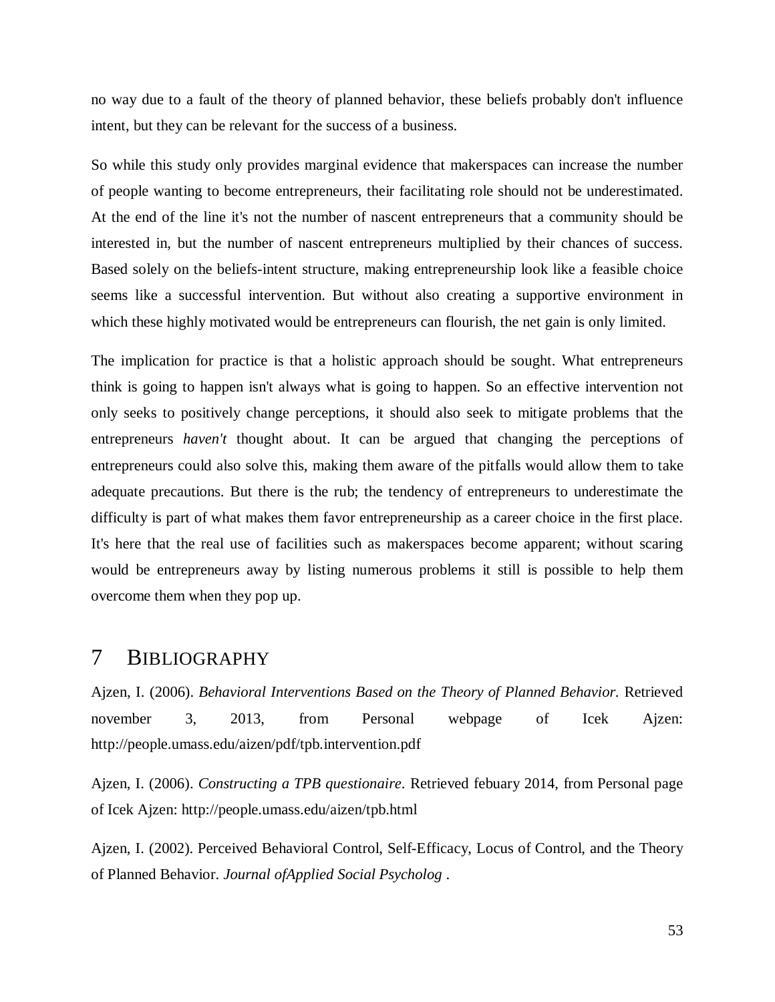no way due to a fault of the theory of planned behavior, these beliefs probably don't influence intent, but they can be relevant for the success of a business.

So while this study only provides marginal evidence that makerspaces can increase the number of people wanting to become entrepreneurs, their facilitating role should not be underestimated. At the end of the line it's not the number of nascent entrepreneurs that a community should be interested in, but the number of nascent entrepreneurs multiplied by their chances of success. Based solely on the beliefs-intent structure, making entrepreneurship look like a feasible choice seems like a successful intervention. But without also creating a supportive environment in which these highly motivated would be entrepreneurs can flourish, the net gain is only limited.

The implication for practice is that a holistic approach should be sought. What entrepreneurs think is going to happen isn't always what is going to happen. So an effective intervention not only seeks to positively change perceptions, it should also seek to mitigate problems that the entrepreneurs *haven't* thought about. It can be argued that changing the perceptions of entrepreneurs could also solve this, making them aware of the pitfalls would allow them to take adequate precautions. But there is the rub; the tendency of entrepreneurs to underestimate the difficulty is part of what makes them favor entrepreneurship as a career choice in the first place. It's here that the real use of facilities such as makerspaces become apparent; without scaring would be entrepreneurs away by listing numerous problems it still is possible to help them overcome them when they pop up.

# <span id="page-54-0"></span>7 BIBLIOGRAPHY

Ajzen, I. (2006). *Behavioral Interventions Based on the Theory of Planned Behavior.* Retrieved november 3, 2013, from Personal webpage of Icek Ajzen: http://people.umass.edu/aizen/pdf/tpb.intervention.pdf

Ajzen, I. (2006). *Constructing a TPB questionaire.* Retrieved febuary 2014, from Personal page of Icek Ajzen: http://people.umass.edu/aizen/tpb.html

Ajzen, I. (2002). Perceived Behavioral Control, Self-Efficacy, Locus of Control, and the Theory of Planned Behavior. *Journal ofApplied Social Psycholog* .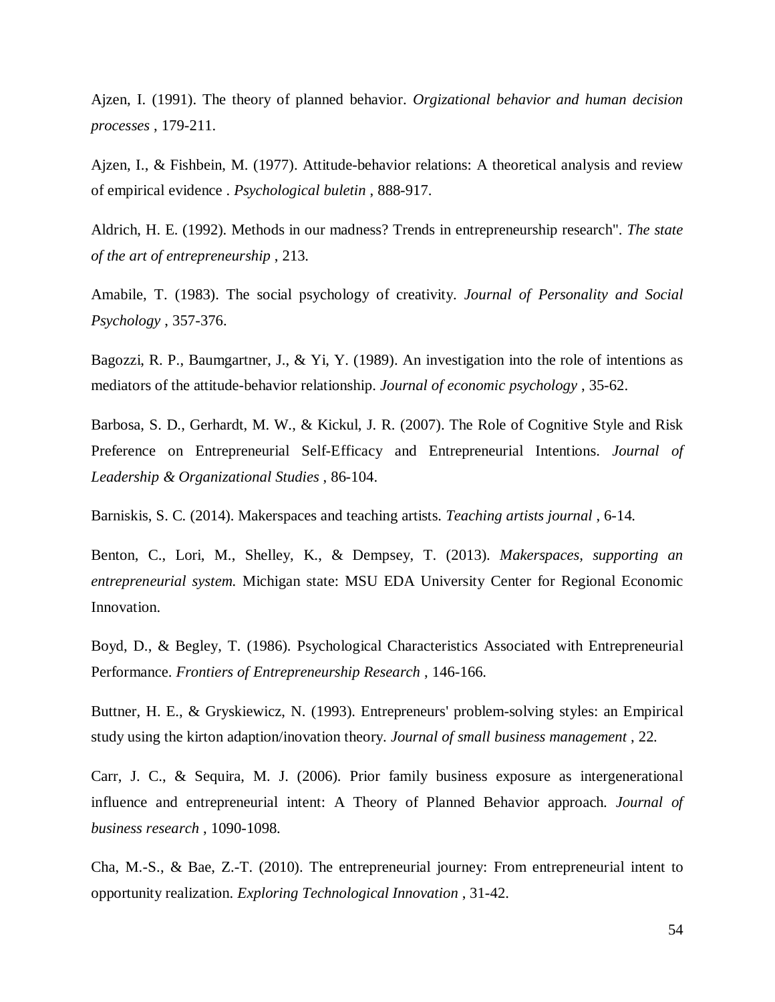Ajzen, I. (1991). The theory of planned behavior. *Orgizational behavior and human decision processes* , 179-211.

Ajzen, I., & Fishbein, M. (1977). Attitude-behavior relations: A theoretical analysis and review of empirical evidence . *Psychological buletin* , 888-917.

Aldrich, H. E. (1992). Methods in our madness? Trends in entrepreneurship research". *The state of the art of entrepreneurship* , 213.

Amabile, T. (1983). The social psychology of creativity. *Journal of Personality and Social Psychology* , 357-376.

Bagozzi, R. P., Baumgartner, J., & Yi, Y. (1989). An investigation into the role of intentions as mediators of the attitude-behavior relationship. *Journal of economic psychology* , 35-62.

Barbosa, S. D., Gerhardt, M. W., & Kickul, J. R. (2007). The Role of Cognitive Style and Risk Preference on Entrepreneurial Self-Efficacy and Entrepreneurial Intentions. *Journal of Leadership & Organizational Studies* , 86-104.

Barniskis, S. C. (2014). Makerspaces and teaching artists. *Teaching artists journal* , 6-14.

Benton, C., Lori, M., Shelley, K., & Dempsey, T. (2013). *Makerspaces, supporting an entrepreneurial system.* Michigan state: MSU EDA University Center for Regional Economic Innovation.

Boyd, D., & Begley, T. (1986). Psychological Characteristics Associated with Entrepreneurial Performance. *Frontiers of Entrepreneurship Research* , 146-166.

Buttner, H. E., & Gryskiewicz, N. (1993). Entrepreneurs' problem-solving styles: an Empirical study using the kirton adaption/inovation theory. *Journal of small business management* , 22.

Carr, J. C., & Sequira, M. J. (2006). Prior family business exposure as intergenerational influence and entrepreneurial intent: A Theory of Planned Behavior approach. *Journal of business research* , 1090-1098.

Cha, M.-S., & Bae, Z.-T. (2010). The entrepreneurial journey: From entrepreneurial intent to opportunity realization. *Exploring Technological Innovation* , 31-42.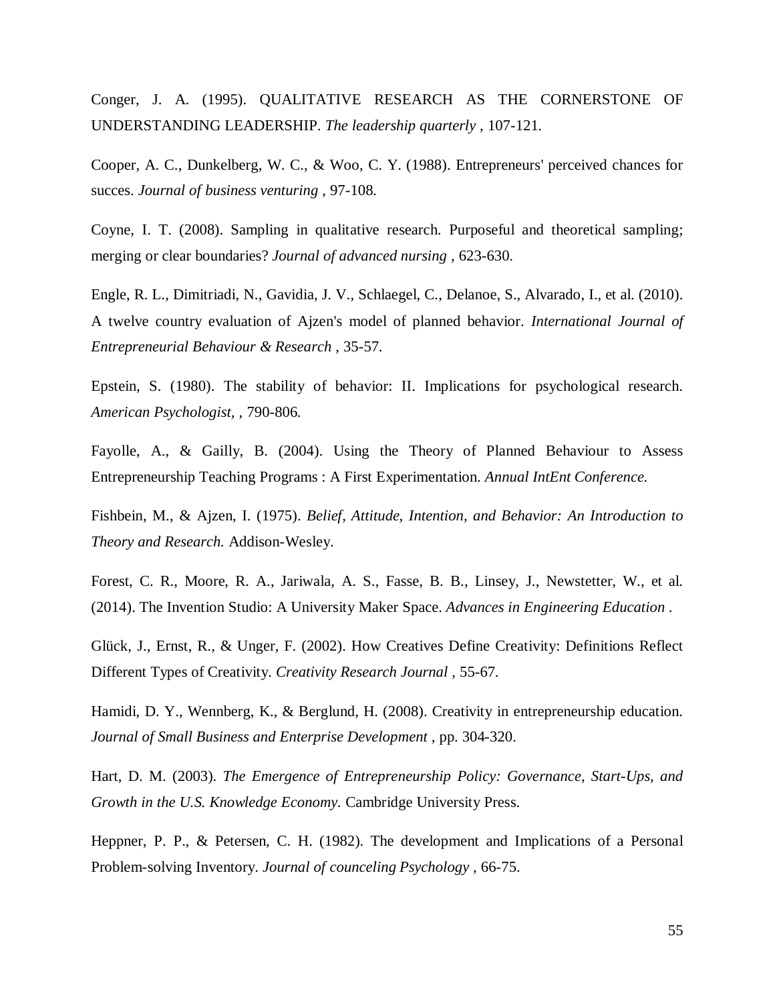Conger, J. A. (1995). QUALITATIVE RESEARCH AS THE CORNERSTONE OF UNDERSTANDING LEADERSHIP. *The leadership quarterly* , 107-121.

Cooper, A. C., Dunkelberg, W. C., & Woo, C. Y. (1988). Entrepreneurs' perceived chances for succes. *Journal of business venturing* , 97-108.

Coyne, I. T. (2008). Sampling in qualitative research. Purposeful and theoretical sampling; merging or clear boundaries? *Journal of advanced nursing* , 623-630.

Engle, R. L., Dimitriadi, N., Gavidia, J. V., Schlaegel, C., Delanoe, S., Alvarado, I., et al. (2010). A twelve country evaluation of Ajzen's model of planned behavior. *International Journal of Entrepreneurial Behaviour & Research* , 35-57.

Epstein, S. (1980). The stability of behavior: II. Implications for psychological research. *American Psychologist,* , 790-806.

Fayolle, A., & Gailly, B. (2004). Using the Theory of Planned Behaviour to Assess Entrepreneurship Teaching Programs : A First Experimentation. *Annual IntEnt Conference.*

Fishbein, M., & Ajzen, I. (1975). *Belief, Attitude, Intention, and Behavior: An Introduction to Theory and Research.* Addison-Wesley.

Forest, C. R., Moore, R. A., Jariwala, A. S., Fasse, B. B., Linsey, J., Newstetter, W., et al. (2014). The Invention Studio: A University Maker Space. *Advances in Engineering Education* .

Glück, J., Ernst, R., & Unger, F. (2002). How Creatives Define Creativity: Definitions Reflect Different Types of Creativity. *Creativity Research Journal* , 55-67.

Hamidi, D. Y., Wennberg, K., & Berglund, H. (2008). Creativity in entrepreneurship education. *Journal of Small Business and Enterprise Development* , pp. 304-320.

Hart, D. M. (2003). *The Emergence of Entrepreneurship Policy: Governance, Start-Ups, and Growth in the U.S. Knowledge Economy.* Cambridge University Press.

Heppner, P. P., & Petersen, C. H. (1982). The development and Implications of a Personal Problem-solving Inventory. *Journal of counceling Psychology* , 66-75.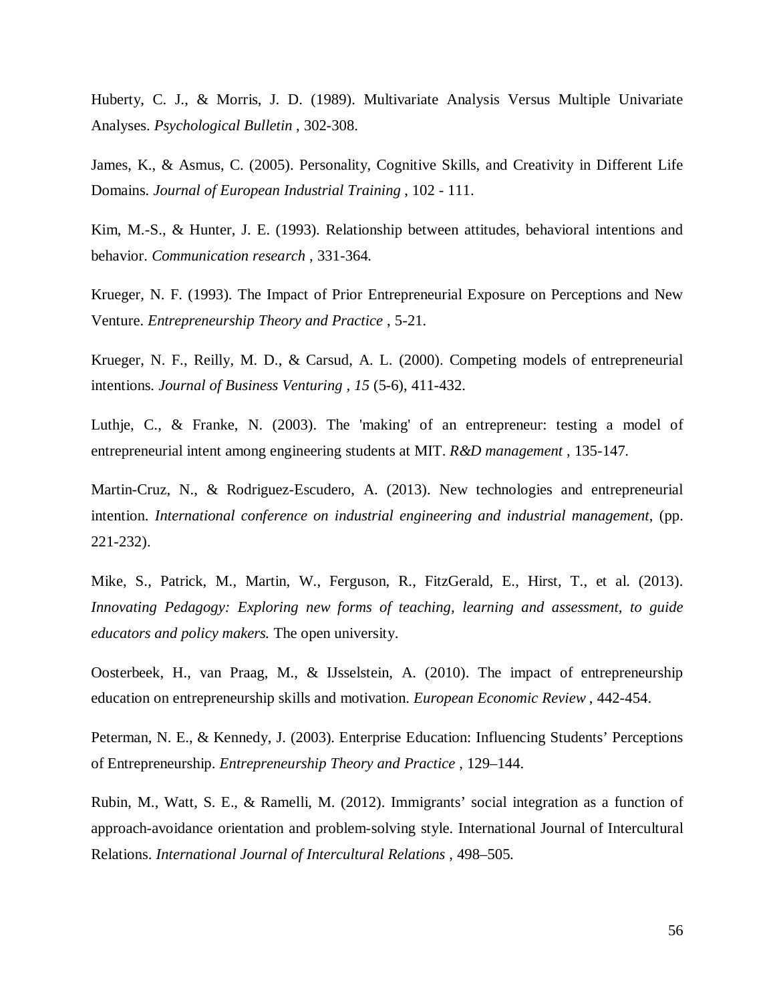Huberty, C. J., & Morris, J. D. (1989). Multivariate Analysis Versus Multiple Univariate Analyses. *Psychological Bulletin* , 302-308.

James, K., & Asmus, C. (2005). Personality, Cognitive Skills, and Creativity in Different Life Domains. *Journal of European Industrial Training* , 102 - 111.

Kim, M.-S., & Hunter, J. E. (1993). Relationship between attitudes, behavioral intentions and behavior. *Communication research* , 331-364.

Krueger, N. F. (1993). The Impact of Prior Entrepreneurial Exposure on Perceptions and New Venture. *Entrepreneurship Theory and Practice* , 5-21.

Krueger, N. F., Reilly, M. D., & Carsud, A. L. (2000). Competing models of entrepreneurial intentions. *Journal of Business Venturing , 15* (5-6), 411-432.

Luthje, C., & Franke, N. (2003). The 'making' of an entrepreneur: testing a model of entrepreneurial intent among engineering students at MIT. *R&D management* , 135-147.

Martin-Cruz, N., & Rodriguez-Escudero, A. (2013). New technologies and entrepreneurial intention. *International conference on industrial engineering and industrial management*, (pp. 221-232).

Mike, S., Patrick, M., Martin, W., Ferguson, R., FitzGerald, E., Hirst, T., et al. (2013). *Innovating Pedagogy: Exploring new forms of teaching, learning and assessment, to guide educators and policy makers.* The open university.

Oosterbeek, H., van Praag, M., & IJsselstein, A. (2010). The impact of entrepreneurship education on entrepreneurship skills and motivation. *European Economic Review* , 442-454.

Peterman, N. E., & Kennedy, J. (2003). Enterprise Education: Influencing Students' Perceptions of Entrepreneurship. *Entrepreneurship Theory and Practice* , 129–144.

Rubin, M., Watt, S. E., & Ramelli, M. (2012). Immigrants' social integration as a function of approach-avoidance orientation and problem-solving style. International Journal of Intercultural Relations. *International Journal of Intercultural Relations* , 498–505.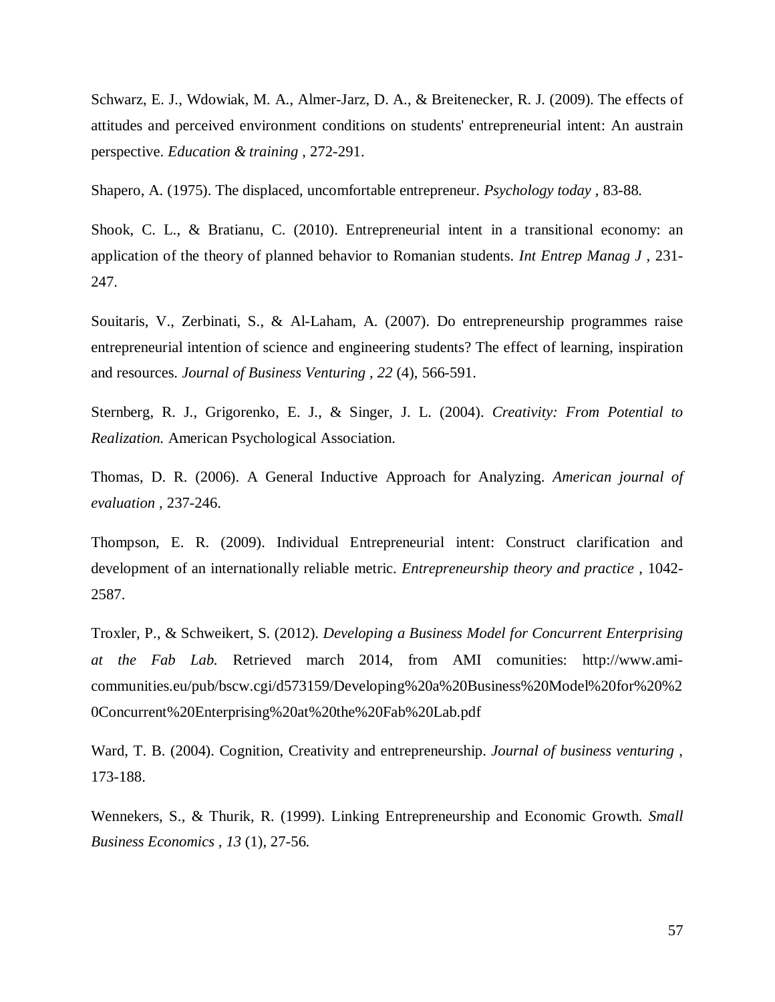Schwarz, E. J., Wdowiak, M. A., Almer-Jarz, D. A., & Breitenecker, R. J. (2009). The effects of attitudes and perceived environment conditions on students' entrepreneurial intent: An austrain perspective. *Education & training* , 272-291.

Shapero, A. (1975). The displaced, uncomfortable entrepreneur. *Psychology today* , 83-88.

Shook, C. L., & Bratianu, C. (2010). Entrepreneurial intent in a transitional economy: an application of the theory of planned behavior to Romanian students. *Int Entrep Manag J* , 231- 247.

Souitaris, V., Zerbinati, S., & Al-Laham, A. (2007). Do entrepreneurship programmes raise entrepreneurial intention of science and engineering students? The effect of learning, inspiration and resources. *Journal of Business Venturing , 22* (4), 566-591.

Sternberg, R. J., Grigorenko, E. J., & Singer, J. L. (2004). *Creativity: From Potential to Realization.* American Psychological Association.

Thomas, D. R. (2006). A General Inductive Approach for Analyzing. *American journal of evaluation* , 237-246.

Thompson, E. R. (2009). Individual Entrepreneurial intent: Construct clarification and development of an internationally reliable metric. *Entrepreneurship theory and practice* , 1042- 2587.

Troxler, P., & Schweikert, S. (2012). *Developing a Business Model for Concurrent Enterprising at the Fab Lab.* Retrieved march 2014, from AMI comunities: http://www.amicommunities.eu/pub/bscw.cgi/d573159/Developing%20a%20Business%20Model%20for%20%2 0Concurrent%20Enterprising%20at%20the%20Fab%20Lab.pdf

Ward, T. B. (2004). Cognition, Creativity and entrepreneurship. *Journal of business venturing* , 173-188.

Wennekers, S., & Thurik, R. (1999). Linking Entrepreneurship and Economic Growth. *Small Business Economics , 13* (1), 27-56.